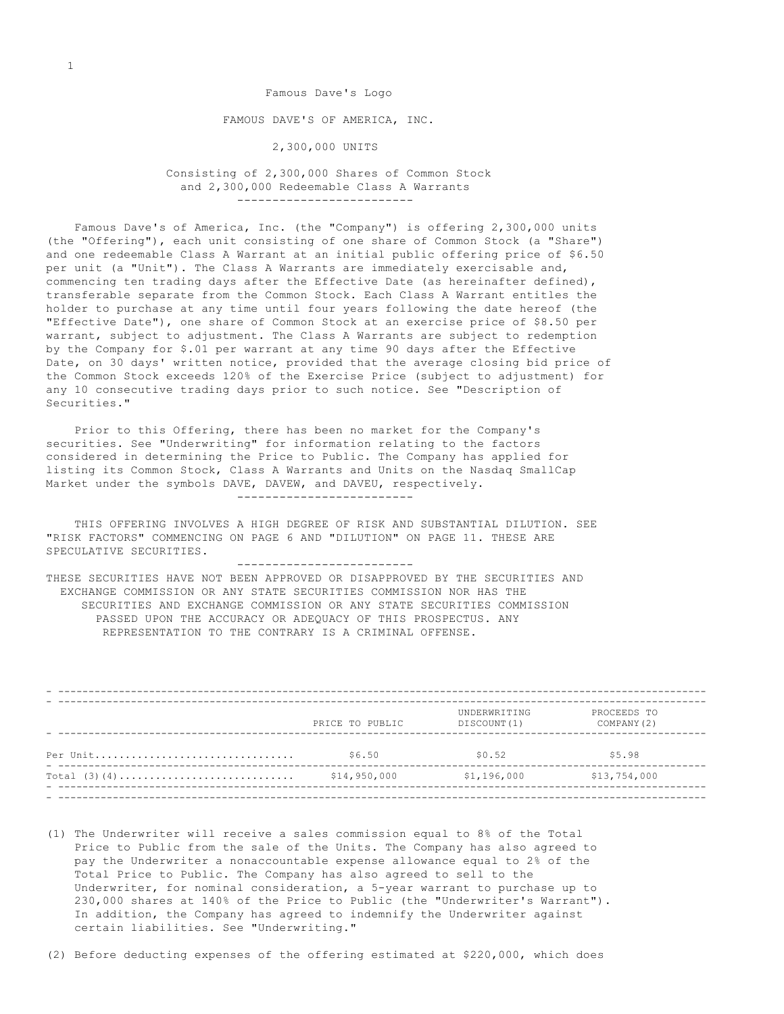Famous Dave's Logo FAMOUS DAVE'S OF AMERICA, INC. 2,300,000 UNITS

 Consisting of 2,300,000 Shares of Common Stock and 2,300,000 Redeemable Class A Warrants -------------------------

 Famous Dave's of America, Inc. (the "Company") is offering 2,300,000 units (the "Offering"), each unit consisting of one share of Common Stock (a "Share") and one redeemable Class A Warrant at an initial public offering price of \$6.50 per unit (a "Unit"). The Class A Warrants are immediately exercisable and, commencing ten trading days after the Effective Date (as hereinafter defined), transferable separate from the Common Stock. Each Class A Warrant entitles the holder to purchase at any time until four years following the date hereof (the "Effective Date"), one share of Common Stock at an exercise price of \$8.50 per warrant, subject to adjustment. The Class A Warrants are subject to redemption by the Company for \$.01 per warrant at any time 90 days after the Effective Date, on 30 days' written notice, provided that the average closing bid price of the Common Stock exceeds 120% of the Exercise Price (subject to adjustment) for any 10 consecutive trading days prior to such notice. See "Description of Securities."

 Prior to this Offering, there has been no market for the Company's securities. See "Underwriting" for information relating to the factors considered in determining the Price to Public. The Company has applied for listing its Common Stock, Class A Warrants and Units on the Nasdaq SmallCap Market under the symbols DAVE, DAVEW, and DAVEU, respectively. -------------------------

 THIS OFFERING INVOLVES A HIGH DEGREE OF RISK AND SUBSTANTIAL DILUTION. SEE "RISK FACTORS" COMMENCING ON PAGE 6 AND "DILUTION" ON PAGE 11. THESE ARE SPECULATIVE SECURITIES.

-------------------------

THESE SECURITIES HAVE NOT BEEN APPROVED OR DISAPPROVED BY THE SECURITIES AND EXCHANGE COMMISSION OR ANY STATE SECURITIES COMMISSION NOR HAS THE SECURITIES AND EXCHANGE COMMISSION OR ANY STATE SECURITIES COMMISSION PASSED UPON THE ACCURACY OR ADEQUACY OF THIS PROSPECTUS. ANY REPRESENTATION TO THE CONTRARY IS A CRIMINAL OFFENSE.

|          | PRICE TO PUBLIC | UNDERWRITING<br>DISCOUNT (1) | PROCEEDS TO<br>COMPANY (2) |
|----------|-----------------|------------------------------|----------------------------|
| Per Unit | \$6.50          | \$0.52                       | \$5.98                     |
|          | \$14,950,000    | \$1,196,000                  | \$13,754,000               |
|          |                 |                              |                            |

- (1) The Underwriter will receive a sales commission equal to 8% of the Total Price to Public from the sale of the Units. The Company has also agreed to pay the Underwriter a nonaccountable expense allowance equal to 2% of the Total Price to Public. The Company has also agreed to sell to the Underwriter, for nominal consideration, a 5-year warrant to purchase up to 230,000 shares at 140% of the Price to Public (the "Underwriter's Warrant"). In addition, the Company has agreed to indemnify the Underwriter against certain liabilities. See "Underwriting."
- (2) Before deducting expenses of the offering estimated at \$220,000, which does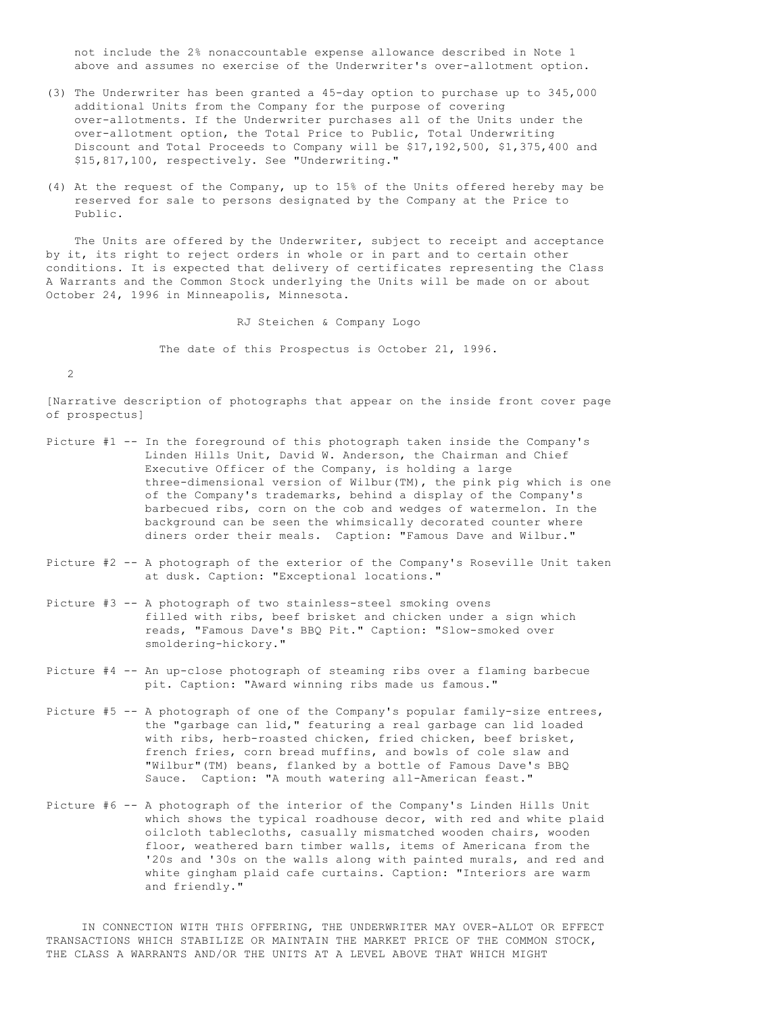not include the 2% nonaccountable expense allowance described in Note 1 above and assumes no exercise of the Underwriter's over-allotment option.

- (3) The Underwriter has been granted a 45-day option to purchase up to 345,000 additional Units from the Company for the purpose of covering over-allotments. If the Underwriter purchases all of the Units under the over-allotment option, the Total Price to Public, Total Underwriting Discount and Total Proceeds to Company will be \$17,192,500, \$1,375,400 and \$15,817,100, respectively. See "Underwriting."
- (4) At the request of the Company, up to 15% of the Units offered hereby may be reserved for sale to persons designated by the Company at the Price to Public.

 The Units are offered by the Underwriter, subject to receipt and acceptance by it, its right to reject orders in whole or in part and to certain other conditions. It is expected that delivery of certificates representing the Class A Warrants and the Common Stock underlying the Units will be made on or about October 24, 1996 in Minneapolis, Minnesota.

RJ Steichen & Company Logo

The date of this Prospectus is October 21, 1996.

2

[Narrative description of photographs that appear on the inside front cover page of prospectus]

- Picture #1 -- In the foreground of this photograph taken inside the Company's Linden Hills Unit, David W. Anderson, the Chairman and Chief Executive Officer of the Company, is holding a large three-dimensional version of Wilbur(TM), the pink pig which is one of the Company's trademarks, behind a display of the Company's barbecued ribs, corn on the cob and wedges of watermelon. In the background can be seen the whimsically decorated counter where diners order their meals. Caption: "Famous Dave and Wilbur."
- Picture #2 -- A photograph of the exterior of the Company's Roseville Unit taken at dusk. Caption: "Exceptional locations."
- Picture #3 -- A photograph of two stainless-steel smoking ovens filled with ribs, beef brisket and chicken under a sign which reads, "Famous Dave's BBQ Pit." Caption: "Slow-smoked over smoldering-hickory."
- Picture #4 -- An up-close photograph of steaming ribs over a flaming barbecue pit. Caption: "Award winning ribs made us famous."
- Picture #5 -- A photograph of one of the Company's popular family-size entrees, the "garbage can lid," featuring a real garbage can lid loaded with ribs, herb-roasted chicken, fried chicken, beef brisket, french fries, corn bread muffins, and bowls of cole slaw and "Wilbur"(TM) beans, flanked by a bottle of Famous Dave's BBQ Sauce. Caption: "A mouth watering all-American feast."
- Picture #6 -- A photograph of the interior of the Company's Linden Hills Unit which shows the typical roadhouse decor, with red and white plaid oilcloth tablecloths, casually mismatched wooden chairs, wooden floor, weathered barn timber walls, items of Americana from the '20s and '30s on the walls along with painted murals, and red and white gingham plaid cafe curtains. Caption: "Interiors are warm and friendly."

 IN CONNECTION WITH THIS OFFERING, THE UNDERWRITER MAY OVER-ALLOT OR EFFECT TRANSACTIONS WHICH STABILIZE OR MAINTAIN THE MARKET PRICE OF THE COMMON STOCK, THE CLASS A WARRANTS AND/OR THE UNITS AT A LEVEL ABOVE THAT WHICH MIGHT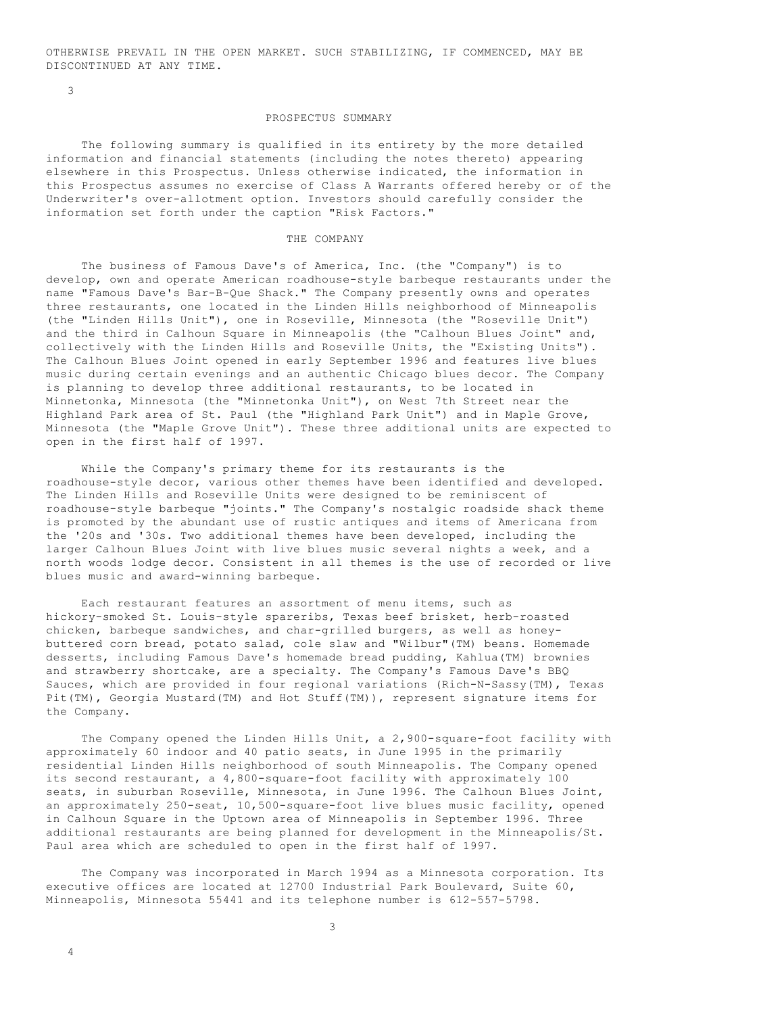OTHERWISE PREVAIL IN THE OPEN MARKET. SUCH STABILIZING, IF COMMENCED, MAY BE DISCONTINUED AT ANY TIME.

3

### PROSPECTUS SUMMARY

 The following summary is qualified in its entirety by the more detailed information and financial statements (including the notes thereto) appearing elsewhere in this Prospectus. Unless otherwise indicated, the information in this Prospectus assumes no exercise of Class A Warrants offered hereby or of the Underwriter's over-allotment option. Investors should carefully consider the information set forth under the caption "Risk Factors."

## THE COMPANY

 The business of Famous Dave's of America, Inc. (the "Company") is to develop, own and operate American roadhouse-style barbeque restaurants under the name "Famous Dave's Bar-B-Que Shack." The Company presently owns and operates three restaurants, one located in the Linden Hills neighborhood of Minneapolis (the "Linden Hills Unit"), one in Roseville, Minnesota (the "Roseville Unit") and the third in Calhoun Square in Minneapolis (the "Calhoun Blues Joint" and, collectively with the Linden Hills and Roseville Units, the "Existing Units"). The Calhoun Blues Joint opened in early September 1996 and features live blues music during certain evenings and an authentic Chicago blues decor. The Company is planning to develop three additional restaurants, to be located in Minnetonka, Minnesota (the "Minnetonka Unit"), on West 7th Street near the Highland Park area of St. Paul (the "Highland Park Unit") and in Maple Grove, Minnesota (the "Maple Grove Unit"). These three additional units are expected to open in the first half of 1997.

 While the Company's primary theme for its restaurants is the roadhouse-style decor, various other themes have been identified and developed. The Linden Hills and Roseville Units were designed to be reminiscent of roadhouse-style barbeque "joints." The Company's nostalgic roadside shack theme is promoted by the abundant use of rustic antiques and items of Americana from the '20s and '30s. Two additional themes have been developed, including the larger Calhoun Blues Joint with live blues music several nights a week, and a north woods lodge decor. Consistent in all themes is the use of recorded or live blues music and award-winning barbeque.

 Each restaurant features an assortment of menu items, such as hickory-smoked St. Louis-style spareribs, Texas beef brisket, herb-roasted chicken, barbeque sandwiches, and char-grilled burgers, as well as honeybuttered corn bread, potato salad, cole slaw and "Wilbur"(TM) beans. Homemade desserts, including Famous Dave's homemade bread pudding, Kahlua(TM) brownies and strawberry shortcake, are a specialty. The Company's Famous Dave's BBQ Sauces, which are provided in four regional variations (Rich-N-Sassy(TM), Texas Pit(TM), Georgia Mustard(TM) and Hot Stuff(TM)), represent signature items for the Company.

 The Company opened the Linden Hills Unit, a 2,900-square-foot facility with approximately 60 indoor and 40 patio seats, in June 1995 in the primarily residential Linden Hills neighborhood of south Minneapolis. The Company opened its second restaurant, a 4,800-square-foot facility with approximately 100 seats, in suburban Roseville, Minnesota, in June 1996. The Calhoun Blues Joint, an approximately 250-seat, 10,500-square-foot live blues music facility, opened in Calhoun Square in the Uptown area of Minneapolis in September 1996. Three additional restaurants are being planned for development in the Minneapolis/St. Paul area which are scheduled to open in the first half of 1997.

 The Company was incorporated in March 1994 as a Minnesota corporation. Its executive offices are located at 12700 Industrial Park Boulevard, Suite 60, Minneapolis, Minnesota 55441 and its telephone number is 612-557-5798.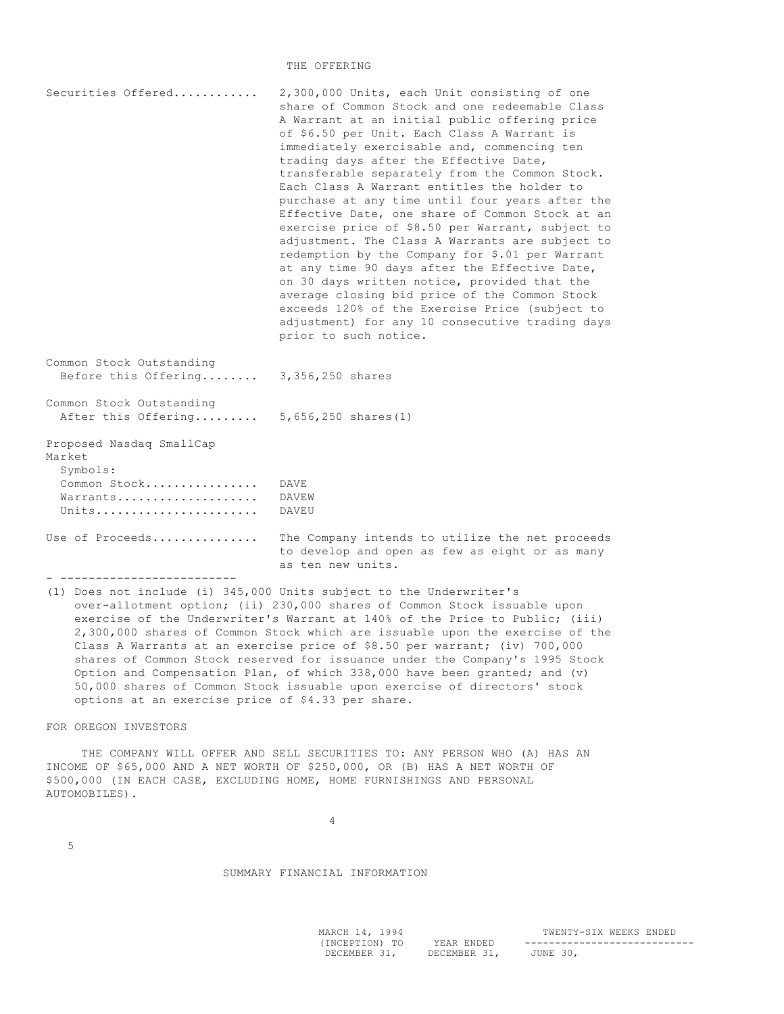### THE OFFERING

| Securities Offered                                                                  | 2,300,000 Units, each Unit consisting of one<br>share of Common Stock and one redeemable Class<br>A Warrant at an initial public offering price<br>of \$6.50 per Unit. Each Class A Warrant is<br>immediately exercisable and, commencing ten<br>trading days after the Effective Date,<br>transferable separately from the Common Stock.<br>Each Class A Warrant entitles the holder to<br>purchase at any time until four years after the<br>Effective Date, one share of Common Stock at an<br>exercise price of \$8.50 per Warrant, subject to<br>adjustment. The Class A Warrants are subject to<br>redemption by the Company for \$.01 per Warrant<br>at any time 90 days after the Effective Date,<br>on 30 days written notice, provided that the<br>average closing bid price of the Common Stock<br>exceeds 120% of the Exercise Price (subject to<br>adjustment) for any 10 consecutive trading days<br>prior to such notice. |
|-------------------------------------------------------------------------------------|------------------------------------------------------------------------------------------------------------------------------------------------------------------------------------------------------------------------------------------------------------------------------------------------------------------------------------------------------------------------------------------------------------------------------------------------------------------------------------------------------------------------------------------------------------------------------------------------------------------------------------------------------------------------------------------------------------------------------------------------------------------------------------------------------------------------------------------------------------------------------------------------------------------------------------------|
| Common Stock Outstanding<br>Before this Offering                                    | 3,356,250 shares                                                                                                                                                                                                                                                                                                                                                                                                                                                                                                                                                                                                                                                                                                                                                                                                                                                                                                                         |
| Common Stock Outstanding<br>After this Offering                                     | $5,656,250$ shares $(1)$                                                                                                                                                                                                                                                                                                                                                                                                                                                                                                                                                                                                                                                                                                                                                                                                                                                                                                                 |
| Proposed Nasdaq SmallCap<br>Market<br>Symbols:<br>Common Stock<br>Warrants<br>Units | DAVE.<br>DAVEW<br>DAVEU                                                                                                                                                                                                                                                                                                                                                                                                                                                                                                                                                                                                                                                                                                                                                                                                                                                                                                                  |
| Use of Proceeds<br>------------------------------                                   | The Company intends to utilize the net proceeds<br>to develop and open as few as eight or as many<br>as ten new units.                                                                                                                                                                                                                                                                                                                                                                                                                                                                                                                                                                                                                                                                                                                                                                                                                   |

(1) Does not include (i) 345,000 Units subject to the Underwriter's over-allotment option; (ii) 230,000 shares of Common Stock issuable upon exercise of the Underwriter's Warrant at 140% of the Price to Public; (iii) 2,300,000 shares of Common Stock which are issuable upon the exercise of the Class A Warrants at an exercise price of \$8.50 per warrant; (iv) 700,000 shares of Common Stock reserved for issuance under the Company's 1995 Stock Option and Compensation Plan, of which 338,000 have been granted; and (v) 50,000 shares of Common Stock issuable upon exercise of directors' stock options at an exercise price of \$4.33 per share.

FOR OREGON INVESTORS

 THE COMPANY WILL OFFER AND SELL SECURITIES TO: ANY PERSON WHO (A) HAS AN INCOME OF \$65,000 AND A NET WORTH OF \$250,000, OR (B) HAS A NET WORTH OF \$500,000 (IN EACH CASE, EXCLUDING HOME, HOME FURNISHINGS AND PERSONAL AUTOMOBILES).

4

5

SUMMARY FINANCIAL INFORMATION

| MARCH 14, 1994 |              | TWENTY-SIX WEEKS ENDED |
|----------------|--------------|------------------------|
| (INCEPTION) TO | YEAR ENDED   |                        |
| DECEMBER 31.   | DECEMBER 31. | JUNE 30.               |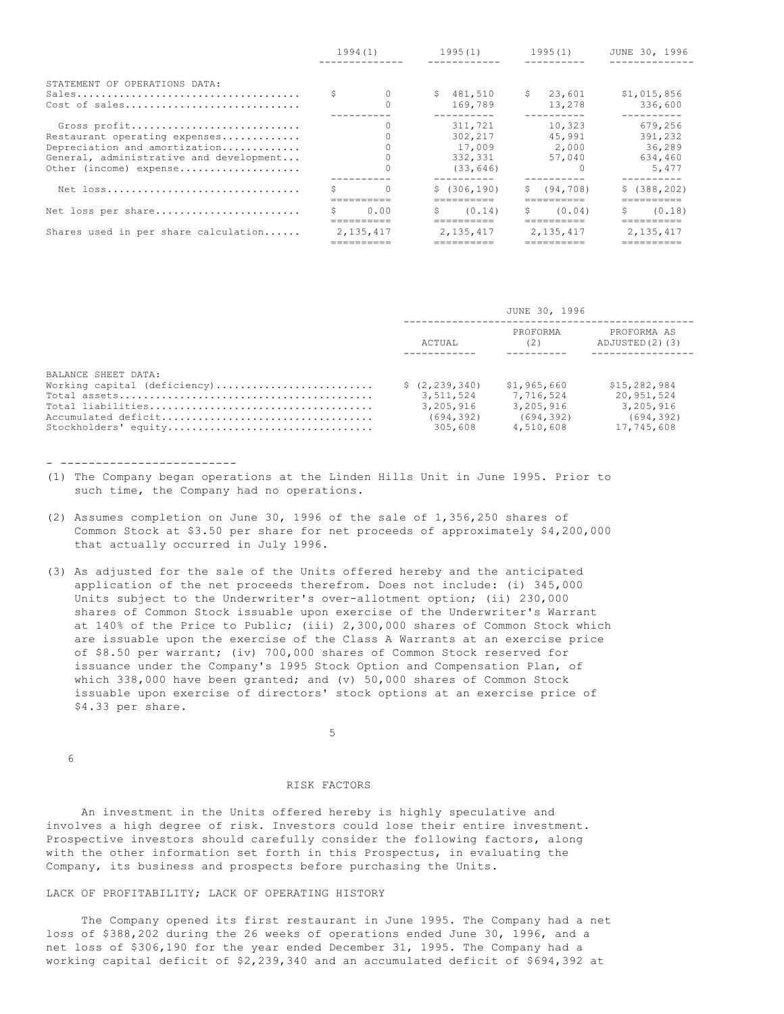|                                                                                                                                                     | 1994(1) |           |  |                                                      |    | 1995(1)                             |    | 1995(1)                                                      |  | JUNE 30, 1996 |  |
|-----------------------------------------------------------------------------------------------------------------------------------------------------|---------|-----------|--|------------------------------------------------------|----|-------------------------------------|----|--------------------------------------------------------------|--|---------------|--|
| STATEMENT OF OPERATIONS DATA:<br>Cost of sales                                                                                                      |         |           |  | \$481.510<br>169,789                                 | S. | 23,601<br>13,278                    |    | \$1,015,856<br>336,600                                       |  |               |  |
| Gross profit<br>Restaurant operating expenses<br>Depreciation and amortization<br>General, administrative and development<br>Other (income) expense |         |           |  | 311,721<br>302,217<br>17,009<br>332,331<br>(33, 646) |    | 10,323<br>45,991<br>2,000<br>57,040 |    | --------<br>679.256<br>391,232<br>36,289<br>634,460<br>5,477 |  |               |  |
| Net loss                                                                                                                                            |         |           |  | \$(306, 190)                                         |    | \$ (94, 708)                        |    | \$ (388, 202)                                                |  |               |  |
| Net loss per share                                                                                                                                  |         | 0.00      |  | (0.14)                                               | S. | (0.04)                              | S. | (0.18)                                                       |  |               |  |
| Shares used in per share calculation                                                                                                                |         | 2,135,417 |  | 2, 135, 417                                          |    | 2.135.417                           |    | 2.135.417                                                    |  |               |  |

|                              | JUNE 30, 1996                |                 |                               |  |  |
|------------------------------|------------------------------|-----------------|-------------------------------|--|--|
|                              | ACTUAL                       | PROFORMA<br>(2) | PROFORMA AS<br>ADJUSTED(2)(3) |  |  |
| BALANCE SHEET DATA:          |                              | \$1,965,660     | \$15,282,984                  |  |  |
| Working capital (deficiency) | \$(2, 239, 340)<br>3,511,524 | 7.716.524       | 20,951,524                    |  |  |
|                              | 3,205,916                    | 3,205,916       | 3,205,916                     |  |  |
|                              | (694, 392)                   | (694,392)       | (694, 392)                    |  |  |
| Stockholders' equity         | 305,608                      | 4,510,608       | 17,745,608                    |  |  |

- -------------------------

- (1) The Company began operations at the Linden Hills Unit in June 1995. Prior to such time, the Company had no operations.
- (2) Assumes completion on June 30, 1996 of the sale of 1,356,250 shares of Common Stock at \$3.50 per share for net proceeds of approximately \$4,200,000 that actually occurred in July 1996.
- (3) As adjusted for the sale of the Units offered hereby and the anticipated application of the net proceeds therefrom. Does not include: (i) 345,000 Units subject to the Underwriter's over-allotment option; (ii) 230,000 shares of Common Stock issuable upon exercise of the Underwriter's Warrant at 140% of the Price to Public; (iii) 2,300,000 shares of Common Stock which are issuable upon the exercise of the Class A Warrants at an exercise price of \$8.50 per warrant; (iv) 700,000 shares of Common Stock reserved for issuance under the Company's 1995 Stock Option and Compensation Plan, of which 338,000 have been granted; and (v) 50,000 shares of Common Stock issuable upon exercise of directors' stock options at an exercise price of \$4.33 per share.

 $\sim$  5

## 6

### RISK FACTORS

 An investment in the Units offered hereby is highly speculative and involves a high degree of risk. Investors could lose their entire investment. Prospective investors should carefully consider the following factors, along with the other information set forth in this Prospectus, in evaluating the Company, its business and prospects before purchasing the Units.

# LACK OF PROFITABILITY; LACK OF OPERATING HISTORY

 The Company opened its first restaurant in June 1995. The Company had a net loss of \$388,202 during the 26 weeks of operations ended June 30, 1996, and a net loss of \$306,190 for the year ended December 31, 1995. The Company had a working capital deficit of \$2,239,340 and an accumulated deficit of \$694,392 at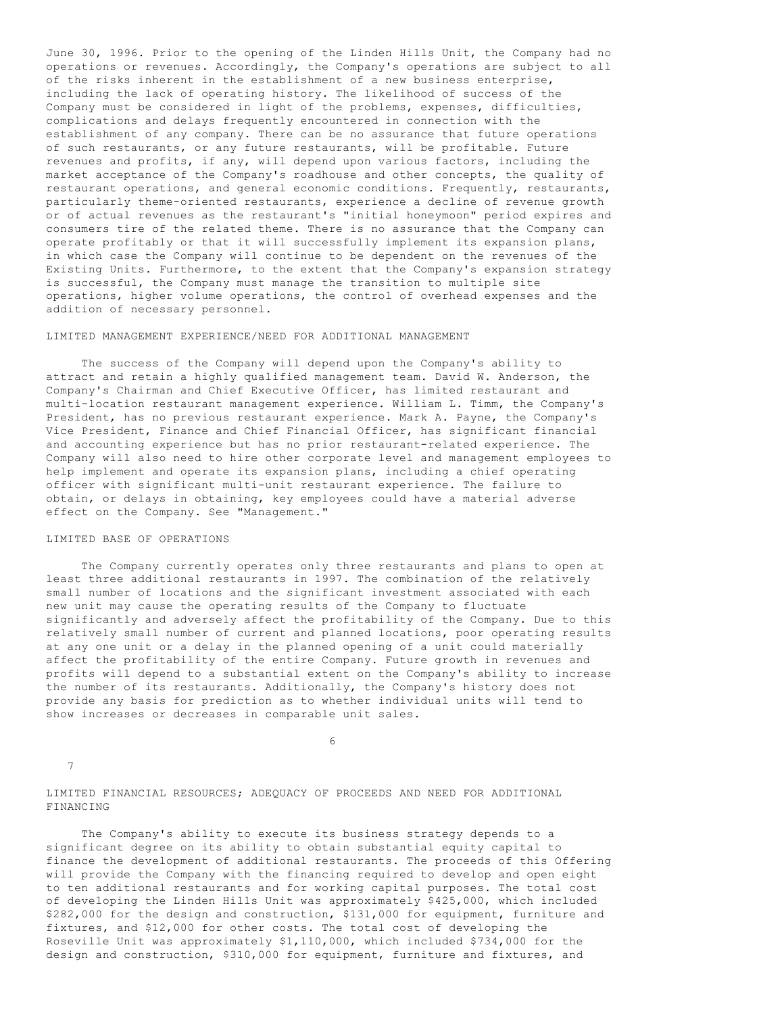June 30, 1996. Prior to the opening of the Linden Hills Unit, the Company had no operations or revenues. Accordingly, the Company's operations are subject to all of the risks inherent in the establishment of a new business enterprise, including the lack of operating history. The likelihood of success of the Company must be considered in light of the problems, expenses, difficulties, complications and delays frequently encountered in connection with the establishment of any company. There can be no assurance that future operations of such restaurants, or any future restaurants, will be profitable. Future revenues and profits, if any, will depend upon various factors, including the market acceptance of the Company's roadhouse and other concepts, the quality of restaurant operations, and general economic conditions. Frequently, restaurants, particularly theme-oriented restaurants, experience a decline of revenue growth or of actual revenues as the restaurant's "initial honeymoon" period expires and consumers tire of the related theme. There is no assurance that the Company can operate profitably or that it will successfully implement its expansion plans, in which case the Company will continue to be dependent on the revenues of the Existing Units. Furthermore, to the extent that the Company's expansion strategy is successful, the Company must manage the transition to multiple site operations, higher volume operations, the control of overhead expenses and the addition of necessary personnel.

# LIMITED MANAGEMENT EXPERIENCE/NEED FOR ADDITIONAL MANAGEMENT

 The success of the Company will depend upon the Company's ability to attract and retain a highly qualified management team. David W. Anderson, the Company's Chairman and Chief Executive Officer, has limited restaurant and multi-location restaurant management experience. William L. Timm, the Company's President, has no previous restaurant experience. Mark A. Payne, the Company's Vice President, Finance and Chief Financial Officer, has significant financial and accounting experience but has no prior restaurant-related experience. The Company will also need to hire other corporate level and management employees to help implement and operate its expansion plans, including a chief operating officer with significant multi-unit restaurant experience. The failure to obtain, or delays in obtaining, key employees could have a material adverse effect on the Company. See "Management."

# LIMITED BASE OF OPERATIONS

 The Company currently operates only three restaurants and plans to open at least three additional restaurants in 1997. The combination of the relatively small number of locations and the significant investment associated with each new unit may cause the operating results of the Company to fluctuate significantly and adversely affect the profitability of the Company. Due to this relatively small number of current and planned locations, poor operating results at any one unit or a delay in the planned opening of a unit could materially affect the profitability of the entire Company. Future growth in revenues and profits will depend to a substantial extent on the Company's ability to increase the number of its restaurants. Additionally, the Company's history does not provide any basis for prediction as to whether individual units will tend to show increases or decreases in comparable unit sales.

 $\sim$  6

7

LIMITED FINANCIAL RESOURCES; ADEQUACY OF PROCEEDS AND NEED FOR ADDITIONAL FINANCING

 The Company's ability to execute its business strategy depends to a significant degree on its ability to obtain substantial equity capital to finance the development of additional restaurants. The proceeds of this Offering will provide the Company with the financing required to develop and open eight to ten additional restaurants and for working capital purposes. The total cost of developing the Linden Hills Unit was approximately \$425,000, which included \$282,000 for the design and construction, \$131,000 for equipment, furniture and fixtures, and \$12,000 for other costs. The total cost of developing the Roseville Unit was approximately \$1,110,000, which included \$734,000 for the design and construction, \$310,000 for equipment, furniture and fixtures, and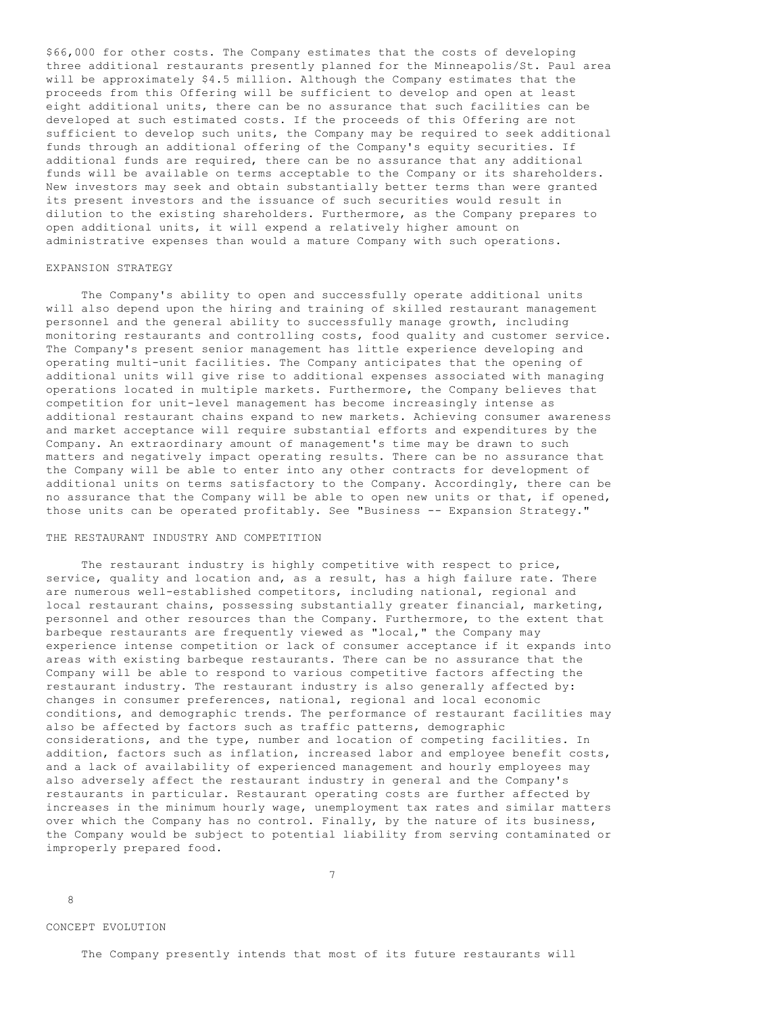\$66,000 for other costs. The Company estimates that the costs of developing three additional restaurants presently planned for the Minneapolis/St. Paul area will be approximately \$4.5 million. Although the Company estimates that the proceeds from this Offering will be sufficient to develop and open at least eight additional units, there can be no assurance that such facilities can be developed at such estimated costs. If the proceeds of this Offering are not sufficient to develop such units, the Company may be required to seek additional funds through an additional offering of the Company's equity securities. If additional funds are required, there can be no assurance that any additional funds will be available on terms acceptable to the Company or its shareholders. New investors may seek and obtain substantially better terms than were granted its present investors and the issuance of such securities would result in dilution to the existing shareholders. Furthermore, as the Company prepares to open additional units, it will expend a relatively higher amount on administrative expenses than would a mature Company with such operations.

# EXPANSION STRATEGY

 The Company's ability to open and successfully operate additional units will also depend upon the hiring and training of skilled restaurant management personnel and the general ability to successfully manage growth, including monitoring restaurants and controlling costs, food quality and customer service. The Company's present senior management has little experience developing and operating multi-unit facilities. The Company anticipates that the opening of additional units will give rise to additional expenses associated with managing operations located in multiple markets. Furthermore, the Company believes that competition for unit-level management has become increasingly intense as additional restaurant chains expand to new markets. Achieving consumer awareness and market acceptance will require substantial efforts and expenditures by the Company. An extraordinary amount of management's time may be drawn to such matters and negatively impact operating results. There can be no assurance that the Company will be able to enter into any other contracts for development of additional units on terms satisfactory to the Company. Accordingly, there can be no assurance that the Company will be able to open new units or that, if opened, those units can be operated profitably. See "Business -- Expansion Strategy."

## THE RESTAURANT INDUSTRY AND COMPETITION

 The restaurant industry is highly competitive with respect to price, service, quality and location and, as a result, has a high failure rate. There are numerous well-established competitors, including national, regional and local restaurant chains, possessing substantially greater financial, marketing, personnel and other resources than the Company. Furthermore, to the extent that barbeque restaurants are frequently viewed as "local," the Company may experience intense competition or lack of consumer acceptance if it expands into areas with existing barbeque restaurants. There can be no assurance that the Company will be able to respond to various competitive factors affecting the restaurant industry. The restaurant industry is also generally affected by: changes in consumer preferences, national, regional and local economic conditions, and demographic trends. The performance of restaurant facilities may also be affected by factors such as traffic patterns, demographic considerations, and the type, number and location of competing facilities. In addition, factors such as inflation, increased labor and employee benefit costs, and a lack of availability of experienced management and hourly employees may also adversely affect the restaurant industry in general and the Company's restaurants in particular. Restaurant operating costs are further affected by increases in the minimum hourly wage, unemployment tax rates and similar matters over which the Company has no control. Finally, by the nature of its business, the Company would be subject to potential liability from serving contaminated or improperly prepared food.

7

8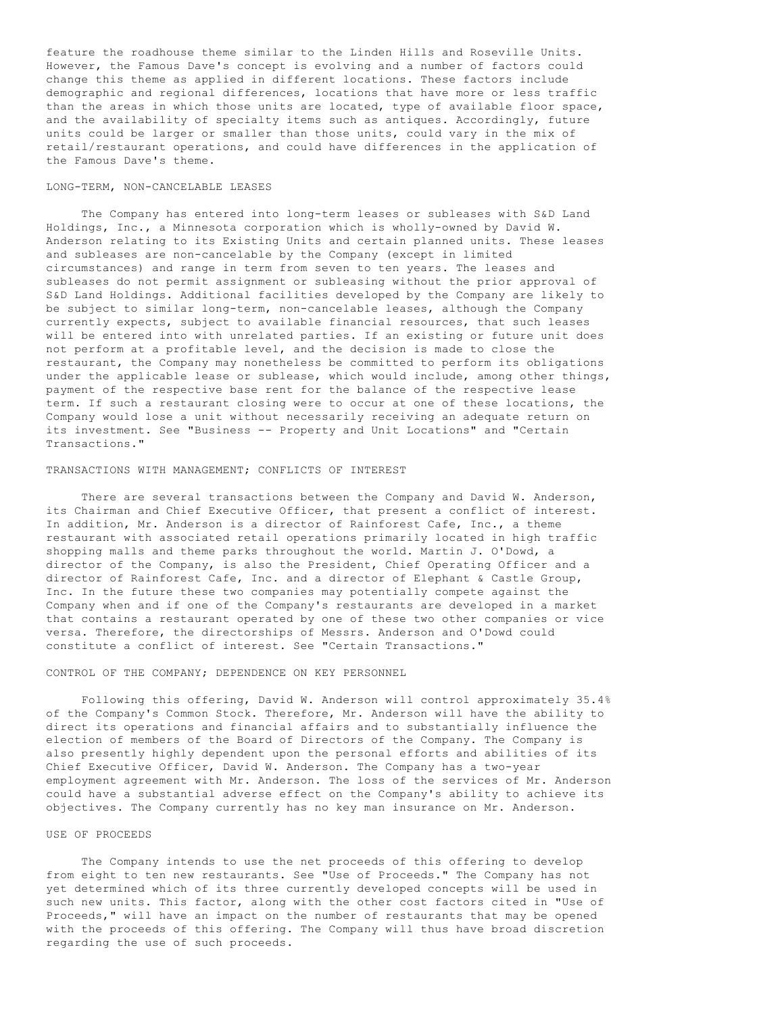feature the roadhouse theme similar to the Linden Hills and Roseville Units. However, the Famous Dave's concept is evolving and a number of factors could change this theme as applied in different locations. These factors include demographic and regional differences, locations that have more or less traffic than the areas in which those units are located, type of available floor space, and the availability of specialty items such as antiques. Accordingly, future units could be larger or smaller than those units, could vary in the mix of retail/restaurant operations, and could have differences in the application of the Famous Dave's theme.

## LONG-TERM, NON-CANCELABLE LEASES

 The Company has entered into long-term leases or subleases with S&D Land Holdings, Inc., a Minnesota corporation which is wholly-owned by David W. Anderson relating to its Existing Units and certain planned units. These leases and subleases are non-cancelable by the Company (except in limited circumstances) and range in term from seven to ten years. The leases and subleases do not permit assignment or subleasing without the prior approval of S&D Land Holdings. Additional facilities developed by the Company are likely to be subject to similar long-term, non-cancelable leases, although the Company currently expects, subject to available financial resources, that such leases will be entered into with unrelated parties. If an existing or future unit does not perform at a profitable level, and the decision is made to close the restaurant, the Company may nonetheless be committed to perform its obligations under the applicable lease or sublease, which would include, among other things, payment of the respective base rent for the balance of the respective lease term. If such a restaurant closing were to occur at one of these locations, the Company would lose a unit without necessarily receiving an adequate return on its investment. See "Business -- Property and Unit Locations" and "Certain Transactions."

#### TRANSACTIONS WITH MANAGEMENT; CONFLICTS OF INTEREST

 There are several transactions between the Company and David W. Anderson, its Chairman and Chief Executive Officer, that present a conflict of interest. In addition, Mr. Anderson is a director of Rainforest Cafe, Inc., a theme restaurant with associated retail operations primarily located in high traffic shopping malls and theme parks throughout the world. Martin J. O'Dowd, a director of the Company, is also the President, Chief Operating Officer and a director of Rainforest Cafe, Inc. and a director of Elephant & Castle Group, Inc. In the future these two companies may potentially compete against the Company when and if one of the Company's restaurants are developed in a market that contains a restaurant operated by one of these two other companies or vice versa. Therefore, the directorships of Messrs. Anderson and O'Dowd could constitute a conflict of interest. See "Certain Transactions."

#### CONTROL OF THE COMPANY; DEPENDENCE ON KEY PERSONNEL

 Following this offering, David W. Anderson will control approximately 35.4% of the Company's Common Stock. Therefore, Mr. Anderson will have the ability to direct its operations and financial affairs and to substantially influence the election of members of the Board of Directors of the Company. The Company is also presently highly dependent upon the personal efforts and abilities of its Chief Executive Officer, David W. Anderson. The Company has a two-year employment agreement with Mr. Anderson. The loss of the services of Mr. Anderson could have a substantial adverse effect on the Company's ability to achieve its objectives. The Company currently has no key man insurance on Mr. Anderson.

#### USE OF PROCEEDS

 The Company intends to use the net proceeds of this offering to develop from eight to ten new restaurants. See "Use of Proceeds." The Company has not yet determined which of its three currently developed concepts will be used in such new units. This factor, along with the other cost factors cited in "Use of Proceeds," will have an impact on the number of restaurants that may be opened with the proceeds of this offering. The Company will thus have broad discretion regarding the use of such proceeds.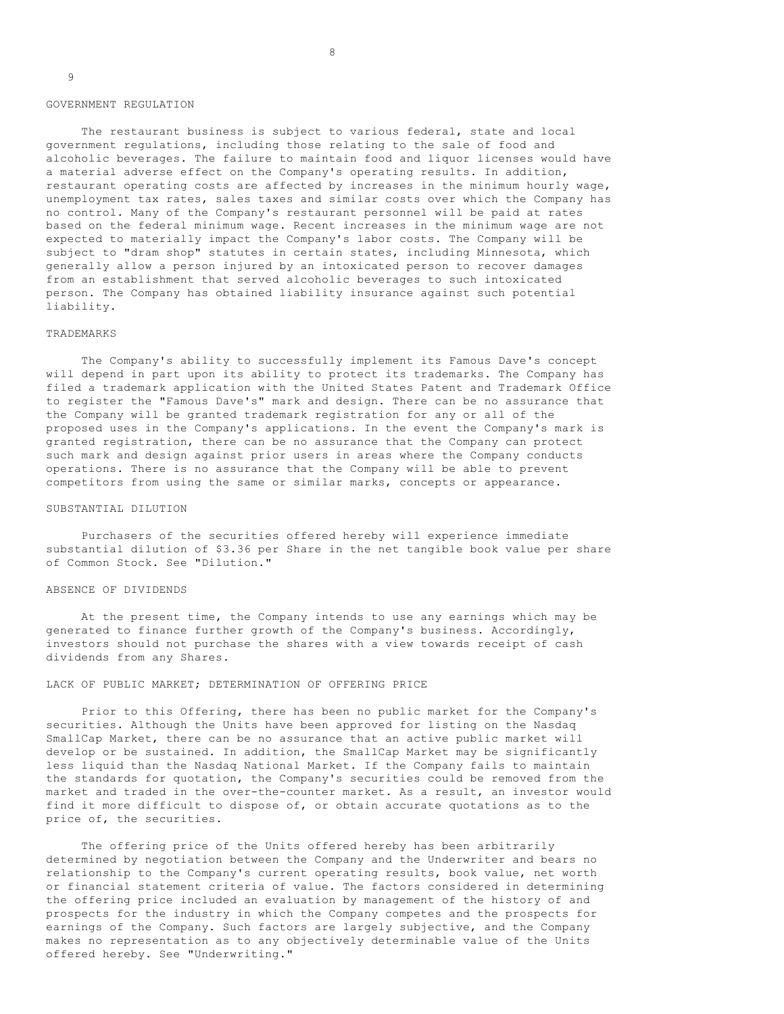#### GOVERNMENT REGULATION

 The restaurant business is subject to various federal, state and local government regulations, including those relating to the sale of food and alcoholic beverages. The failure to maintain food and liquor licenses would have a material adverse effect on the Company's operating results. In addition, restaurant operating costs are affected by increases in the minimum hourly wage, unemployment tax rates, sales taxes and similar costs over which the Company has no control. Many of the Company's restaurant personnel will be paid at rates based on the federal minimum wage. Recent increases in the minimum wage are not expected to materially impact the Company's labor costs. The Company will be subject to "dram shop" statutes in certain states, including Minnesota, which generally allow a person injured by an intoxicated person to recover damages from an establishment that served alcoholic beverages to such intoxicated person. The Company has obtained liability insurance against such potential liability.

#### TRADEMARKS

 The Company's ability to successfully implement its Famous Dave's concept will depend in part upon its ability to protect its trademarks. The Company has filed a trademark application with the United States Patent and Trademark Office to register the "Famous Dave's" mark and design. There can be no assurance that the Company will be granted trademark registration for any or all of the proposed uses in the Company's applications. In the event the Company's mark is granted registration, there can be no assurance that the Company can protect such mark and design against prior users in areas where the Company conducts operations. There is no assurance that the Company will be able to prevent competitors from using the same or similar marks, concepts or appearance.

## SUBSTANTIAL DILUTION

 Purchasers of the securities offered hereby will experience immediate substantial dilution of \$3.36 per Share in the net tangible book value per share of Common Stock. See "Dilution."

# ABSENCE OF DIVIDENDS

 At the present time, the Company intends to use any earnings which may be generated to finance further growth of the Company's business. Accordingly, investors should not purchase the shares with a view towards receipt of cash dividends from any Shares.

## LACK OF PUBLIC MARKET; DETERMINATION OF OFFERING PRICE

 Prior to this Offering, there has been no public market for the Company's securities. Although the Units have been approved for listing on the Nasdaq SmallCap Market, there can be no assurance that an active public market will develop or be sustained. In addition, the SmallCap Market may be significantly less liquid than the Nasdaq National Market. If the Company fails to maintain the standards for quotation, the Company's securities could be removed from the market and traded in the over-the-counter market. As a result, an investor would find it more difficult to dispose of, or obtain accurate quotations as to the price of, the securities.

 The offering price of the Units offered hereby has been arbitrarily determined by negotiation between the Company and the Underwriter and bears no relationship to the Company's current operating results, book value, net worth or financial statement criteria of value. The factors considered in determining the offering price included an evaluation by management of the history of and prospects for the industry in which the Company competes and the prospects for earnings of the Company. Such factors are largely subjective, and the Company makes no representation as to any objectively determinable value of the Units offered hereby. See "Underwriting."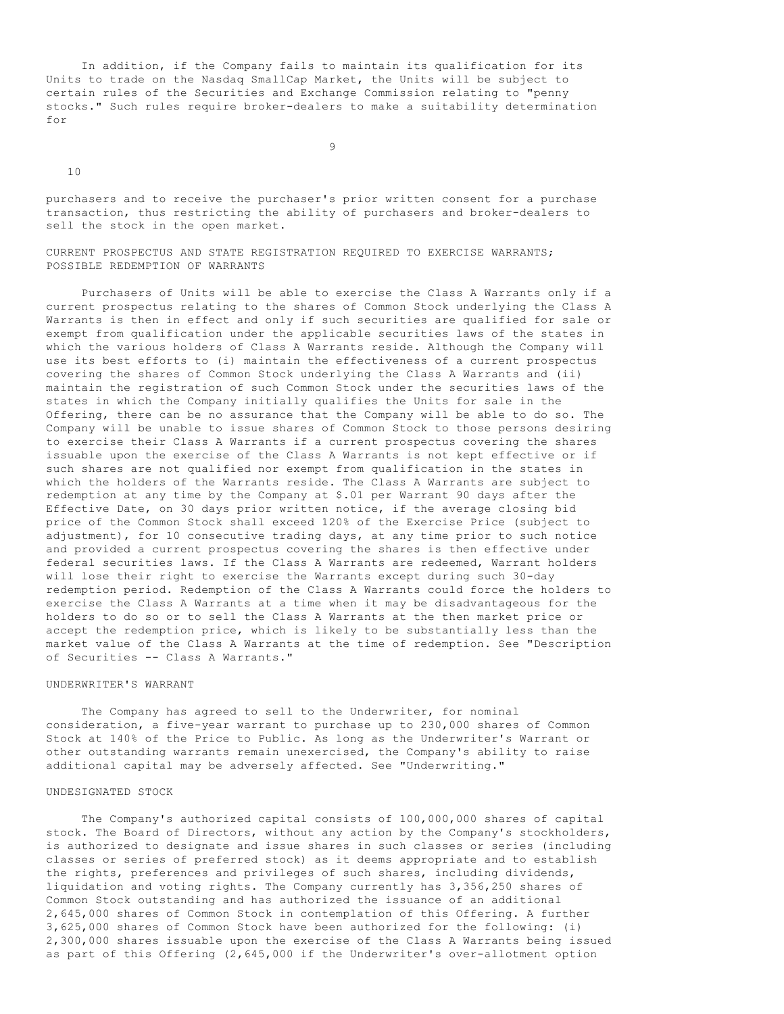In addition, if the Company fails to maintain its qualification for its Units to trade on the Nasdaq SmallCap Market, the Units will be subject to certain rules of the Securities and Exchange Commission relating to "penny stocks." Such rules require broker-dealers to make a suitability determination for

9

10

purchasers and to receive the purchaser's prior written consent for a purchase transaction, thus restricting the ability of purchasers and broker-dealers to sell the stock in the open market.

CURRENT PROSPECTUS AND STATE REGISTRATION REQUIRED TO EXERCISE WARRANTS; POSSIBLE REDEMPTION OF WARRANTS

 Purchasers of Units will be able to exercise the Class A Warrants only if a current prospectus relating to the shares of Common Stock underlying the Class A Warrants is then in effect and only if such securities are qualified for sale or exempt from qualification under the applicable securities laws of the states in which the various holders of Class A Warrants reside. Although the Company will use its best efforts to (i) maintain the effectiveness of a current prospectus covering the shares of Common Stock underlying the Class A Warrants and (ii) maintain the registration of such Common Stock under the securities laws of the states in which the Company initially qualifies the Units for sale in the Offering, there can be no assurance that the Company will be able to do so. The Company will be unable to issue shares of Common Stock to those persons desiring to exercise their Class A Warrants if a current prospectus covering the shares issuable upon the exercise of the Class A Warrants is not kept effective or if such shares are not qualified nor exempt from qualification in the states in which the holders of the Warrants reside. The Class A Warrants are subject to redemption at any time by the Company at \$.01 per Warrant 90 days after the Effective Date, on 30 days prior written notice, if the average closing bid price of the Common Stock shall exceed 120% of the Exercise Price (subject to adjustment), for 10 consecutive trading days, at any time prior to such notice and provided a current prospectus covering the shares is then effective under federal securities laws. If the Class A Warrants are redeemed, Warrant holders will lose their right to exercise the Warrants except during such 30-day redemption period. Redemption of the Class A Warrants could force the holders to exercise the Class A Warrants at a time when it may be disadvantageous for the holders to do so or to sell the Class A Warrants at the then market price or accept the redemption price, which is likely to be substantially less than the market value of the Class A Warrants at the time of redemption. See "Description of Securities -- Class A Warrants."

# UNDERWRITER'S WARRANT

The Company has agreed to sell to the Underwriter, for nominal consideration, a five-year warrant to purchase up to 230,000 shares of Common Stock at 140% of the Price to Public. As long as the Underwriter's Warrant or other outstanding warrants remain unexercised, the Company's ability to raise additional capital may be adversely affected. See "Underwriting."

## UNDESIGNATED STOCK

 The Company's authorized capital consists of 100,000,000 shares of capital stock. The Board of Directors, without any action by the Company's stockholders, is authorized to designate and issue shares in such classes or series (including classes or series of preferred stock) as it deems appropriate and to establish the rights, preferences and privileges of such shares, including dividends, liquidation and voting rights. The Company currently has 3,356,250 shares of Common Stock outstanding and has authorized the issuance of an additional 2,645,000 shares of Common Stock in contemplation of this Offering. A further 3,625,000 shares of Common Stock have been authorized for the following: (i) 2,300,000 shares issuable upon the exercise of the Class A Warrants being issued as part of this Offering (2,645,000 if the Underwriter's over-allotment option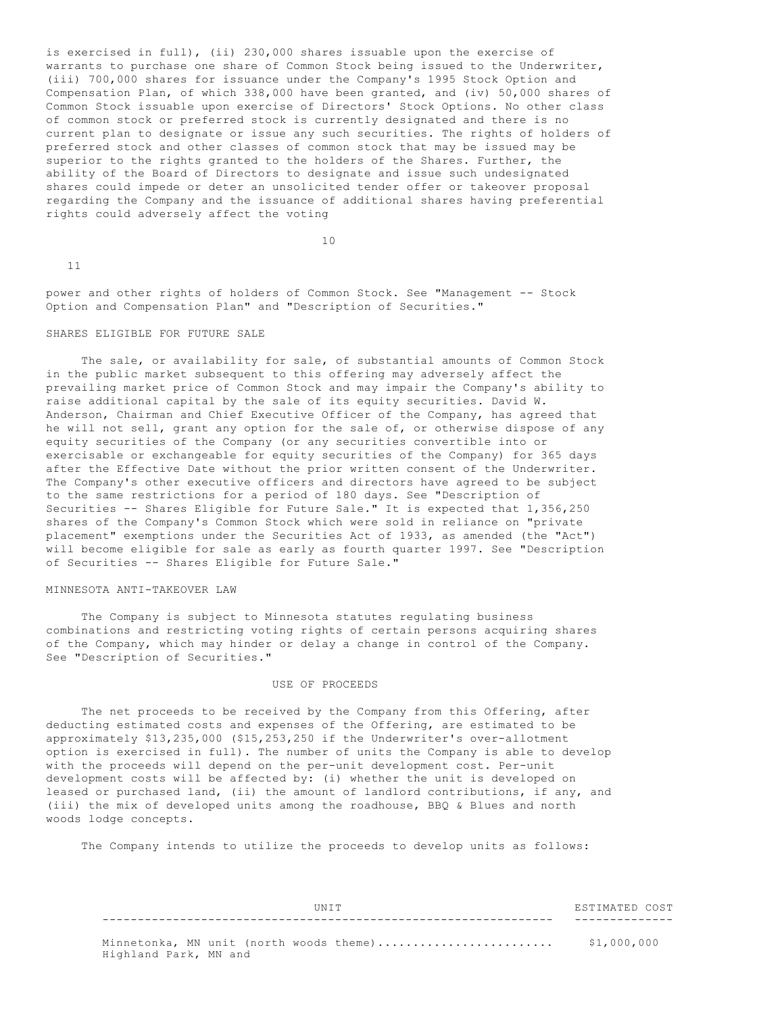is exercised in full), (ii) 230,000 shares issuable upon the exercise of warrants to purchase one share of Common Stock being issued to the Underwriter, (iii) 700,000 shares for issuance under the Company's 1995 Stock Option and Compensation Plan, of which 338,000 have been granted, and (iv) 50,000 shares of Common Stock issuable upon exercise of Directors' Stock Options. No other class of common stock or preferred stock is currently designated and there is no current plan to designate or issue any such securities. The rights of holders of preferred stock and other classes of common stock that may be issued may be superior to the rights granted to the holders of the Shares. Further, the ability of the Board of Directors to designate and issue such undesignated shares could impede or deter an unsolicited tender offer or takeover proposal regarding the Company and the issuance of additional shares having preferential rights could adversely affect the voting

10

11

power and other rights of holders of Common Stock. See "Management -- Stock Option and Compensation Plan" and "Description of Securities."

#### SHARES ELIGIBLE FOR FUTURE SALE

The sale, or availability for sale, of substantial amounts of Common Stock in the public market subsequent to this offering may adversely affect the prevailing market price of Common Stock and may impair the Company's ability to raise additional capital by the sale of its equity securities. David W. Anderson, Chairman and Chief Executive Officer of the Company, has agreed that he will not sell, grant any option for the sale of, or otherwise dispose of any equity securities of the Company (or any securities convertible into or exercisable or exchangeable for equity securities of the Company) for 365 days after the Effective Date without the prior written consent of the Underwriter. The Company's other executive officers and directors have agreed to be subject to the same restrictions for a period of 180 days. See "Description of Securities -- Shares Eligible for Future Sale." It is expected that 1,356,250 shares of the Company's Common Stock which were sold in reliance on "private placement" exemptions under the Securities Act of 1933, as amended (the "Act") will become eligible for sale as early as fourth quarter 1997. See "Description of Securities -- Shares Eligible for Future Sale."

# MINNESOTA ANTI-TAKEOVER LAW

 The Company is subject to Minnesota statutes regulating business combinations and restricting voting rights of certain persons acquiring shares of the Company, which may hinder or delay a change in control of the Company. See "Description of Securities."

## USE OF PROCEEDS

 The net proceeds to be received by the Company from this Offering, after deducting estimated costs and expenses of the Offering, are estimated to be approximately \$13,235,000 (\$15,253,250 if the Underwriter's over-allotment option is exercised in full). The number of units the Company is able to develop with the proceeds will depend on the per-unit development cost. Per-unit development costs will be affected by: (i) whether the unit is developed on leased or purchased land, (ii) the amount of landlord contributions, if any, and (iii) the mix of developed units among the roadhouse, BBQ & Blues and north woods lodge concepts.

The Company intends to utilize the proceeds to develop units as follows:

|    | $\sim$     |
|----|------------|
|    |            |
|    |            |
|    | __________ |
| __ | _ _ _      |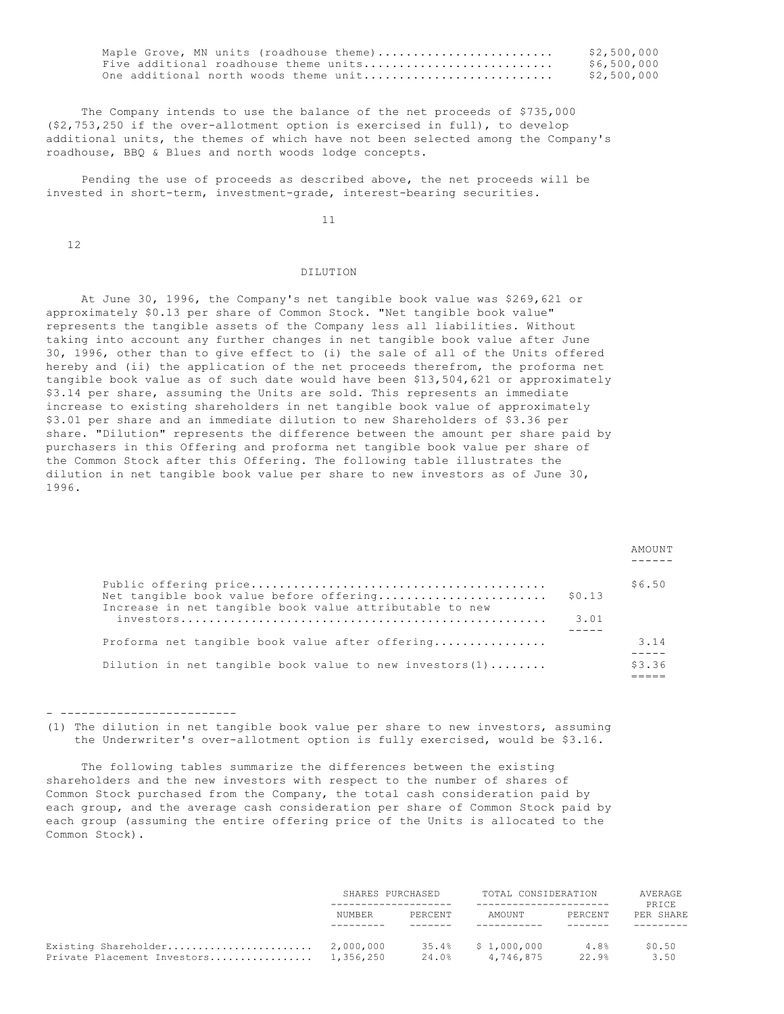| Maple Grove, MN units (roadhouse theme) | \$2,500,000 |
|-----------------------------------------|-------------|
| Five additional roadhouse theme units   | \$6,500,000 |
| One additional north woods theme unit   | \$2,500,000 |

 The Company intends to use the balance of the net proceeds of \$735,000 (\$2,753,250 if the over-allotment option is exercised in full), to develop additional units, the themes of which have not been selected among the Company's roadhouse, BBQ & Blues and north woods lodge concepts.

 Pending the use of proceeds as described above, the net proceeds will be invested in short-term, investment-grade, interest-bearing securities.

11

12

# DILUTION

 At June 30, 1996, the Company's net tangible book value was \$269,621 or approximately \$0.13 per share of Common Stock. "Net tangible book value" represents the tangible assets of the Company less all liabilities. Without taking into account any further changes in net tangible book value after June 30, 1996, other than to give effect to (i) the sale of all of the Units offered hereby and (ii) the application of the net proceeds therefrom, the proforma net tangible book value as of such date would have been \$13,504,621 or approximately \$3.14 per share, assuming the Units are sold. This represents an immediate increase to existing shareholders in net tangible book value of approximately \$3.01 per share and an immediate dilution to new Shareholders of \$3.36 per share. "Dilution" represents the difference between the amount per share paid by purchasers in this Offering and proforma net tangible book value per share of the Common Stock after this Offering. The following table illustrates the dilution in net tangible book value per share to new investors as of June 30, 1996.

|                                                                                                    |                | AMOUNT |
|----------------------------------------------------------------------------------------------------|----------------|--------|
| Net tangible book value before offering<br>Increase in net tangible book value attributable to new | \$0.13<br>3.01 | \$6.50 |
| Proforma net tangible book value after offering                                                    |                | 3.14   |
| Dilution in net tangible book value to new investors $(1)$                                         |                | \$3.36 |

- -------------------------

(1) The dilution in net tangible book value per share to new investors, assuming the Underwriter's over-allotment option is fully exercised, would be \$3.16.

 The following tables summarize the differences between the existing shareholders and the new investors with respect to the number of shares of Common Stock purchased from the Company, the total cash consideration paid by each group, and the average cash consideration per share of Common Stock paid by each group (assuming the entire offering price of the Units is allocated to the Common Stock).

|                             | SHARES PURCHASED |                | TOTAL CONSIDERATION      |               | AVERAGE<br>PRICE |  |
|-----------------------------|------------------|----------------|--------------------------|---------------|------------------|--|
|                             | NIIMBER          | PERCENT        | AMOUNT                   | PERCENT       | PER SHARE        |  |
| Private Placement Investors | 1,356,250        | 35.4%<br>24.0% | \$1,000,000<br>4,746,875 | 4.8%<br>22.9% | \$0.50<br>3.50   |  |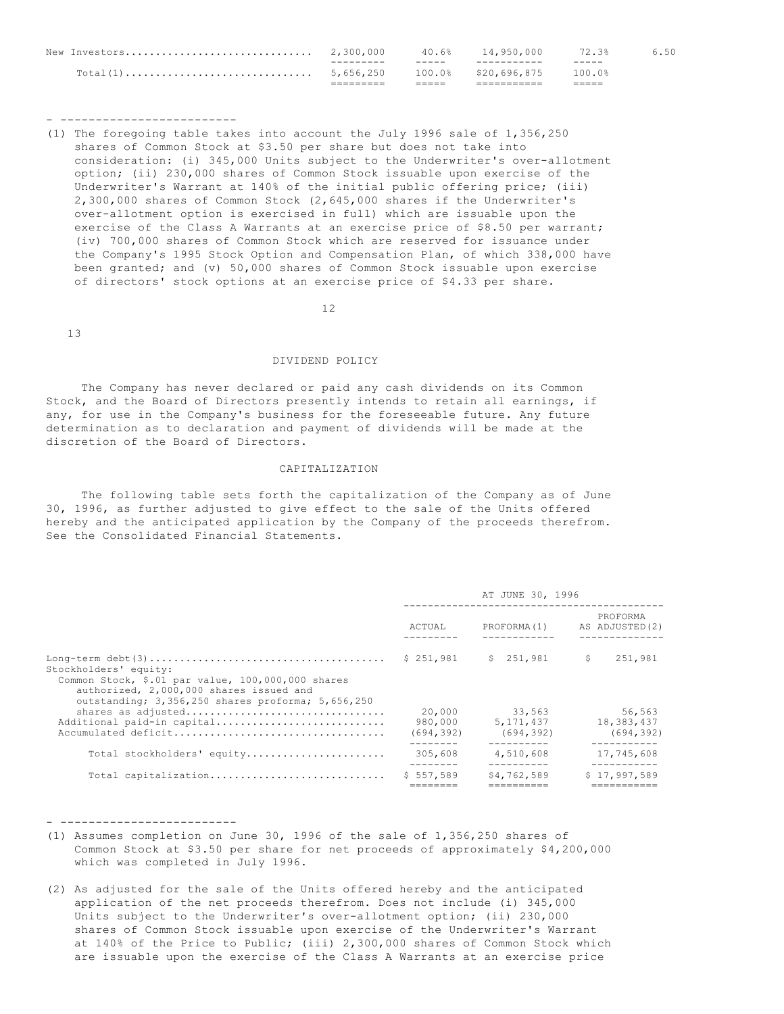|               |           | _____ |                     |        |      |
|---------------|-----------|-------|---------------------|--------|------|
|               |           |       | 100.0% \$20.696.875 | 100.0% |      |
|               |           | ----- |                     | -----  |      |
| New Investors | 2,300,000 | 40.6% | 14,950,000          | 72.3%  | 6.50 |

- -------------------------

(1) The foregoing table takes into account the July 1996 sale of 1,356,250 shares of Common Stock at \$3.50 per share but does not take into consideration: (i) 345,000 Units subject to the Underwriter's over-allotment option; (ii) 230,000 shares of Common Stock issuable upon exercise of the Underwriter's Warrant at 140% of the initial public offering price; (iii) 2,300,000 shares of Common Stock (2,645,000 shares if the Underwriter's over-allotment option is exercised in full) which are issuable upon the exercise of the Class A Warrants at an exercise price of \$8.50 per warrant; (iv) 700,000 shares of Common Stock which are reserved for issuance under the Company's 1995 Stock Option and Compensation Plan, of which 338,000 have been granted; and (v) 50,000 shares of Common Stock issuable upon exercise of directors' stock options at an exercise price of \$4.33 per share.

12

13

#### DIVIDEND POLICY

 The Company has never declared or paid any cash dividends on its Common Stock, and the Board of Directors presently intends to retain all earnings, if any, for use in the Company's business for the foreseeable future. Any future determination as to declaration and payment of dividends will be made at the discretion of the Board of Directors.

## CAPITALIZATION

 The following table sets forth the capitalization of the Company as of June 30, 1996, as further adjusted to give effect to the sale of the Units offered hereby and the anticipated application by the Company of the proceeds therefrom. See the Consolidated Financial Statements.

|                                                                                                                                                                            |                                 | AT JUNE 30, 1996                    |                                    |
|----------------------------------------------------------------------------------------------------------------------------------------------------------------------------|---------------------------------|-------------------------------------|------------------------------------|
|                                                                                                                                                                            | ACTUAL                          | PROFORMA(1)                         | PROFORMA<br>AS ADJUSTED (2)        |
| Stockholders' equity:<br>Common Stock, \$.01 par value, 100,000,000 shares<br>authorized, 2,000,000 shares issued and<br>outstanding; 3,356,250 shares proforma; 5,656,250 | \$251,981                       | \$251.981                           | - S<br>251,981                     |
| shares as adjusted<br>Additional paid-in capital                                                                                                                           | 20,000<br>980,000<br>(694, 392) | 33,563<br>5, 171, 437<br>(694, 392) | 56,563<br>18,383,437<br>(694, 392) |
| Total stockholders' equity                                                                                                                                                 | 305,608                         | 4,510,608                           | 17,745,608                         |
| Total capitalization                                                                                                                                                       | \$557.589                       | \$4,762,589                         | \$17,997,589                       |

- -------------------------

- (1) Assumes completion on June 30, 1996 of the sale of 1,356,250 shares of Common Stock at \$3.50 per share for net proceeds of approximately \$4,200,000 which was completed in July 1996.
- (2) As adjusted for the sale of the Units offered hereby and the anticipated application of the net proceeds therefrom. Does not include (i) 345,000 Units subject to the Underwriter's over-allotment option; (ii) 230,000 shares of Common Stock issuable upon exercise of the Underwriter's Warrant at 140% of the Price to Public; (iii) 2,300,000 shares of Common Stock which are issuable upon the exercise of the Class A Warrants at an exercise price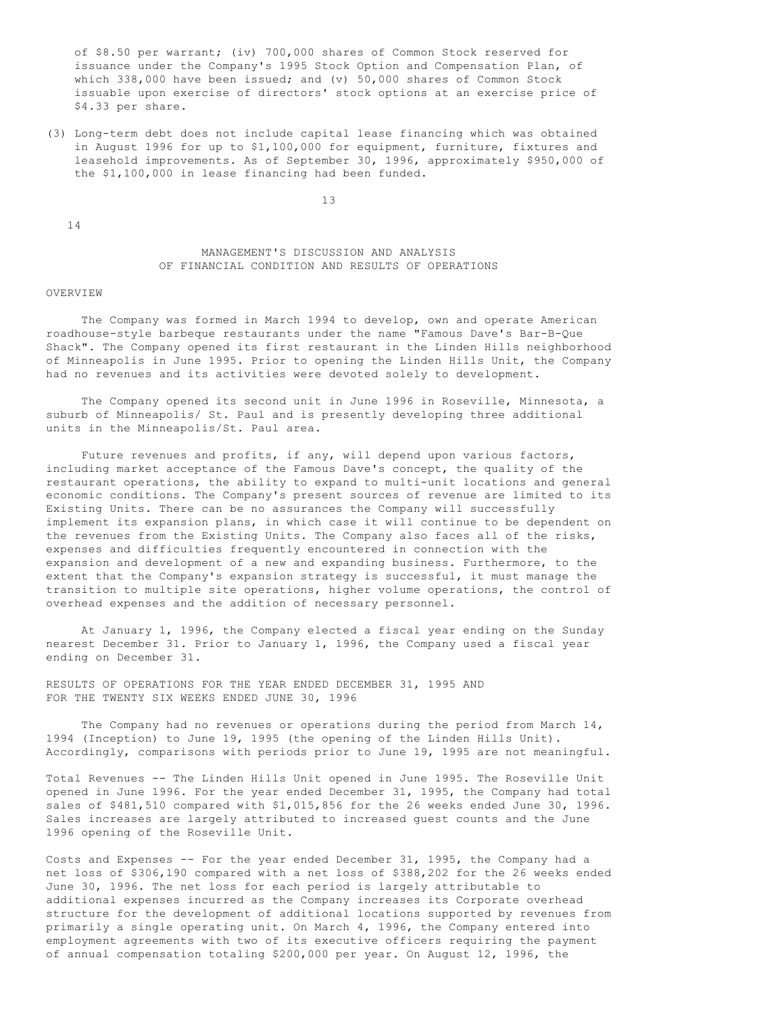of \$8.50 per warrant; (iv) 700,000 shares of Common Stock reserved for issuance under the Company's 1995 Stock Option and Compensation Plan, of which 338,000 have been issued; and (v) 50,000 shares of Common Stock issuable upon exercise of directors' stock options at an exercise price of \$4.33 per share.

(3) Long-term debt does not include capital lease financing which was obtained in August 1996 for up to \$1,100,000 for equipment, furniture, fixtures and leasehold improvements. As of September 30, 1996, approximately \$950,000 of the \$1,100,000 in lease financing had been funded.

13

14

# MANAGEMENT'S DISCUSSION AND ANALYSIS OF FINANCIAL CONDITION AND RESULTS OF OPERATIONS

#### OVERVIEW

 The Company was formed in March 1994 to develop, own and operate American roadhouse-style barbeque restaurants under the name "Famous Dave's Bar-B-Que Shack". The Company opened its first restaurant in the Linden Hills neighborhood of Minneapolis in June 1995. Prior to opening the Linden Hills Unit, the Company had no revenues and its activities were devoted solely to development.

 The Company opened its second unit in June 1996 in Roseville, Minnesota, a suburb of Minneapolis/ St. Paul and is presently developing three additional units in the Minneapolis/St. Paul area.

Future revenues and profits, if any, will depend upon various factors, including market acceptance of the Famous Dave's concept, the quality of the restaurant operations, the ability to expand to multi-unit locations and general economic conditions. The Company's present sources of revenue are limited to its Existing Units. There can be no assurances the Company will successfully implement its expansion plans, in which case it will continue to be dependent on the revenues from the Existing Units. The Company also faces all of the risks, expenses and difficulties frequently encountered in connection with the expansion and development of a new and expanding business. Furthermore, to the extent that the Company's expansion strategy is successful, it must manage the transition to multiple site operations, higher volume operations, the control of overhead expenses and the addition of necessary personnel.

 At January 1, 1996, the Company elected a fiscal year ending on the Sunday nearest December 31. Prior to January 1, 1996, the Company used a fiscal year ending on December 31.

RESULTS OF OPERATIONS FOR THE YEAR ENDED DECEMBER 31, 1995 AND FOR THE TWENTY SIX WEEKS ENDED JUNE 30, 1996

 The Company had no revenues or operations during the period from March 14, 1994 (Inception) to June 19, 1995 (the opening of the Linden Hills Unit). Accordingly, comparisons with periods prior to June 19, 1995 are not meaningful.

Total Revenues -- The Linden Hills Unit opened in June 1995. The Roseville Unit opened in June 1996. For the year ended December 31, 1995, the Company had total sales of \$481,510 compared with \$1,015,856 for the 26 weeks ended June 30, 1996. Sales increases are largely attributed to increased guest counts and the June 1996 opening of the Roseville Unit.

Costs and Expenses -- For the year ended December 31, 1995, the Company had a net loss of \$306,190 compared with a net loss of \$388,202 for the 26 weeks ended June 30, 1996. The net loss for each period is largely attributable to additional expenses incurred as the Company increases its Corporate overhead structure for the development of additional locations supported by revenues from primarily a single operating unit. On March 4, 1996, the Company entered into employment agreements with two of its executive officers requiring the payment of annual compensation totaling \$200,000 per year. On August 12, 1996, the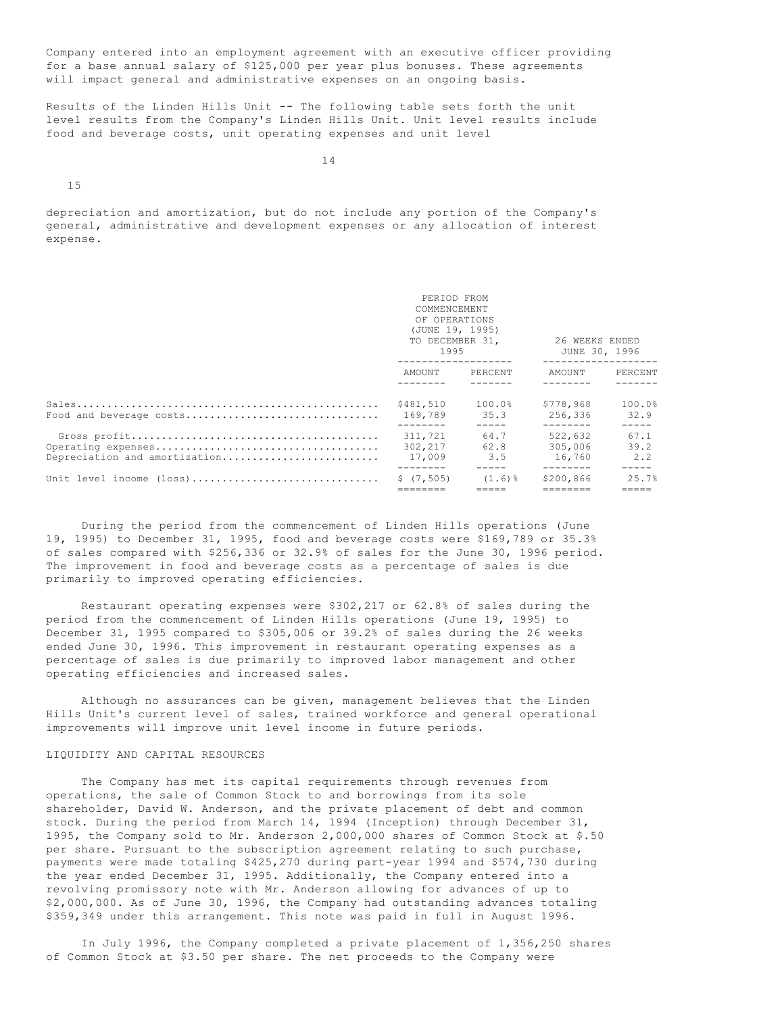Company entered into an employment agreement with an executive officer providing for a base annual salary of \$125,000 per year plus bonuses. These agreements will impact general and administrative expenses on an ongoing basis.

Results of the Linden Hills Unit -- The following table sets forth the unit level results from the Company's Linden Hills Unit. Unit level results include food and beverage costs, unit operating expenses and unit level

14

15

depreciation and amortization, but do not include any portion of the Company's general, administrative and development expenses or any allocation of interest expense.

|                                              | PERIOD FROM<br>COMMENCEMENT<br>OF OPERATIONS<br>(JUNE 19, 1995)<br>TO DECEMBER 31,<br>1995 |                     | 26 WEEKS ENDED<br>JUNE 30, 1996<br>.      |                                    |
|----------------------------------------------|--------------------------------------------------------------------------------------------|---------------------|-------------------------------------------|------------------------------------|
|                                              | AMOUNT PERCENT                                                                             |                     | AMOUNT                                    | PERCENT                            |
| Food and beverage costs                      | \$481,510<br>169.789                                                                       | 100.0%<br>35.3      | \$778.968<br>256,336<br>$- - - - - - - -$ | 100.0%<br>32.9<br>$- - - - -$      |
| Depreciation and amortization                | 311,721<br>302,217<br>17,009                                                               | 64.7<br>62.8<br>3.5 | 522,632<br>305,006<br>16,760              | 67.1<br>39.2<br>2.2<br>$- - - - -$ |
| Unit level income $(\text{loss})$ \$ (7,505) |                                                                                            | $(1.6)$ %           | \$200,866                                 | 25.7%                              |

 During the period from the commencement of Linden Hills operations (June 19, 1995) to December 31, 1995, food and beverage costs were \$169,789 or 35.3% of sales compared with \$256,336 or 32.9% of sales for the June 30, 1996 period. The improvement in food and beverage costs as a percentage of sales is due primarily to improved operating efficiencies.

 Restaurant operating expenses were \$302,217 or 62.8% of sales during the period from the commencement of Linden Hills operations (June 19, 1995) to December 31, 1995 compared to \$305,006 or 39.2% of sales during the 26 weeks ended June 30, 1996. This improvement in restaurant operating expenses as a percentage of sales is due primarily to improved labor management and other operating efficiencies and increased sales.

 Although no assurances can be given, management believes that the Linden Hills Unit's current level of sales, trained workforce and general operational improvements will improve unit level income in future periods.

# LIQUIDITY AND CAPITAL RESOURCES

 The Company has met its capital requirements through revenues from operations, the sale of Common Stock to and borrowings from its sole shareholder, David W. Anderson, and the private placement of debt and common stock. During the period from March 14, 1994 (Inception) through December 31, 1995, the Company sold to Mr. Anderson 2,000,000 shares of Common Stock at \$.50 per share. Pursuant to the subscription agreement relating to such purchase, payments were made totaling \$425,270 during part-year 1994 and \$574,730 during the year ended December 31, 1995. Additionally, the Company entered into a revolving promissory note with Mr. Anderson allowing for advances of up to \$2,000,000. As of June 30, 1996, the Company had outstanding advances totaling \$359,349 under this arrangement. This note was paid in full in August 1996.

 In July 1996, the Company completed a private placement of 1,356,250 shares of Common Stock at \$3.50 per share. The net proceeds to the Company were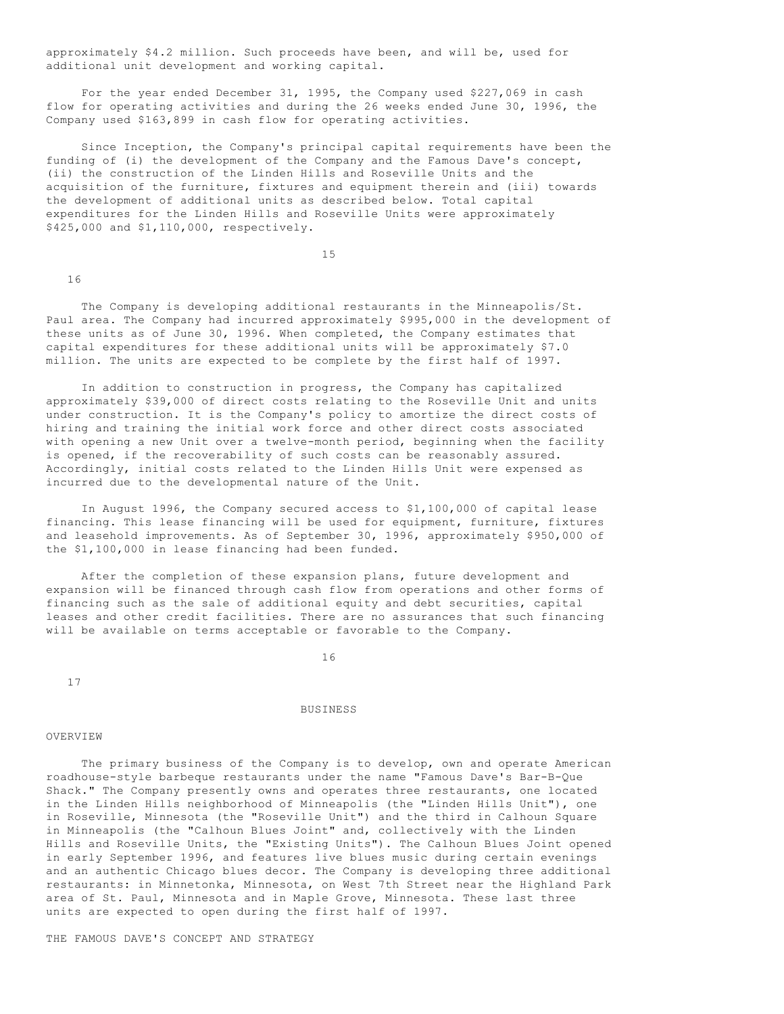approximately \$4.2 million. Such proceeds have been, and will be, used for additional unit development and working capital.

 For the year ended December 31, 1995, the Company used \$227,069 in cash flow for operating activities and during the 26 weeks ended June 30, 1996, the Company used \$163,899 in cash flow for operating activities.

 Since Inception, the Company's principal capital requirements have been the funding of (i) the development of the Company and the Famous Dave's concept, (ii) the construction of the Linden Hills and Roseville Units and the acquisition of the furniture, fixtures and equipment therein and (iii) towards the development of additional units as described below. Total capital expenditures for the Linden Hills and Roseville Units were approximately \$425,000 and \$1,110,000, respectively.

15

16

 The Company is developing additional restaurants in the Minneapolis/St. Paul area. The Company had incurred approximately \$995,000 in the development of these units as of June 30, 1996. When completed, the Company estimates that capital expenditures for these additional units will be approximately \$7.0 million. The units are expected to be complete by the first half of 1997.

 In addition to construction in progress, the Company has capitalized approximately \$39,000 of direct costs relating to the Roseville Unit and units under construction. It is the Company's policy to amortize the direct costs of hiring and training the initial work force and other direct costs associated with opening a new Unit over a twelve-month period, beginning when the facility is opened, if the recoverability of such costs can be reasonably assured. Accordingly, initial costs related to the Linden Hills Unit were expensed as incurred due to the developmental nature of the Unit.

 In August 1996, the Company secured access to \$1,100,000 of capital lease financing. This lease financing will be used for equipment, furniture, fixtures and leasehold improvements. As of September 30, 1996, approximately \$950,000 of the \$1,100,000 in lease financing had been funded.

After the completion of these expansion plans, future development and expansion will be financed through cash flow from operations and other forms of financing such as the sale of additional equity and debt securities, capital leases and other credit facilities. There are no assurances that such financing will be available on terms acceptable or favorable to the Company.

16

17

#### BUSINESS

#### **OVERVIEW**

 The primary business of the Company is to develop, own and operate American roadhouse-style barbeque restaurants under the name "Famous Dave's Bar-B-Que Shack." The Company presently owns and operates three restaurants, one located in the Linden Hills neighborhood of Minneapolis (the "Linden Hills Unit"), one in Roseville, Minnesota (the "Roseville Unit") and the third in Calhoun Square in Minneapolis (the "Calhoun Blues Joint" and, collectively with the Linden Hills and Roseville Units, the "Existing Units"). The Calhoun Blues Joint opened in early September 1996, and features live blues music during certain evenings and an authentic Chicago blues decor. The Company is developing three additional restaurants: in Minnetonka, Minnesota, on West 7th Street near the Highland Park area of St. Paul, Minnesota and in Maple Grove, Minnesota. These last three units are expected to open during the first half of 1997.

THE FAMOUS DAVE'S CONCEPT AND STRATEGY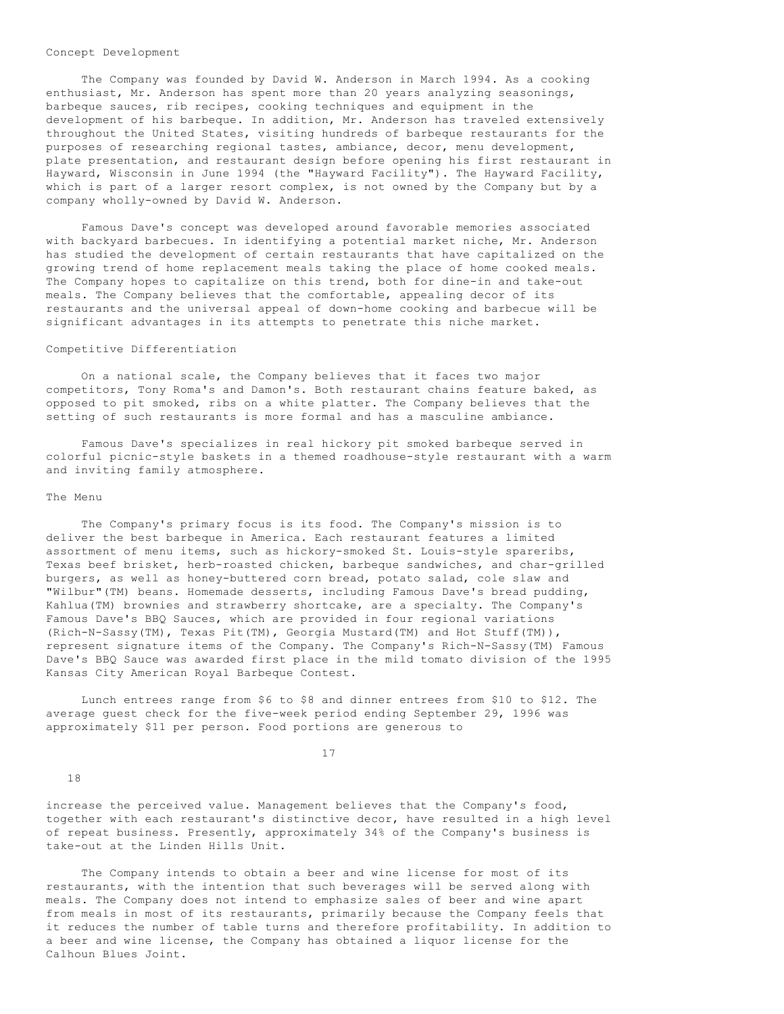#### Concept Development

 The Company was founded by David W. Anderson in March 1994. As a cooking enthusiast, Mr. Anderson has spent more than 20 years analyzing seasonings, barbeque sauces, rib recipes, cooking techniques and equipment in the development of his barbeque. In addition, Mr. Anderson has traveled extensively throughout the United States, visiting hundreds of barbeque restaurants for the purposes of researching regional tastes, ambiance, decor, menu development, plate presentation, and restaurant design before opening his first restaurant in Hayward, Wisconsin in June 1994 (the "Hayward Facility"). The Hayward Facility, which is part of a larger resort complex, is not owned by the Company but by a company wholly-owned by David W. Anderson.

 Famous Dave's concept was developed around favorable memories associated with backyard barbecues. In identifying a potential market niche, Mr. Anderson has studied the development of certain restaurants that have capitalized on the growing trend of home replacement meals taking the place of home cooked meals. The Company hopes to capitalize on this trend, both for dine-in and take-out meals. The Company believes that the comfortable, appealing decor of its restaurants and the universal appeal of down-home cooking and barbecue will be significant advantages in its attempts to penetrate this niche market.

### Competitive Differentiation

 On a national scale, the Company believes that it faces two major competitors, Tony Roma's and Damon's. Both restaurant chains feature baked, as opposed to pit smoked, ribs on a white platter. The Company believes that the setting of such restaurants is more formal and has a masculine ambiance.

 Famous Dave's specializes in real hickory pit smoked barbeque served in colorful picnic-style baskets in a themed roadhouse-style restaurant with a warm and inviting family atmosphere.

#### The Menu

 The Company's primary focus is its food. The Company's mission is to deliver the best barbeque in America. Each restaurant features a limited assortment of menu items, such as hickory-smoked St. Louis-style spareribs, Texas beef brisket, herb-roasted chicken, barbeque sandwiches, and char-grilled burgers, as well as honey-buttered corn bread, potato salad, cole slaw and "Wilbur"(TM) beans. Homemade desserts, including Famous Dave's bread pudding, Kahlua(TM) brownies and strawberry shortcake, are a specialty. The Company's Famous Dave's BBQ Sauces, which are provided in four regional variations (Rich-N-Sassy(TM), Texas Pit(TM), Georgia Mustard(TM) and Hot Stuff(TM)), represent signature items of the Company. The Company's Rich-N-Sassy(TM) Famous Dave's BBQ Sauce was awarded first place in the mild tomato division of the 1995 Kansas City American Royal Barbeque Contest.

 Lunch entrees range from \$6 to \$8 and dinner entrees from \$10 to \$12. The average guest check for the five-week period ending September 29, 1996 was approximately \$11 per person. Food portions are generous to

17

18

increase the perceived value. Management believes that the Company's food, together with each restaurant's distinctive decor, have resulted in a high level of repeat business. Presently, approximately 34% of the Company's business is take-out at the Linden Hills Unit.

 The Company intends to obtain a beer and wine license for most of its restaurants, with the intention that such beverages will be served along with meals. The Company does not intend to emphasize sales of beer and wine apart from meals in most of its restaurants, primarily because the Company feels that it reduces the number of table turns and therefore profitability. In addition to a beer and wine license, the Company has obtained a liquor license for the Calhoun Blues Joint.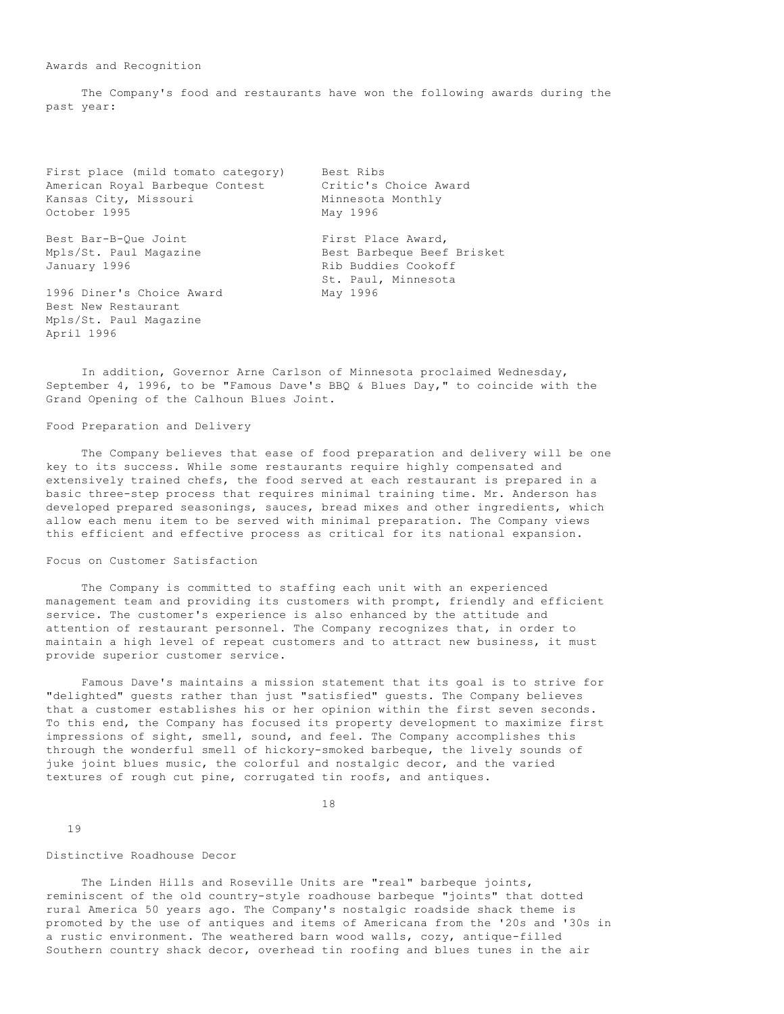Awards and Recognition

 The Company's food and restaurants have won the following awards during the past year:

| First place (mild tomato category)<br>American Royal Barbeque Contest<br>Kansas City, Missouri<br>October 1995 | Best Ribs<br>Critic's Choice Award<br>Minnesota Monthly<br>May 1996                            |
|----------------------------------------------------------------------------------------------------------------|------------------------------------------------------------------------------------------------|
| Best Bar-B-Oue Joint<br>Mpls/St. Paul Magazine<br>January 1996                                                 | First Place Award,<br>Best Barbeque Beef Brisket<br>Rib Buddies Cookoff<br>St. Paul, Minnesota |
| 1996 Diner's Choice Award<br>Best New Restaurant<br>Mpls/St. Paul Magazine<br>April 1996                       | May 1996                                                                                       |

 In addition, Governor Arne Carlson of Minnesota proclaimed Wednesday, September 4, 1996, to be "Famous Dave's BBQ & Blues Day," to coincide with the Grand Opening of the Calhoun Blues Joint.

Food Preparation and Delivery

 The Company believes that ease of food preparation and delivery will be one key to its success. While some restaurants require highly compensated and extensively trained chefs, the food served at each restaurant is prepared in a basic three-step process that requires minimal training time. Mr. Anderson has developed prepared seasonings, sauces, bread mixes and other ingredients, which allow each menu item to be served with minimal preparation. The Company views this efficient and effective process as critical for its national expansion.

### Focus on Customer Satisfaction

 The Company is committed to staffing each unit with an experienced management team and providing its customers with prompt, friendly and efficient service. The customer's experience is also enhanced by the attitude and attention of restaurant personnel. The Company recognizes that, in order to maintain a high level of repeat customers and to attract new business, it must provide superior customer service.

 Famous Dave's maintains a mission statement that its goal is to strive for "delighted" guests rather than just "satisfied" guests. The Company believes that a customer establishes his or her opinion within the first seven seconds. To this end, the Company has focused its property development to maximize first impressions of sight, smell, sound, and feel. The Company accomplishes this through the wonderful smell of hickory-smoked barbeque, the lively sounds of juke joint blues music, the colorful and nostalgic decor, and the varied textures of rough cut pine, corrugated tin roofs, and antiques.

18

19

## Distinctive Roadhouse Decor

 The Linden Hills and Roseville Units are "real" barbeque joints, reminiscent of the old country-style roadhouse barbeque "joints" that dotted rural America 50 years ago. The Company's nostalgic roadside shack theme is promoted by the use of antiques and items of Americana from the '20s and '30s in a rustic environment. The weathered barn wood walls, cozy, antique-filled Southern country shack decor, overhead tin roofing and blues tunes in the air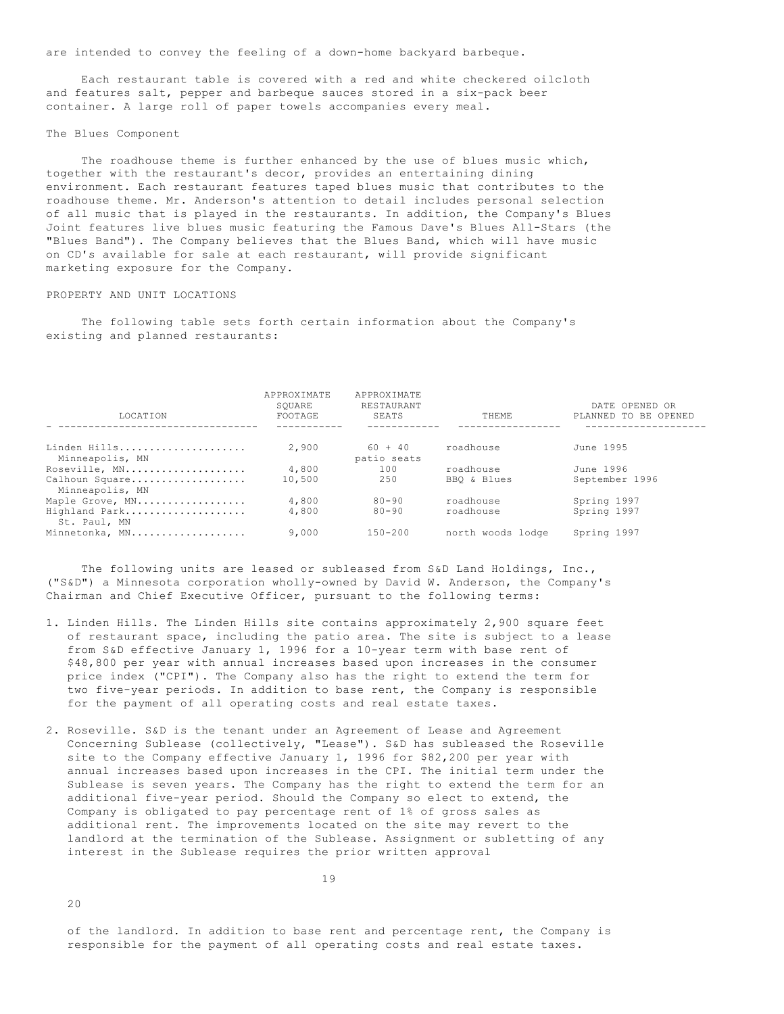are intended to convey the feeling of a down-home backyard barbeque.

 Each restaurant table is covered with a red and white checkered oilcloth and features salt, pepper and barbeque sauces stored in a six-pack beer container. A large roll of paper towels accompanies every meal.

#### The Blues Component

 The roadhouse theme is further enhanced by the use of blues music which, together with the restaurant's decor, provides an entertaining dining environment. Each restaurant features taped blues music that contributes to the roadhouse theme. Mr. Anderson's attention to detail includes personal selection of all music that is played in the restaurants. In addition, the Company's Blues Joint features live blues music featuring the Famous Dave's Blues All-Stars (the "Blues Band"). The Company believes that the Blues Band, which will have music on CD's available for sale at each restaurant, will provide significant marketing exposure for the Company.

### PROPERTY AND UNIT LOCATIONS

 The following table sets forth certain information about the Company's existing and planned restaurants:

| LOCATION                          | <b>APPROXIMATE</b><br>SOUARE<br>FOOTAGE | APPROXIMATE<br>RESTAURANT<br>SEATS | THEME             | DATE OPENED OR<br>PLANNED TO BE OPENED |
|-----------------------------------|-----------------------------------------|------------------------------------|-------------------|----------------------------------------|
|                                   |                                         |                                    |                   |                                        |
| Linden Hills<br>Minneapolis, MN   | 2,900                                   | $60 + 40$<br>patio seats           | roadhouse         | June 1995                              |
| Roseville, MN                     | 4,800                                   | 100                                | roadhouse         | June 1996                              |
| Calhoun Square<br>Minneapolis, MN | 10,500                                  | 2.50                               | BBO & Blues       | September 1996                         |
| Maple Grove, MN                   | 4,800                                   | $80 - 90$                          | roadhouse         | Spring 1997                            |
| Highland Park<br>St. Paul, MN     | 4,800                                   | $80 - 90$                          | roadhouse         | Spring 1997                            |
| Minnetonka, MN                    | 9,000                                   | $150 - 200$                        | north woods lodge | Spring 1997                            |

 The following units are leased or subleased from S&D Land Holdings, Inc., ("S&D") a Minnesota corporation wholly-owned by David W. Anderson, the Company's Chairman and Chief Executive Officer, pursuant to the following terms:

- 1. Linden Hills. The Linden Hills site contains approximately 2,900 square feet of restaurant space, including the patio area. The site is subject to a lease from S&D effective January 1, 1996 for a 10-year term with base rent of \$48,800 per year with annual increases based upon increases in the consumer price index ("CPI"). The Company also has the right to extend the term for two five-year periods. In addition to base rent, the Company is responsible for the payment of all operating costs and real estate taxes.
- 2. Roseville. S&D is the tenant under an Agreement of Lease and Agreement Concerning Sublease (collectively, "Lease"). S&D has subleased the Roseville site to the Company effective January 1, 1996 for \$82,200 per year with annual increases based upon increases in the CPI. The initial term under the Sublease is seven years. The Company has the right to extend the term for an additional five-year period. Should the Company so elect to extend, the Company is obligated to pay percentage rent of 1% of gross sales as additional rent. The improvements located on the site may revert to the landlord at the termination of the Sublease. Assignment or subletting of any interest in the Sublease requires the prior written approval

 $20$ 

 of the landlord. In addition to base rent and percentage rent, the Company is responsible for the payment of all operating costs and real estate taxes.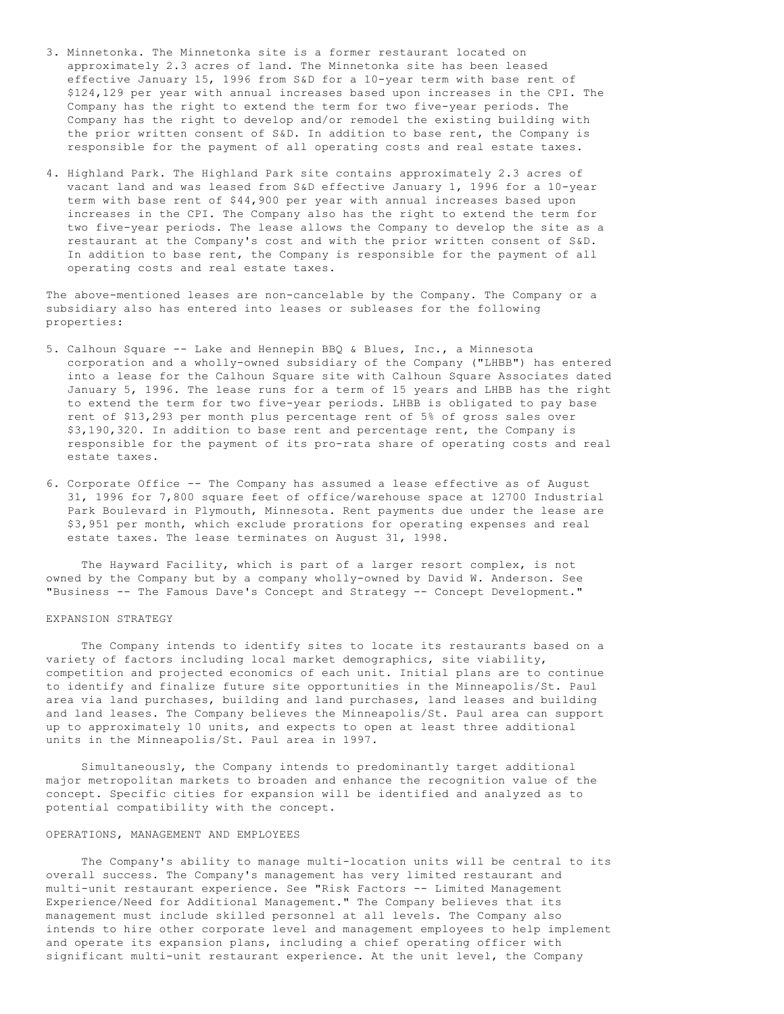- 3. Minnetonka. The Minnetonka site is a former restaurant located on approximately 2.3 acres of land. The Minnetonka site has been leased effective January 15, 1996 from S&D for a 10-year term with base rent of \$124,129 per year with annual increases based upon increases in the CPI. The Company has the right to extend the term for two five-year periods. The Company has the right to develop and/or remodel the existing building with the prior written consent of S&D. In addition to base rent, the Company is responsible for the payment of all operating costs and real estate taxes.
- 4. Highland Park. The Highland Park site contains approximately 2.3 acres of vacant land and was leased from S&D effective January 1, 1996 for a 10-year term with base rent of \$44,900 per year with annual increases based upon increases in the CPI. The Company also has the right to extend the term for two five-year periods. The lease allows the Company to develop the site as a restaurant at the Company's cost and with the prior written consent of S&D. In addition to base rent, the Company is responsible for the payment of all operating costs and real estate taxes.

The above-mentioned leases are non-cancelable by the Company. The Company or a subsidiary also has entered into leases or subleases for the following properties:

- 5. Calhoun Square -- Lake and Hennepin BBQ & Blues, Inc., a Minnesota corporation and a wholly-owned subsidiary of the Company ("LHBB") has entered into a lease for the Calhoun Square site with Calhoun Square Associates dated January 5, 1996. The lease runs for a term of 15 years and LHBB has the right to extend the term for two five-year periods. LHBB is obligated to pay base rent of \$13,293 per month plus percentage rent of 5% of gross sales over \$3,190,320. In addition to base rent and percentage rent, the Company is responsible for the payment of its pro-rata share of operating costs and real estate taxes.
- 6. Corporate Office -- The Company has assumed a lease effective as of August 31, 1996 for 7,800 square feet of office/warehouse space at 12700 Industrial Park Boulevard in Plymouth, Minnesota. Rent payments due under the lease are \$3,951 per month, which exclude prorations for operating expenses and real estate taxes. The lease terminates on August 31, 1998.

 The Hayward Facility, which is part of a larger resort complex, is not owned by the Company but by a company wholly-owned by David W. Anderson. See "Business -- The Famous Dave's Concept and Strategy -- Concept Development."

# EXPANSION STRATEGY

 The Company intends to identify sites to locate its restaurants based on a variety of factors including local market demographics, site viability, competition and projected economics of each unit. Initial plans are to continue to identify and finalize future site opportunities in the Minneapolis/St. Paul area via land purchases, building and land purchases, land leases and building and land leases. The Company believes the Minneapolis/St. Paul area can support up to approximately 10 units, and expects to open at least three additional units in the Minneapolis/St. Paul area in 1997.

 Simultaneously, the Company intends to predominantly target additional major metropolitan markets to broaden and enhance the recognition value of the concept. Specific cities for expansion will be identified and analyzed as to potential compatibility with the concept.

#### OPERATIONS, MANAGEMENT AND EMPLOYEES

 The Company's ability to manage multi-location units will be central to its overall success. The Company's management has very limited restaurant and multi-unit restaurant experience. See "Risk Factors -- Limited Management Experience/Need for Additional Management." The Company believes that its management must include skilled personnel at all levels. The Company also intends to hire other corporate level and management employees to help implement and operate its expansion plans, including a chief operating officer with significant multi-unit restaurant experience. At the unit level, the Company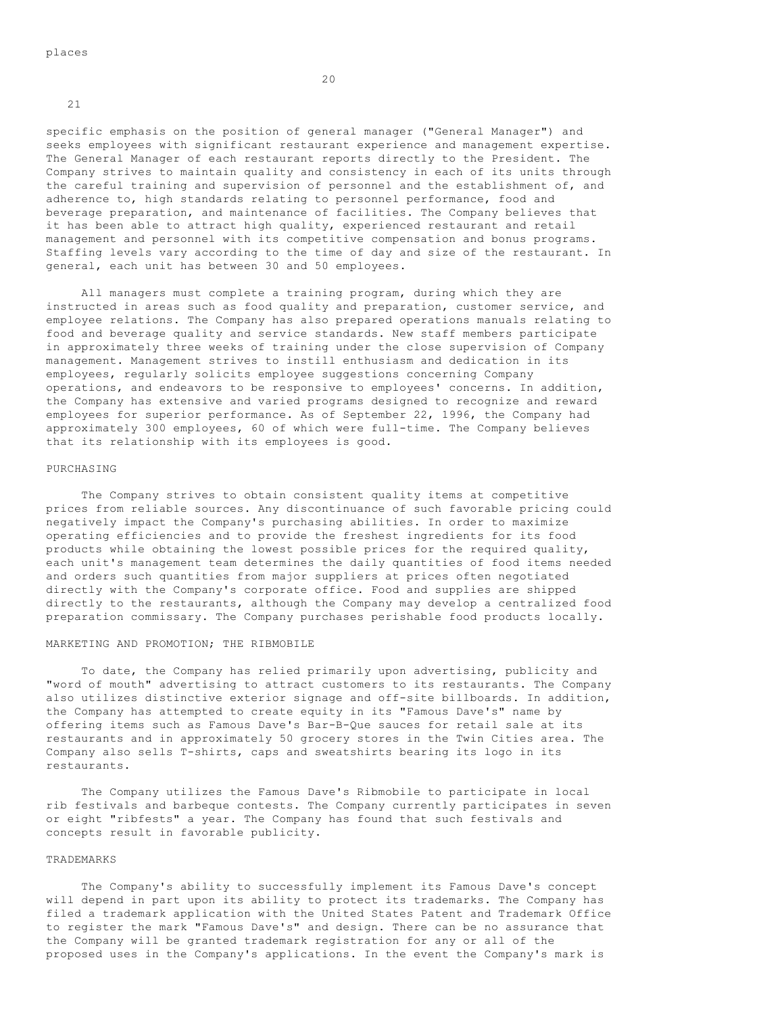21

specific emphasis on the position of general manager ("General Manager") and seeks employees with significant restaurant experience and management expertise. The General Manager of each restaurant reports directly to the President. The Company strives to maintain quality and consistency in each of its units through the careful training and supervision of personnel and the establishment of, and adherence to, high standards relating to personnel performance, food and beverage preparation, and maintenance of facilities. The Company believes that it has been able to attract high quality, experienced restaurant and retail management and personnel with its competitive compensation and bonus programs. Staffing levels vary according to the time of day and size of the restaurant. In general, each unit has between 30 and 50 employees.

 All managers must complete a training program, during which they are instructed in areas such as food quality and preparation, customer service, and employee relations. The Company has also prepared operations manuals relating to food and beverage quality and service standards. New staff members participate in approximately three weeks of training under the close supervision of Company management. Management strives to instill enthusiasm and dedication in its employees, regularly solicits employee suggestions concerning Company operations, and endeavors to be responsive to employees' concerns. In addition, the Company has extensive and varied programs designed to recognize and reward employees for superior performance. As of September 22, 1996, the Company had approximately 300 employees, 60 of which were full-time. The Company believes that its relationship with its employees is good.

# PURCHASING

 The Company strives to obtain consistent quality items at competitive prices from reliable sources. Any discontinuance of such favorable pricing could negatively impact the Company's purchasing abilities. In order to maximize operating efficiencies and to provide the freshest ingredients for its food products while obtaining the lowest possible prices for the required quality, each unit's management team determines the daily quantities of food items needed and orders such quantities from major suppliers at prices often negotiated directly with the Company's corporate office. Food and supplies are shipped directly to the restaurants, although the Company may develop a centralized food preparation commissary. The Company purchases perishable food products locally.

### MARKETING AND PROMOTION; THE RIBMOBILE

 To date, the Company has relied primarily upon advertising, publicity and "word of mouth" advertising to attract customers to its restaurants. The Company also utilizes distinctive exterior signage and off-site billboards. In addition, the Company has attempted to create equity in its "Famous Dave's" name by offering items such as Famous Dave's Bar-B-Que sauces for retail sale at its restaurants and in approximately 50 grocery stores in the Twin Cities area. The Company also sells T-shirts, caps and sweatshirts bearing its logo in its restaurants.

 The Company utilizes the Famous Dave's Ribmobile to participate in local rib festivals and barbeque contests. The Company currently participates in seven or eight "ribfests" a year. The Company has found that such festivals and concepts result in favorable publicity.

# TRADEMARKS

 The Company's ability to successfully implement its Famous Dave's concept will depend in part upon its ability to protect its trademarks. The Company has filed a trademark application with the United States Patent and Trademark Office to register the mark "Famous Dave's" and design. There can be no assurance that the Company will be granted trademark registration for any or all of the proposed uses in the Company's applications. In the event the Company's mark is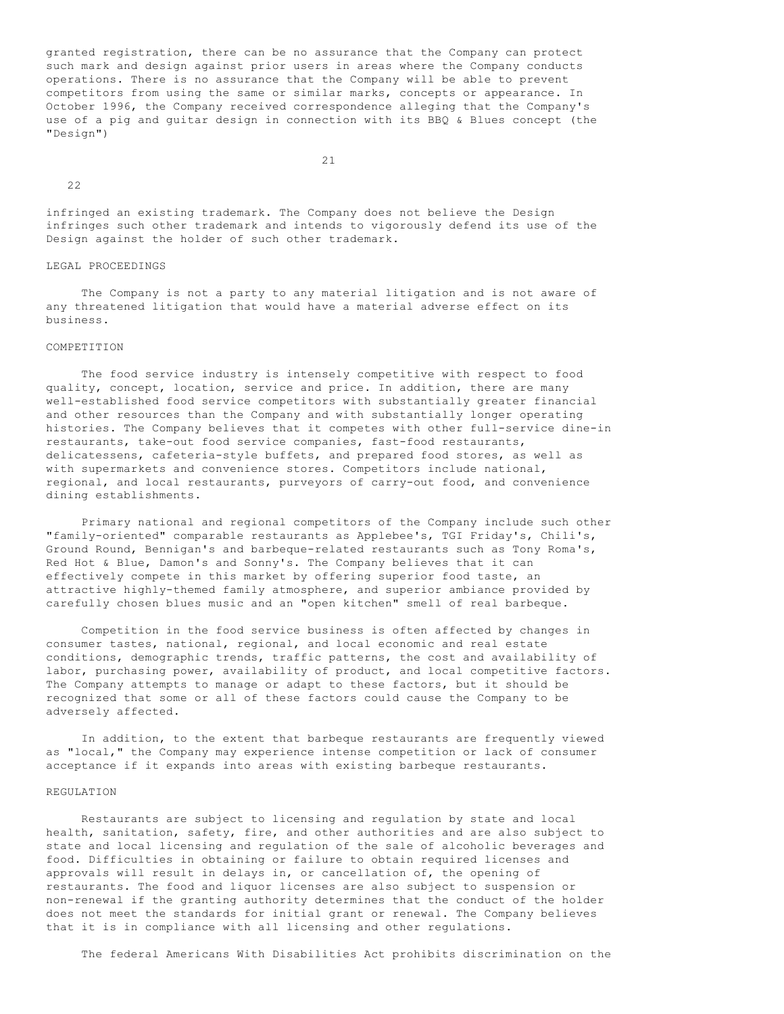granted registration, there can be no assurance that the Company can protect such mark and design against prior users in areas where the Company conducts operations. There is no assurance that the Company will be able to prevent competitors from using the same or similar marks, concepts or appearance. In October 1996, the Company received correspondence alleging that the Company's use of a pig and guitar design in connection with its BBQ & Blues concept (the "Design")

21

 $22$ 

infringed an existing trademark. The Company does not believe the Design infringes such other trademark and intends to vigorously defend its use of the Design against the holder of such other trademark.

# LEGAL PROCEEDINGS

 The Company is not a party to any material litigation and is not aware of any threatened litigation that would have a material adverse effect on its business.

# COMPETITION

 The food service industry is intensely competitive with respect to food quality, concept, location, service and price. In addition, there are many well-established food service competitors with substantially greater financial and other resources than the Company and with substantially longer operating histories. The Company believes that it competes with other full-service dine-in restaurants, take-out food service companies, fast-food restaurants, delicatessens, cafeteria-style buffets, and prepared food stores, as well as with supermarkets and convenience stores. Competitors include national, regional, and local restaurants, purveyors of carry-out food, and convenience dining establishments.

 Primary national and regional competitors of the Company include such other "family-oriented" comparable restaurants as Applebee's, TGI Friday's, Chili's, Ground Round, Bennigan's and barbeque-related restaurants such as Tony Roma's, Red Hot & Blue, Damon's and Sonny's. The Company believes that it can effectively compete in this market by offering superior food taste, an attractive highly-themed family atmosphere, and superior ambiance provided by carefully chosen blues music and an "open kitchen" smell of real barbeque.

 Competition in the food service business is often affected by changes in consumer tastes, national, regional, and local economic and real estate conditions, demographic trends, traffic patterns, the cost and availability of labor, purchasing power, availability of product, and local competitive factors. The Company attempts to manage or adapt to these factors, but it should be recognized that some or all of these factors could cause the Company to be adversely affected.

 In addition, to the extent that barbeque restaurants are frequently viewed as "local," the Company may experience intense competition or lack of consumer acceptance if it expands into areas with existing barbeque restaurants.

#### REGULATION

 Restaurants are subject to licensing and regulation by state and local health, sanitation, safety, fire, and other authorities and are also subject to state and local licensing and regulation of the sale of alcoholic beverages and food. Difficulties in obtaining or failure to obtain required licenses and approvals will result in delays in, or cancellation of, the opening of restaurants. The food and liquor licenses are also subject to suspension or non-renewal if the granting authority determines that the conduct of the holder does not meet the standards for initial grant or renewal. The Company believes that it is in compliance with all licensing and other regulations.

The federal Americans With Disabilities Act prohibits discrimination on the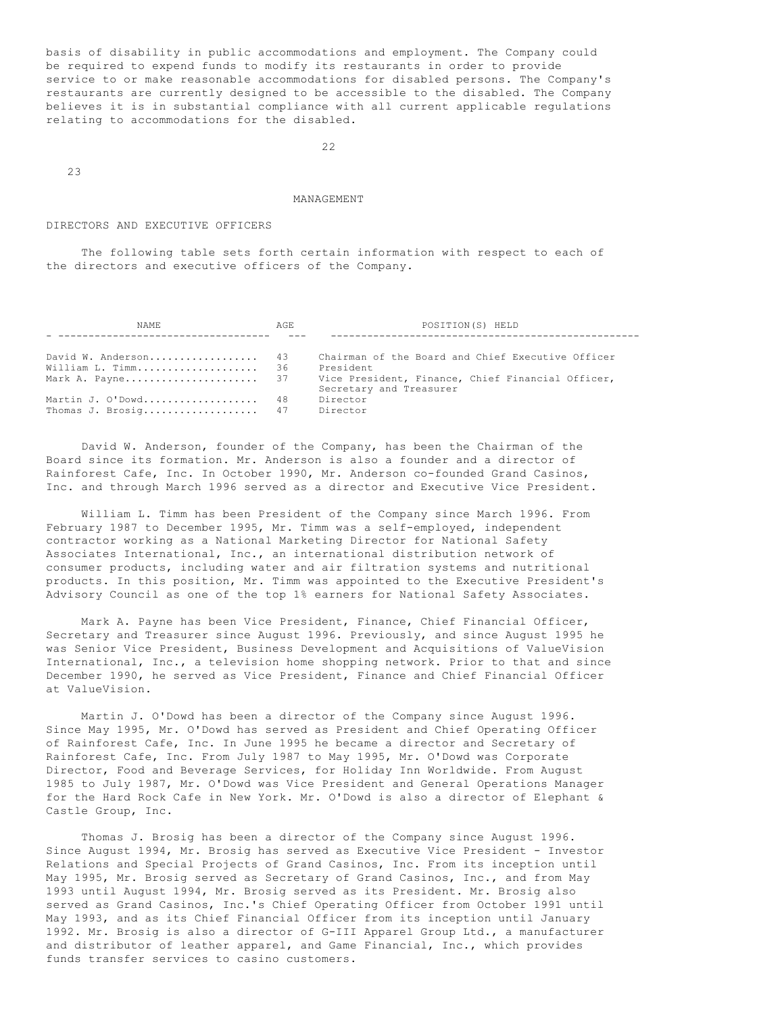basis of disability in public accommodations and employment. The Company could be required to expend funds to modify its restaurants in order to provide service to or make reasonable accommodations for disabled persons. The Company's restaurants are currently designed to be accessible to the disabled. The Company believes it is in substantial compliance with all current applicable regulations relating to accommodations for the disabled.

22

23

#### MANAGEMENT

#### DIRECTORS AND EXECUTIVE OFFICERS

 The following table sets forth certain information with respect to each of the directors and executive officers of the Company.

| NAME.                | AGE. | POSITION(S) HELD                                  |
|----------------------|------|---------------------------------------------------|
|                      |      |                                                   |
| David W. Anderson 43 |      | Chairman of the Board and Chief Executive Officer |
| William L. Timm 36   |      | President                                         |
| Mark A. Payne 37     |      | Vice President, Finance, Chief Financial Officer, |
|                      |      | Secretary and Treasurer                           |
| Martin J. O'Dowd 48  |      | Director                                          |
| Thomas J. Brosig 47  |      | Director                                          |

 David W. Anderson, founder of the Company, has been the Chairman of the Board since its formation. Mr. Anderson is also a founder and a director of Rainforest Cafe, Inc. In October 1990, Mr. Anderson co-founded Grand Casinos, Inc. and through March 1996 served as a director and Executive Vice President.

 William L. Timm has been President of the Company since March 1996. From February 1987 to December 1995, Mr. Timm was a self-employed, independent contractor working as a National Marketing Director for National Safety Associates International, Inc., an international distribution network of consumer products, including water and air filtration systems and nutritional products. In this position, Mr. Timm was appointed to the Executive President's Advisory Council as one of the top 1% earners for National Safety Associates.

 Mark A. Payne has been Vice President, Finance, Chief Financial Officer, Secretary and Treasurer since August 1996. Previously, and since August 1995 he was Senior Vice President, Business Development and Acquisitions of ValueVision International, Inc., a television home shopping network. Prior to that and since December 1990, he served as Vice President, Finance and Chief Financial Officer at ValueVision.

 Martin J. O'Dowd has been a director of the Company since August 1996. Since May 1995, Mr. O'Dowd has served as President and Chief Operating Officer of Rainforest Cafe, Inc. In June 1995 he became a director and Secretary of Rainforest Cafe, Inc. From July 1987 to May 1995, Mr. O'Dowd was Corporate Director, Food and Beverage Services, for Holiday Inn Worldwide. From August 1985 to July 1987, Mr. O'Dowd was Vice President and General Operations Manager for the Hard Rock Cafe in New York. Mr. O'Dowd is also a director of Elephant & Castle Group, Inc.

 Thomas J. Brosig has been a director of the Company since August 1996. Since August 1994, Mr. Brosig has served as Executive Vice President - Investor Relations and Special Projects of Grand Casinos, Inc. From its inception until May 1995, Mr. Brosig served as Secretary of Grand Casinos, Inc., and from May 1993 until August 1994, Mr. Brosig served as its President. Mr. Brosig also served as Grand Casinos, Inc.'s Chief Operating Officer from October 1991 until May 1993, and as its Chief Financial Officer from its inception until January 1992. Mr. Brosig is also a director of G-III Apparel Group Ltd., a manufacturer and distributor of leather apparel, and Game Financial, Inc., which provides funds transfer services to casino customers.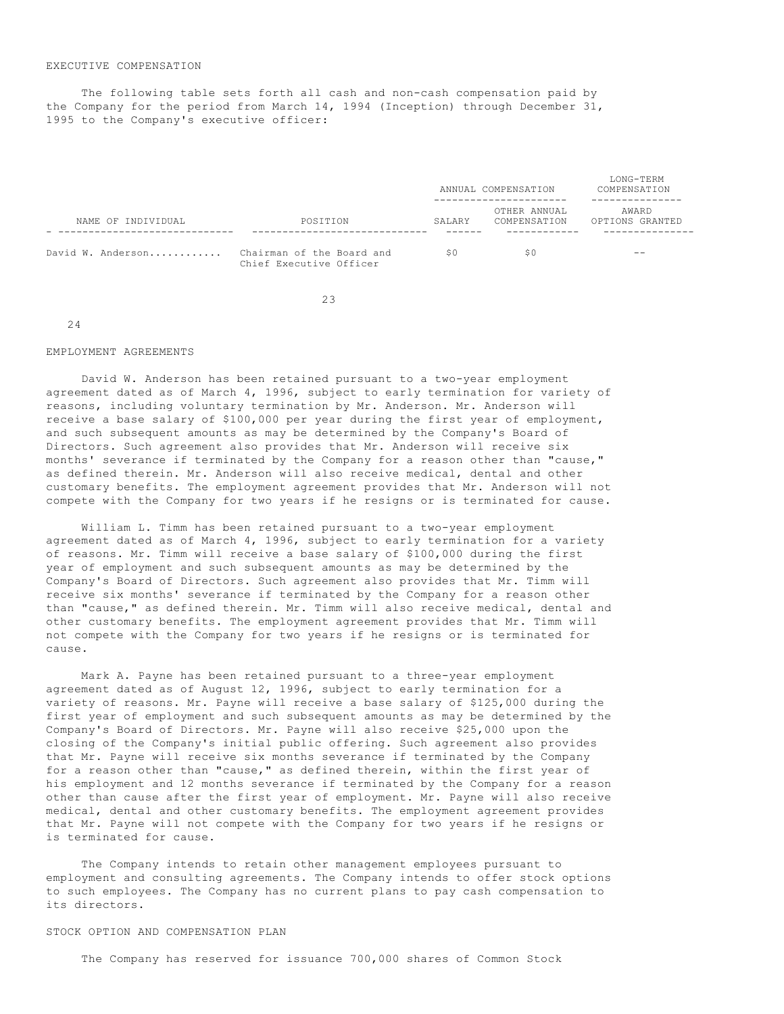# EXECUTIVE COMPENSATION

 The following table sets forth all cash and non-cash compensation paid by the Company for the period from March 14, 1994 (Inception) through December 31, 1995 to the Company's executive officer:

|                    |                                                      |        | ANNUAL COMPENSATION          | LONG-TERM<br>COMPENSATION |  |
|--------------------|------------------------------------------------------|--------|------------------------------|---------------------------|--|
| NAME OF INDIVIDUAL | POSITION                                             | SALARY | OTHER ANNUAL<br>COMPENSATION | AWARD<br>OPTIONS GRANTED  |  |
| David W. Anderson  | Chairman of the Board and<br>Chief Executive Officer | S O    | S <sub>0</sub>               | $- -$                     |  |

23

#### 24

# EMPLOYMENT AGREEMENTS

 David W. Anderson has been retained pursuant to a two-year employment agreement dated as of March 4, 1996, subject to early termination for variety of reasons, including voluntary termination by Mr. Anderson. Mr. Anderson will receive a base salary of \$100,000 per year during the first year of employment, and such subsequent amounts as may be determined by the Company's Board of Directors. Such agreement also provides that Mr. Anderson will receive six months' severance if terminated by the Company for a reason other than "cause," as defined therein. Mr. Anderson will also receive medical, dental and other customary benefits. The employment agreement provides that Mr. Anderson will not compete with the Company for two years if he resigns or is terminated for cause.

 William L. Timm has been retained pursuant to a two-year employment agreement dated as of March 4, 1996, subject to early termination for a variety of reasons. Mr. Timm will receive a base salary of \$100,000 during the first year of employment and such subsequent amounts as may be determined by the Company's Board of Directors. Such agreement also provides that Mr. Timm will receive six months' severance if terminated by the Company for a reason other than "cause," as defined therein. Mr. Timm will also receive medical, dental and other customary benefits. The employment agreement provides that Mr. Timm will not compete with the Company for two years if he resigns or is terminated for cause.

 Mark A. Payne has been retained pursuant to a three-year employment agreement dated as of August 12, 1996, subject to early termination for a variety of reasons. Mr. Payne will receive a base salary of \$125,000 during the first year of employment and such subsequent amounts as may be determined by the Company's Board of Directors. Mr. Payne will also receive \$25,000 upon the closing of the Company's initial public offering. Such agreement also provides that Mr. Payne will receive six months severance if terminated by the Company for a reason other than "cause," as defined therein, within the first year of his employment and 12 months severance if terminated by the Company for a reason other than cause after the first year of employment. Mr. Payne will also receive medical, dental and other customary benefits. The employment agreement provides that Mr. Payne will not compete with the Company for two years if he resigns or is terminated for cause.

 The Company intends to retain other management employees pursuant to employment and consulting agreements. The Company intends to offer stock options to such employees. The Company has no current plans to pay cash compensation to its directors.

# STOCK OPTION AND COMPENSATION PLAN

The Company has reserved for issuance 700,000 shares of Common Stock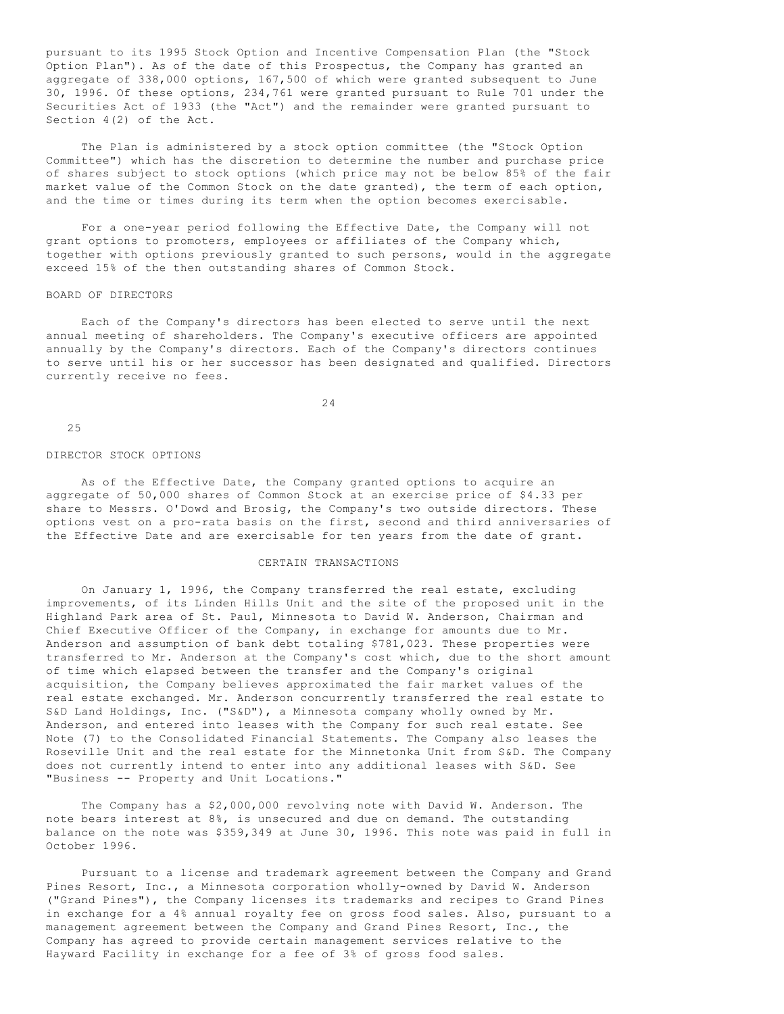pursuant to its 1995 Stock Option and Incentive Compensation Plan (the "Stock Option Plan"). As of the date of this Prospectus, the Company has granted an aggregate of 338,000 options, 167,500 of which were granted subsequent to June 30, 1996. Of these options, 234,761 were granted pursuant to Rule 701 under the Securities Act of 1933 (the "Act") and the remainder were granted pursuant to Section 4(2) of the Act.

 The Plan is administered by a stock option committee (the "Stock Option Committee") which has the discretion to determine the number and purchase price of shares subject to stock options (which price may not be below 85% of the fair market value of the Common Stock on the date granted), the term of each option, and the time or times during its term when the option becomes exercisable.

 For a one-year period following the Effective Date, the Company will not grant options to promoters, employees or affiliates of the Company which, together with options previously granted to such persons, would in the aggregate exceed 15% of the then outstanding shares of Common Stock.

#### BOARD OF DIRECTORS

 Each of the Company's directors has been elected to serve until the next annual meeting of shareholders. The Company's executive officers are appointed annually by the Company's directors. Each of the Company's directors continues to serve until his or her successor has been designated and qualified. Directors currently receive no fees.

24

25

#### DIRECTOR STOCK OPTIONS

 As of the Effective Date, the Company granted options to acquire an aggregate of 50,000 shares of Common Stock at an exercise price of \$4.33 per share to Messrs. O'Dowd and Brosig, the Company's two outside directors. These options vest on a pro-rata basis on the first, second and third anniversaries of the Effective Date and are exercisable for ten years from the date of grant.

# CERTAIN TRANSACTIONS

 On January 1, 1996, the Company transferred the real estate, excluding improvements, of its Linden Hills Unit and the site of the proposed unit in the Highland Park area of St. Paul, Minnesota to David W. Anderson, Chairman and Chief Executive Officer of the Company, in exchange for amounts due to Mr. Anderson and assumption of bank debt totaling \$781,023. These properties were transferred to Mr. Anderson at the Company's cost which, due to the short amount of time which elapsed between the transfer and the Company's original acquisition, the Company believes approximated the fair market values of the real estate exchanged. Mr. Anderson concurrently transferred the real estate to S&D Land Holdings, Inc. ("S&D"), a Minnesota company wholly owned by Mr. Anderson, and entered into leases with the Company for such real estate. See Note (7) to the Consolidated Financial Statements. The Company also leases the Roseville Unit and the real estate for the Minnetonka Unit from S&D. The Company does not currently intend to enter into any additional leases with S&D. See "Business -- Property and Unit Locations."

 The Company has a \$2,000,000 revolving note with David W. Anderson. The note bears interest at 8%, is unsecured and due on demand. The outstanding balance on the note was \$359,349 at June 30, 1996. This note was paid in full in October 1996.

 Pursuant to a license and trademark agreement between the Company and Grand Pines Resort, Inc., a Minnesota corporation wholly-owned by David W. Anderson ("Grand Pines"), the Company licenses its trademarks and recipes to Grand Pines in exchange for a 4% annual royalty fee on gross food sales. Also, pursuant to a management agreement between the Company and Grand Pines Resort, Inc., the Company has agreed to provide certain management services relative to the Hayward Facility in exchange for a fee of 3% of gross food sales.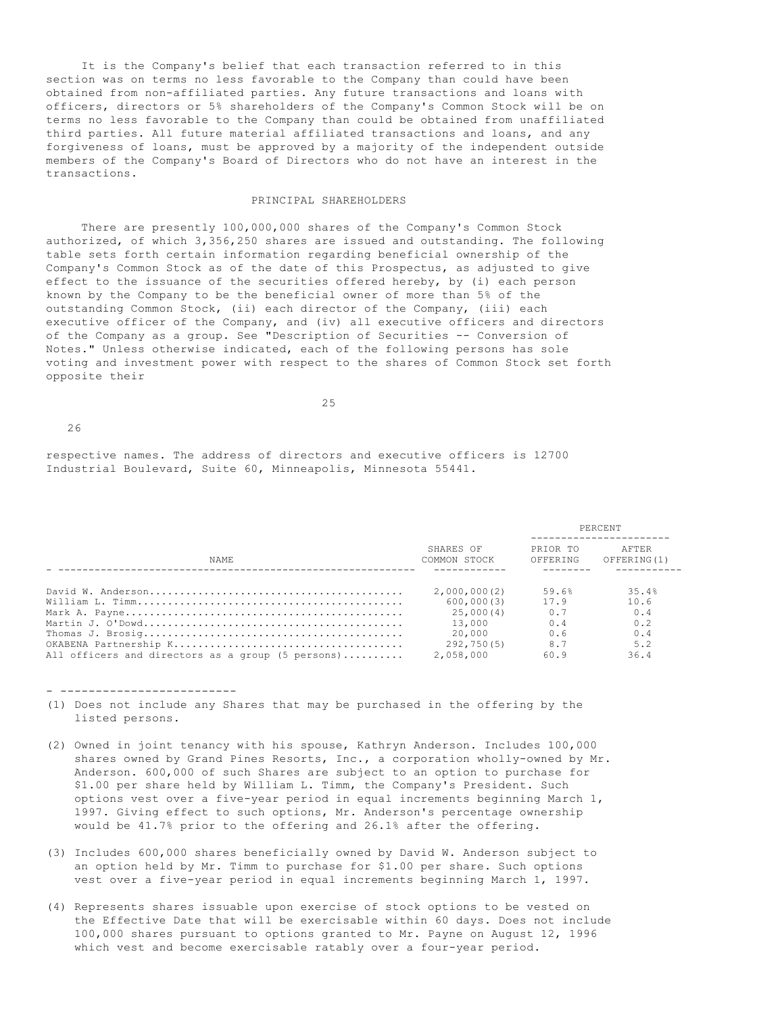It is the Company's belief that each transaction referred to in this section was on terms no less favorable to the Company than could have been obtained from non-affiliated parties. Any future transactions and loans with officers, directors or 5% shareholders of the Company's Common Stock will be on terms no less favorable to the Company than could be obtained from unaffiliated third parties. All future material affiliated transactions and loans, and any forgiveness of loans, must be approved by a majority of the independent outside members of the Company's Board of Directors who do not have an interest in the transactions.

# PRINCIPAL SHAREHOLDERS

 There are presently 100,000,000 shares of the Company's Common Stock authorized, of which 3,356,250 shares are issued and outstanding. The following table sets forth certain information regarding beneficial ownership of the Company's Common Stock as of the date of this Prospectus, as adjusted to give effect to the issuance of the securities offered hereby, by (i) each person known by the Company to be the beneficial owner of more than 5% of the outstanding Common Stock, (ii) each director of the Company, (iii) each executive officer of the Company, and (iv) all executive officers and directors of the Company as a group. See "Description of Securities -- Conversion of Notes." Unless otherwise indicated, each of the following persons has sole voting and investment power with respect to the shares of Common Stock set forth opposite their

25

26

respective names. The address of directors and executive officers is 12700 Industrial Boulevard, Suite 60, Minneapolis, Minnesota 55441.

|                                                   |                           |                      | PERCENT              |
|---------------------------------------------------|---------------------------|----------------------|----------------------|
| NAME.                                             | SHARES OF<br>COMMON STOCK | PRIOR TO<br>OFFERING | AFTER<br>OFFERING(1) |
|                                                   |                           |                      |                      |
|                                                   | 2,000,000(2)              | 59.6%                | 35.4%                |
|                                                   | 600,000(3)                | 17.9                 | 10.6                 |
|                                                   | 25.000(4)                 | 0.7                  | 0.4                  |
|                                                   | 13,000                    | 0.4                  | 0.2                  |
|                                                   | 20.000                    | 0.6                  | 0.4                  |
|                                                   | 292,750(5)                | 8.7                  | 5.2                  |
| All officers and directors as a group (5 persons) | 2,058,000                 | 60.9                 | 36.4                 |

- -------------------------

- (1) Does not include any Shares that may be purchased in the offering by the listed persons.
- (2) Owned in joint tenancy with his spouse, Kathryn Anderson. Includes 100,000 shares owned by Grand Pines Resorts, Inc., a corporation wholly-owned by Mr. Anderson. 600,000 of such Shares are subject to an option to purchase for \$1.00 per share held by William L. Timm, the Company's President. Such options vest over a five-year period in equal increments beginning March 1, 1997. Giving effect to such options, Mr. Anderson's percentage ownership would be 41.7% prior to the offering and 26.1% after the offering.
- (3) Includes 600,000 shares beneficially owned by David W. Anderson subject to an option held by Mr. Timm to purchase for \$1.00 per share. Such options vest over a five-year period in equal increments beginning March 1, 1997.
- (4) Represents shares issuable upon exercise of stock options to be vested on the Effective Date that will be exercisable within 60 days. Does not include 100,000 shares pursuant to options granted to Mr. Payne on August 12, 1996 which vest and become exercisable ratably over a four-year period.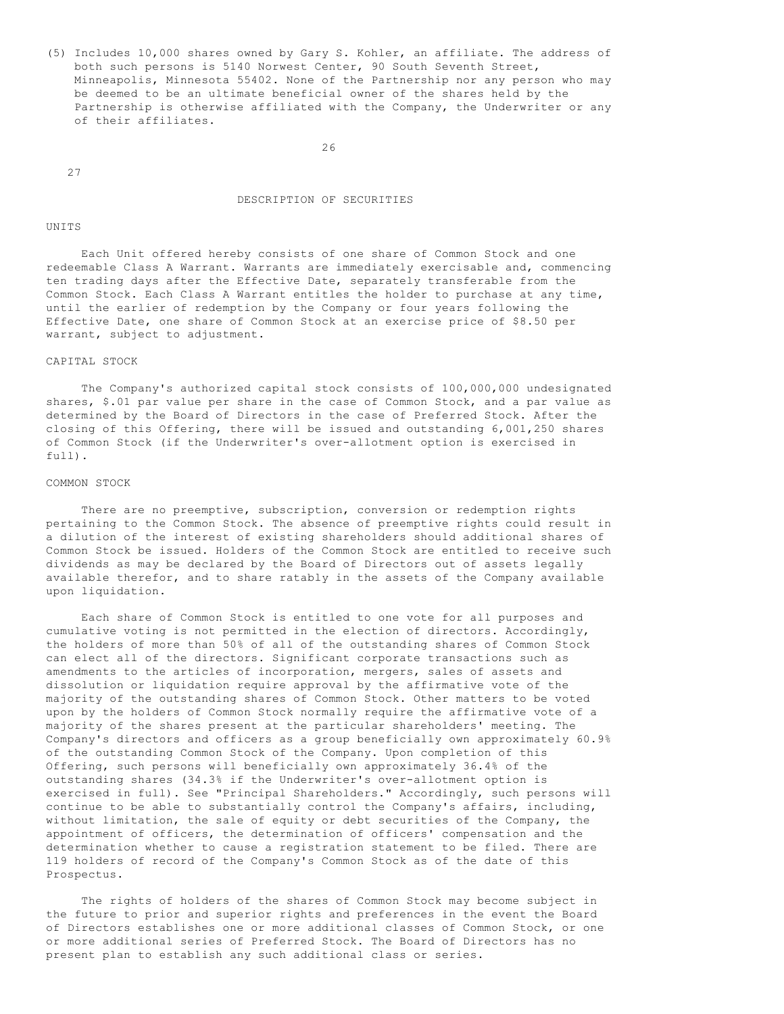(5) Includes 10,000 shares owned by Gary S. Kohler, an affiliate. The address of both such persons is 5140 Norwest Center, 90 South Seventh Street, Minneapolis, Minnesota 55402. None of the Partnership nor any person who may be deemed to be an ultimate beneficial owner of the shares held by the Partnership is otherwise affiliated with the Company, the Underwriter or any of their affiliates.

26

27

### DESCRIPTION OF SECURITIES

#### UNITS

 Each Unit offered hereby consists of one share of Common Stock and one redeemable Class A Warrant. Warrants are immediately exercisable and, commencing ten trading days after the Effective Date, separately transferable from the Common Stock. Each Class A Warrant entitles the holder to purchase at any time, until the earlier of redemption by the Company or four years following the Effective Date, one share of Common Stock at an exercise price of \$8.50 per warrant, subject to adjustment.

#### CAPITAL STOCK

 The Company's authorized capital stock consists of 100,000,000 undesignated shares, \$.01 par value per share in the case of Common Stock, and a par value as determined by the Board of Directors in the case of Preferred Stock. After the closing of this Offering, there will be issued and outstanding 6,001,250 shares of Common Stock (if the Underwriter's over-allotment option is exercised in full).

#### COMMON STOCK

There are no preemptive, subscription, conversion or redemption rights pertaining to the Common Stock. The absence of preemptive rights could result in a dilution of the interest of existing shareholders should additional shares of Common Stock be issued. Holders of the Common Stock are entitled to receive such dividends as may be declared by the Board of Directors out of assets legally available therefor, and to share ratably in the assets of the Company available upon liquidation.

 Each share of Common Stock is entitled to one vote for all purposes and cumulative voting is not permitted in the election of directors. Accordingly, the holders of more than 50% of all of the outstanding shares of Common Stock can elect all of the directors. Significant corporate transactions such as amendments to the articles of incorporation, mergers, sales of assets and dissolution or liquidation require approval by the affirmative vote of the majority of the outstanding shares of Common Stock. Other matters to be voted upon by the holders of Common Stock normally require the affirmative vote of a majority of the shares present at the particular shareholders' meeting. The Company's directors and officers as a group beneficially own approximately 60.9% of the outstanding Common Stock of the Company. Upon completion of this Offering, such persons will beneficially own approximately 36.4% of the outstanding shares (34.3% if the Underwriter's over-allotment option is exercised in full). See "Principal Shareholders." Accordingly, such persons will continue to be able to substantially control the Company's affairs, including, without limitation, the sale of equity or debt securities of the Company, the appointment of officers, the determination of officers' compensation and the determination whether to cause a registration statement to be filed. There are 119 holders of record of the Company's Common Stock as of the date of this Prospectus.

 The rights of holders of the shares of Common Stock may become subject in the future to prior and superior rights and preferences in the event the Board of Directors establishes one or more additional classes of Common Stock, or one or more additional series of Preferred Stock. The Board of Directors has no present plan to establish any such additional class or series.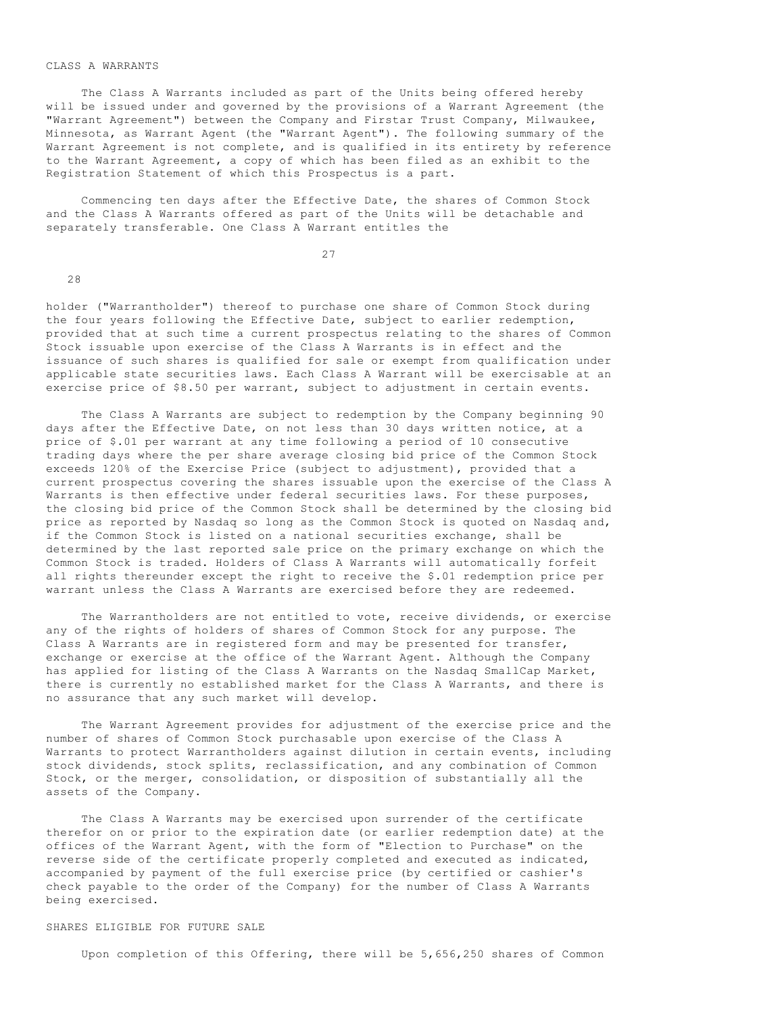#### CLASS A WARRANTS

 The Class A Warrants included as part of the Units being offered hereby will be issued under and governed by the provisions of a Warrant Agreement (the "Warrant Agreement") between the Company and Firstar Trust Company, Milwaukee, Minnesota, as Warrant Agent (the "Warrant Agent"). The following summary of the Warrant Agreement is not complete, and is qualified in its entirety by reference to the Warrant Agreement, a copy of which has been filed as an exhibit to the Registration Statement of which this Prospectus is a part.

 Commencing ten days after the Effective Date, the shares of Common Stock and the Class A Warrants offered as part of the Units will be detachable and separately transferable. One Class A Warrant entitles the

27

28

holder ("Warrantholder") thereof to purchase one share of Common Stock during the four years following the Effective Date, subject to earlier redemption, provided that at such time a current prospectus relating to the shares of Common Stock issuable upon exercise of the Class A Warrants is in effect and the issuance of such shares is qualified for sale or exempt from qualification under applicable state securities laws. Each Class A Warrant will be exercisable at an exercise price of \$8.50 per warrant, subject to adjustment in certain events.

 The Class A Warrants are subject to redemption by the Company beginning 90 days after the Effective Date, on not less than 30 days written notice, at a price of \$.01 per warrant at any time following a period of 10 consecutive trading days where the per share average closing bid price of the Common Stock exceeds 120% of the Exercise Price (subject to adjustment), provided that a current prospectus covering the shares issuable upon the exercise of the Class A Warrants is then effective under federal securities laws. For these purposes, the closing bid price of the Common Stock shall be determined by the closing bid price as reported by Nasdaq so long as the Common Stock is quoted on Nasdaq and, if the Common Stock is listed on a national securities exchange, shall be determined by the last reported sale price on the primary exchange on which the Common Stock is traded. Holders of Class A Warrants will automatically forfeit all rights thereunder except the right to receive the \$.01 redemption price per warrant unless the Class A Warrants are exercised before they are redeemed.

 The Warrantholders are not entitled to vote, receive dividends, or exercise any of the rights of holders of shares of Common Stock for any purpose. The Class A Warrants are in registered form and may be presented for transfer, exchange or exercise at the office of the Warrant Agent. Although the Company has applied for listing of the Class A Warrants on the Nasdaq SmallCap Market, there is currently no established market for the Class A Warrants, and there is no assurance that any such market will develop.

 The Warrant Agreement provides for adjustment of the exercise price and the number of shares of Common Stock purchasable upon exercise of the Class A Warrants to protect Warrantholders against dilution in certain events, including stock dividends, stock splits, reclassification, and any combination of Common Stock, or the merger, consolidation, or disposition of substantially all the assets of the Company.

 The Class A Warrants may be exercised upon surrender of the certificate therefor on or prior to the expiration date (or earlier redemption date) at the offices of the Warrant Agent, with the form of "Election to Purchase" on the reverse side of the certificate properly completed and executed as indicated, accompanied by payment of the full exercise price (by certified or cashier's check payable to the order of the Company) for the number of Class A Warrants being exercised.

### SHARES ELIGIBLE FOR FUTURE SALE

Upon completion of this Offering, there will be 5,656,250 shares of Common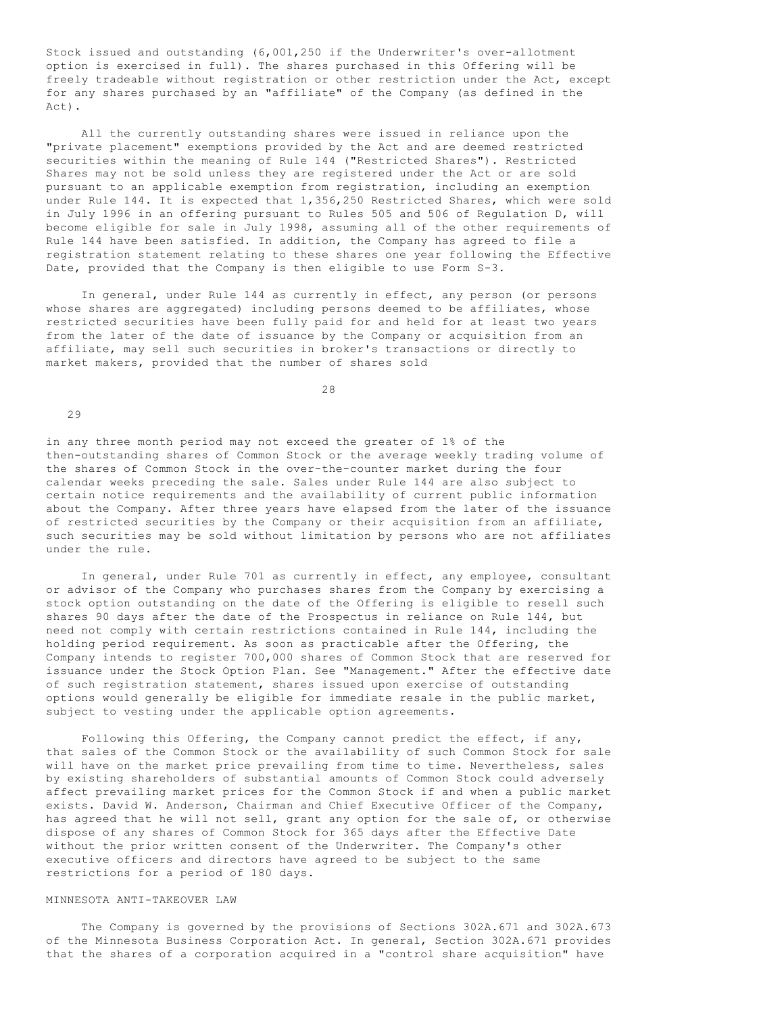Stock issued and outstanding (6,001,250 if the Underwriter's over-allotment option is exercised in full). The shares purchased in this Offering will be freely tradeable without registration or other restriction under the Act, except for any shares purchased by an "affiliate" of the Company (as defined in the Act).

 All the currently outstanding shares were issued in reliance upon the "private placement" exemptions provided by the Act and are deemed restricted securities within the meaning of Rule 144 ("Restricted Shares"). Restricted Shares may not be sold unless they are registered under the Act or are sold pursuant to an applicable exemption from registration, including an exemption under Rule 144. It is expected that 1,356,250 Restricted Shares, which were sold in July 1996 in an offering pursuant to Rules 505 and 506 of Regulation D, will become eligible for sale in July 1998, assuming all of the other requirements of Rule 144 have been satisfied. In addition, the Company has agreed to file a registration statement relating to these shares one year following the Effective Date, provided that the Company is then eligible to use Form S-3.

 In general, under Rule 144 as currently in effect, any person (or persons whose shares are aggregated) including persons deemed to be affiliates, whose restricted securities have been fully paid for and held for at least two years from the later of the date of issuance by the Company or acquisition from an affiliate, may sell such securities in broker's transactions or directly to market makers, provided that the number of shares sold

28

29

in any three month period may not exceed the greater of 1% of the then-outstanding shares of Common Stock or the average weekly trading volume of the shares of Common Stock in the over-the-counter market during the four calendar weeks preceding the sale. Sales under Rule 144 are also subject to certain notice requirements and the availability of current public information about the Company. After three years have elapsed from the later of the issuance of restricted securities by the Company or their acquisition from an affiliate, such securities may be sold without limitation by persons who are not affiliates under the rule.

 In general, under Rule 701 as currently in effect, any employee, consultant or advisor of the Company who purchases shares from the Company by exercising a stock option outstanding on the date of the Offering is eligible to resell such shares 90 days after the date of the Prospectus in reliance on Rule 144, but need not comply with certain restrictions contained in Rule 144, including the holding period requirement. As soon as practicable after the Offering, the Company intends to register 700,000 shares of Common Stock that are reserved for issuance under the Stock Option Plan. See "Management." After the effective date of such registration statement, shares issued upon exercise of outstanding options would generally be eligible for immediate resale in the public market, subject to vesting under the applicable option agreements.

 Following this Offering, the Company cannot predict the effect, if any, that sales of the Common Stock or the availability of such Common Stock for sale will have on the market price prevailing from time to time. Nevertheless, sales by existing shareholders of substantial amounts of Common Stock could adversely affect prevailing market prices for the Common Stock if and when a public market exists. David W. Anderson, Chairman and Chief Executive Officer of the Company, has agreed that he will not sell, grant any option for the sale of, or otherwise dispose of any shares of Common Stock for 365 days after the Effective Date without the prior written consent of the Underwriter. The Company's other executive officers and directors have agreed to be subject to the same restrictions for a period of 180 days.

### MINNESOTA ANTI-TAKEOVER LAW

 The Company is governed by the provisions of Sections 302A.671 and 302A.673 of the Minnesota Business Corporation Act. In general, Section 302A.671 provides that the shares of a corporation acquired in a "control share acquisition" have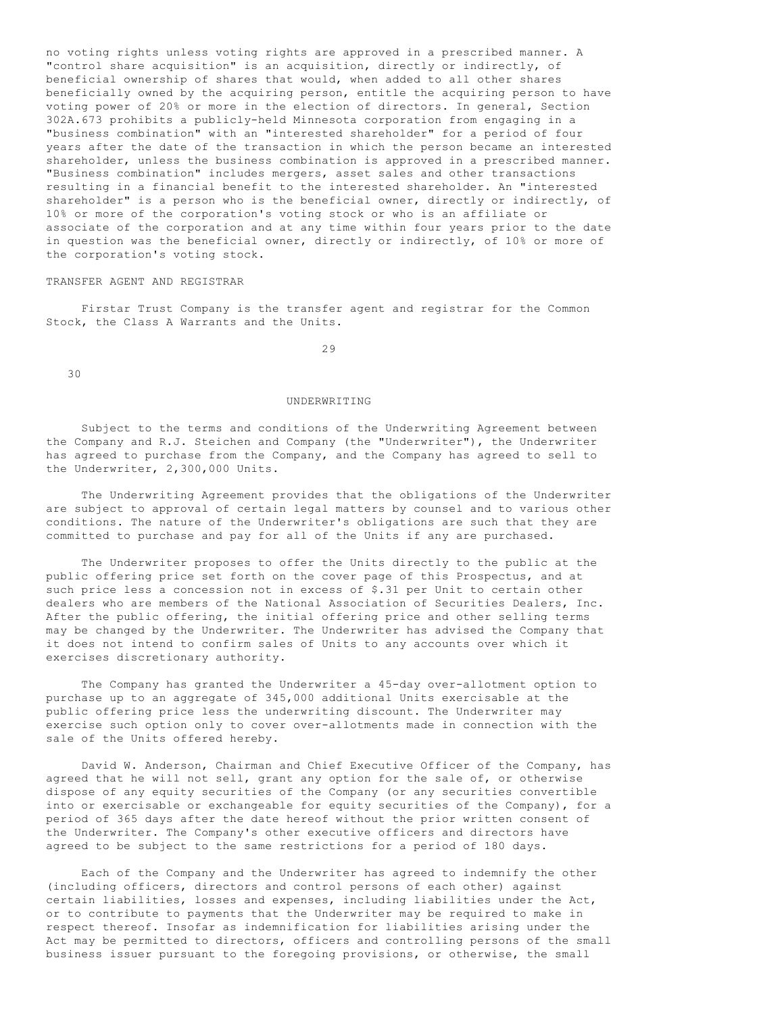no voting rights unless voting rights are approved in a prescribed manner. A "control share acquisition" is an acquisition, directly or indirectly, of beneficial ownership of shares that would, when added to all other shares beneficially owned by the acquiring person, entitle the acquiring person to have voting power of 20% or more in the election of directors. In general, Section 302A.673 prohibits a publicly-held Minnesota corporation from engaging in a "business combination" with an "interested shareholder" for a period of four years after the date of the transaction in which the person became an interested shareholder, unless the business combination is approved in a prescribed manner. "Business combination" includes mergers, asset sales and other transactions resulting in a financial benefit to the interested shareholder. An "interested shareholder" is a person who is the beneficial owner, directly or indirectly, of 10% or more of the corporation's voting stock or who is an affiliate or associate of the corporation and at any time within four years prior to the date in question was the beneficial owner, directly or indirectly, of 10% or more of the corporation's voting stock.

# TRANSFER AGENT AND REGISTRAR

 Firstar Trust Company is the transfer agent and registrar for the Common Stock, the Class A Warrants and the Units.

29

30

# UNDERWRITING

 Subject to the terms and conditions of the Underwriting Agreement between the Company and R.J. Steichen and Company (the "Underwriter"), the Underwriter has agreed to purchase from the Company, and the Company has agreed to sell to the Underwriter, 2,300,000 Units.

 The Underwriting Agreement provides that the obligations of the Underwriter are subject to approval of certain legal matters by counsel and to various other conditions. The nature of the Underwriter's obligations are such that they are committed to purchase and pay for all of the Units if any are purchased.

 The Underwriter proposes to offer the Units directly to the public at the public offering price set forth on the cover page of this Prospectus, and at such price less a concession not in excess of \$.31 per Unit to certain other dealers who are members of the National Association of Securities Dealers, Inc. After the public offering, the initial offering price and other selling terms may be changed by the Underwriter. The Underwriter has advised the Company that it does not intend to confirm sales of Units to any accounts over which it exercises discretionary authority.

 The Company has granted the Underwriter a 45-day over-allotment option to purchase up to an aggregate of 345,000 additional Units exercisable at the public offering price less the underwriting discount. The Underwriter may exercise such option only to cover over-allotments made in connection with the sale of the Units offered hereby.

 David W. Anderson, Chairman and Chief Executive Officer of the Company, has agreed that he will not sell, grant any option for the sale of, or otherwise dispose of any equity securities of the Company (or any securities convertible into or exercisable or exchangeable for equity securities of the Company), for a period of 365 days after the date hereof without the prior written consent of the Underwriter. The Company's other executive officers and directors have agreed to be subject to the same restrictions for a period of 180 days.

 Each of the Company and the Underwriter has agreed to indemnify the other (including officers, directors and control persons of each other) against certain liabilities, losses and expenses, including liabilities under the Act, or to contribute to payments that the Underwriter may be required to make in respect thereof. Insofar as indemnification for liabilities arising under the Act may be permitted to directors, officers and controlling persons of the small business issuer pursuant to the foregoing provisions, or otherwise, the small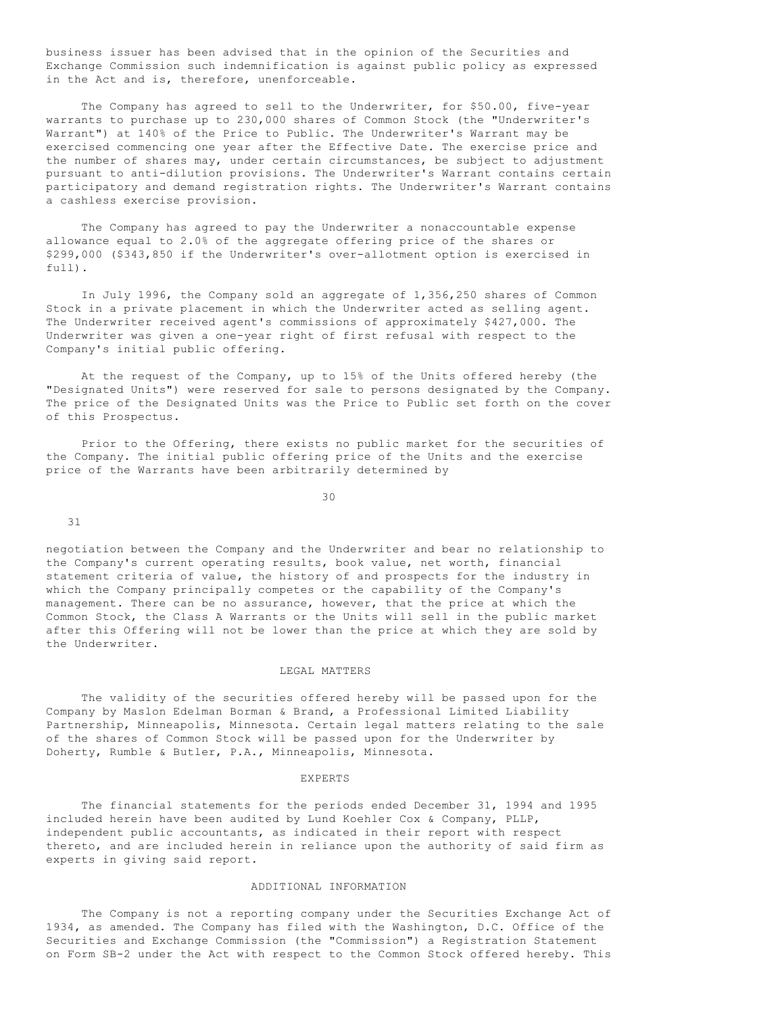business issuer has been advised that in the opinion of the Securities and Exchange Commission such indemnification is against public policy as expressed in the Act and is, therefore, unenforceable.

 The Company has agreed to sell to the Underwriter, for \$50.00, five-year warrants to purchase up to 230,000 shares of Common Stock (the "Underwriter's Warrant") at 140% of the Price to Public. The Underwriter's Warrant may be exercised commencing one year after the Effective Date. The exercise price and the number of shares may, under certain circumstances, be subject to adjustment pursuant to anti-dilution provisions. The Underwriter's Warrant contains certain participatory and demand registration rights. The Underwriter's Warrant contains a cashless exercise provision.

 The Company has agreed to pay the Underwriter a nonaccountable expense allowance equal to 2.0% of the aggregate offering price of the shares or \$299,000 (\$343,850 if the Underwriter's over-allotment option is exercised in full).

 In July 1996, the Company sold an aggregate of 1,356,250 shares of Common Stock in a private placement in which the Underwriter acted as selling agent. The Underwriter received agent's commissions of approximately \$427,000. The Underwriter was given a one-year right of first refusal with respect to the Company's initial public offering.

 At the request of the Company, up to 15% of the Units offered hereby (the "Designated Units") were reserved for sale to persons designated by the Company. The price of the Designated Units was the Price to Public set forth on the cover of this Prospectus.

 Prior to the Offering, there exists no public market for the securities of the Company. The initial public offering price of the Units and the exercise price of the Warrants have been arbitrarily determined by

30

31

negotiation between the Company and the Underwriter and bear no relationship to the Company's current operating results, book value, net worth, financial statement criteria of value, the history of and prospects for the industry in which the Company principally competes or the capability of the Company's management. There can be no assurance, however, that the price at which the Common Stock, the Class A Warrants or the Units will sell in the public market after this Offering will not be lower than the price at which they are sold by the Underwriter.

# LEGAL MATTERS

 The validity of the securities offered hereby will be passed upon for the Company by Maslon Edelman Borman & Brand, a Professional Limited Liability Partnership, Minneapolis, Minnesota. Certain legal matters relating to the sale of the shares of Common Stock will be passed upon for the Underwriter by Doherty, Rumble & Butler, P.A., Minneapolis, Minnesota.

#### EXPERTS

 The financial statements for the periods ended December 31, 1994 and 1995 included herein have been audited by Lund Koehler Cox & Company, PLLP, independent public accountants, as indicated in their report with respect thereto, and are included herein in reliance upon the authority of said firm as experts in giving said report.

# ADDITIONAL INFORMATION

 The Company is not a reporting company under the Securities Exchange Act of 1934, as amended. The Company has filed with the Washington, D.C. Office of the Securities and Exchange Commission (the "Commission") a Registration Statement on Form SB-2 under the Act with respect to the Common Stock offered hereby. This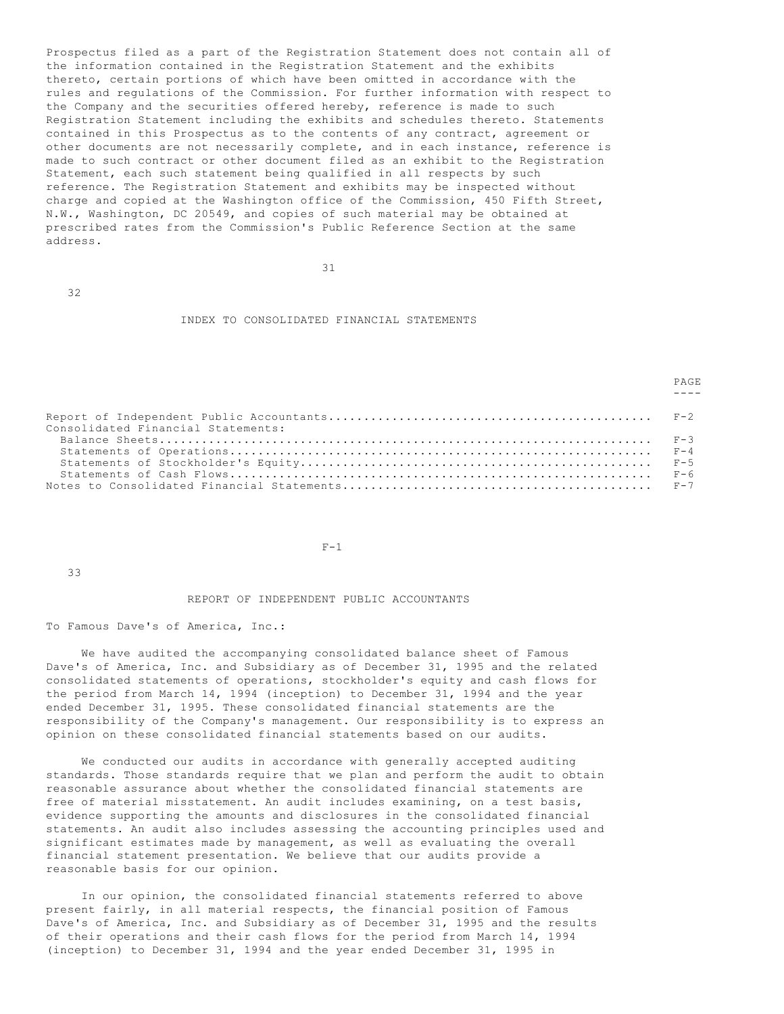Prospectus filed as a part of the Registration Statement does not contain all of the information contained in the Registration Statement and the exhibits thereto, certain portions of which have been omitted in accordance with the rules and regulations of the Commission. For further information with respect to the Company and the securities offered hereby, reference is made to such Registration Statement including the exhibits and schedules thereto. Statements contained in this Prospectus as to the contents of any contract, agreement or other documents are not necessarily complete, and in each instance, reference is made to such contract or other document filed as an exhibit to the Registration Statement, each such statement being qualified in all respects by such reference. The Registration Statement and exhibits may be inspected without charge and copied at the Washington office of the Commission, 450 Fifth Street, N.W., Washington, DC 20549, and copies of such material may be obtained at prescribed rates from the Commission's Public Reference Section at the same address.

32

# INDEX TO CONSOLIDATED FINANCIAL STATEMENTS

PAGE

| Consolidated Financial Statements: |  |
|------------------------------------|--|
|                                    |  |
|                                    |  |
|                                    |  |
|                                    |  |
|                                    |  |

----

 $F-1$ 

33

#### REPORT OF INDEPENDENT PUBLIC ACCOUNTANTS

To Famous Dave's of America, Inc.:

31

 We have audited the accompanying consolidated balance sheet of Famous Dave's of America, Inc. and Subsidiary as of December 31, 1995 and the related consolidated statements of operations, stockholder's equity and cash flows for the period from March 14, 1994 (inception) to December 31, 1994 and the year ended December 31, 1995. These consolidated financial statements are the responsibility of the Company's management. Our responsibility is to express an opinion on these consolidated financial statements based on our audits.

 We conducted our audits in accordance with generally accepted auditing standards. Those standards require that we plan and perform the audit to obtain reasonable assurance about whether the consolidated financial statements are free of material misstatement. An audit includes examining, on a test basis, evidence supporting the amounts and disclosures in the consolidated financial statements. An audit also includes assessing the accounting principles used and significant estimates made by management, as well as evaluating the overall financial statement presentation. We believe that our audits provide a reasonable basis for our opinion.

 In our opinion, the consolidated financial statements referred to above present fairly, in all material respects, the financial position of Famous Dave's of America, Inc. and Subsidiary as of December 31, 1995 and the results of their operations and their cash flows for the period from March 14, 1994 (inception) to December 31, 1994 and the year ended December 31, 1995 in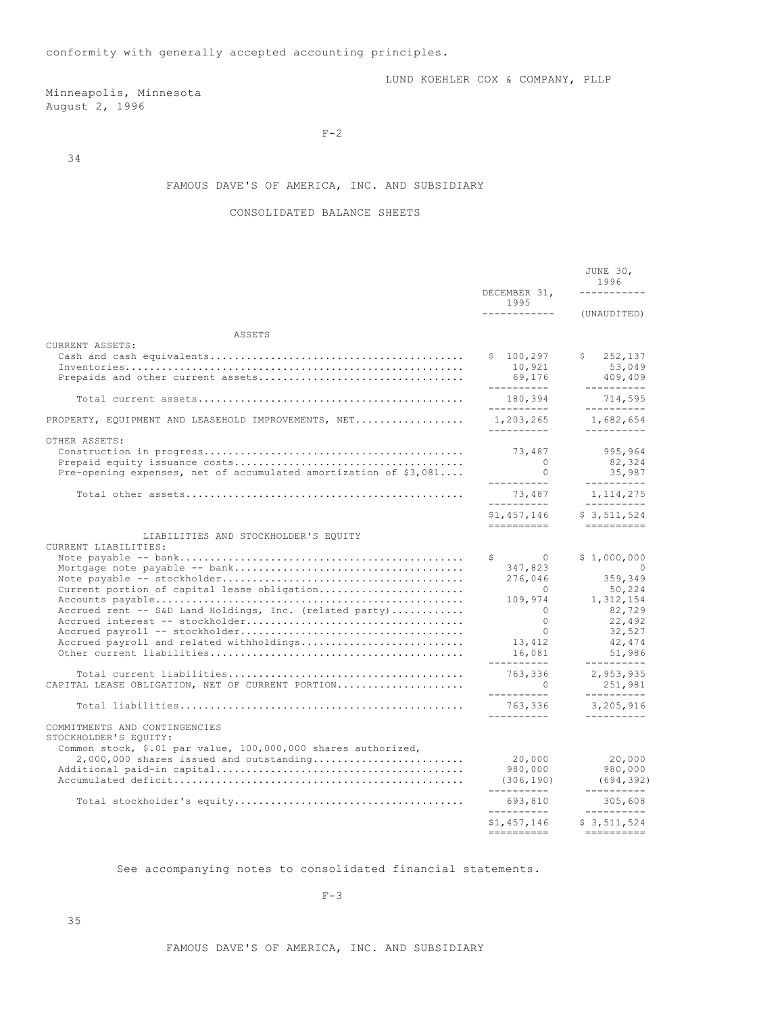# Minneapolis, Minnesota August 2, 1996

 $F-2$ 

34

# FAMOUS DAVE'S OF AMERICA, INC. AND SUBSIDIARY

# CONSOLIDATED BALANCE SHEETS

|                                                                                                                                                                      | DECEMBER 31,                                                                  | JUNE 30,<br>1996<br>.                                                 |
|----------------------------------------------------------------------------------------------------------------------------------------------------------------------|-------------------------------------------------------------------------------|-----------------------------------------------------------------------|
|                                                                                                                                                                      | 1995<br>____________                                                          | (UNAUDITED)                                                           |
| ASSETS                                                                                                                                                               |                                                                               |                                                                       |
| CURRENT ASSETS:                                                                                                                                                      | \$100, 297<br>10,921<br>69,176<br>----------                                  | \$<br>252,137<br>53,049<br>409,409<br>$- - - - - - - - - -$           |
|                                                                                                                                                                      | 180,394                                                                       | 714,595                                                               |
| PROPERTY, EQUIPMENT AND LEASEHOLD IMPROVEMENTS, NET                                                                                                                  | -----------<br>1,203,265<br>__________                                        | -----------<br>1,682,654<br>----------                                |
| OTHER ASSETS:<br>Pre-opening expenses, net of accumulated amortization of $$3,081$                                                                                   | 73,487<br>$\Omega$<br>$\Omega$<br>-----------                                 | 995,964<br>82,324<br>35,987<br>----------                             |
|                                                                                                                                                                      | 73,487<br>-----------                                                         | 1, 114, 275<br>$- - - - - - - - - -$                                  |
|                                                                                                                                                                      | \$1,457,146<br>==========                                                     | \$3,511,524<br>$=$ = = = = = = = = = =                                |
| LIABILITIES AND STOCKHOLDER'S EQUITY<br>CURRENT LIABILITIES:                                                                                                         | S.<br>$\overline{0}$<br>347,823<br>276,046                                    | \$1,000,000<br>$\overline{0}$<br>359,349                              |
| Current portion of capital lease obligation<br>Accrued rent -- S&D Land Holdings, Inc. (related party)<br>Accrued payroll and related withholdings                   | $\sim$ 0<br>109,974<br>$\bigcirc$<br>$\Omega$<br>$\Omega$<br>13,412<br>16,081 | 50,224<br>1,312,154<br>82,729<br>22,492<br>32,527<br>42,474<br>51,986 |
| CAPITAL LEASE OBLIGATION, NET OF CURRENT PORTION                                                                                                                     | ----------<br>763,336<br>$\bigcap$<br>-----------                             | ----------<br>2,953,935<br>251,981<br>----------                      |
|                                                                                                                                                                      | 763,336                                                                       | 3,205,916                                                             |
| COMMITMENTS AND CONTINGENCIES<br>STOCKHOLDER'S EQUITY:<br>Common stock, \$.01 par value, 100,000,000 shares authorized,<br>$2,000,000$ shares issued and outstanding | ----------<br>20,000<br>980,000                                               | ----------<br>20,000<br>980,000                                       |
|                                                                                                                                                                      | (306, 190)<br>__________                                                      | (694, 392)<br>-----------                                             |
|                                                                                                                                                                      | 693,810<br>__________                                                         | 305,608<br>$- - - - - - - - - -$                                      |
|                                                                                                                                                                      | \$1,457,146                                                                   | \$3,511,524                                                           |

See accompanying notes to consolidated financial statements.

 $F-3$ 

FAMOUS DAVE'S OF AMERICA, INC. AND SUBSIDIARY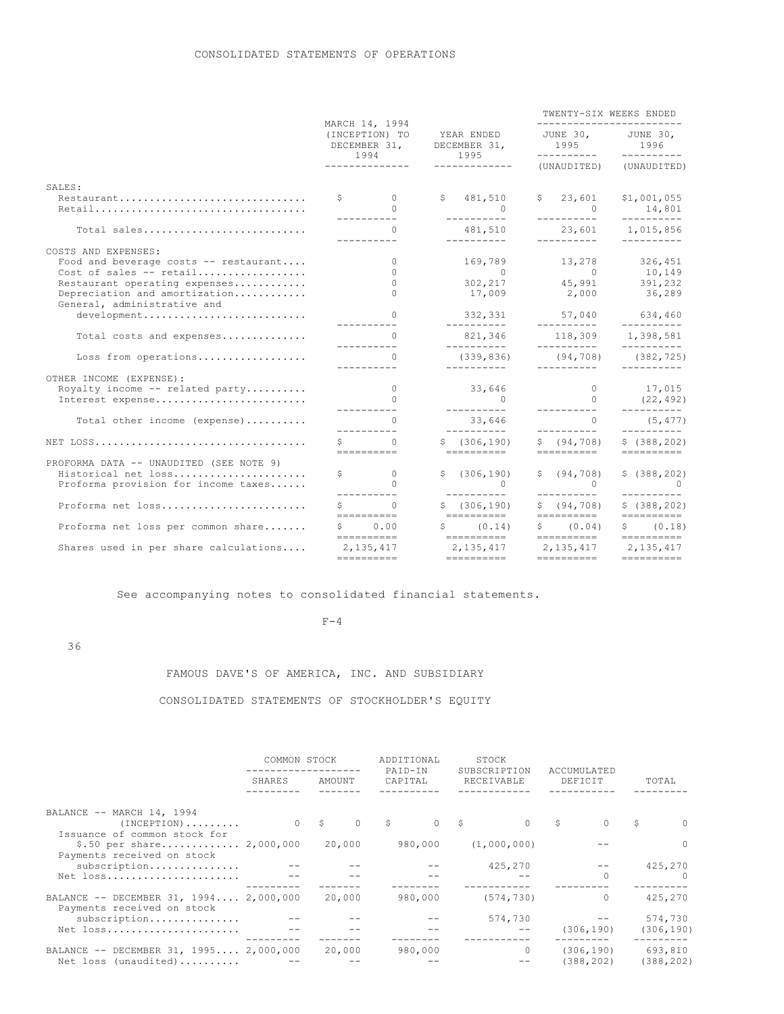|                                                                                               | MARCH 14, 1994<br>(INCEPTION) TO<br>DECEMBER 31, |                                                                                                                  | YEAR ENDED<br>DECEMBER 31,<br>1994<br>1995 |                                           | TWENTY-SIX WEEKS ENDED<br>------------------------ |                                      |             |                                     |
|-----------------------------------------------------------------------------------------------|--------------------------------------------------|------------------------------------------------------------------------------------------------------------------|--------------------------------------------|-------------------------------------------|----------------------------------------------------|--------------------------------------|-------------|-------------------------------------|
|                                                                                               |                                                  |                                                                                                                  |                                            |                                           | JUNE 30, JUNE 30,<br>1995<br>___________           |                                      |             | 1996<br>__________                  |
|                                                                                               |                                                  | --------------                                                                                                   | -------------                              |                                           |                                                    | (UNAUDITED)                          | (UNAUDITED) |                                     |
| SALES:                                                                                        |                                                  |                                                                                                                  |                                            |                                           |                                                    |                                      |             |                                     |
| Restaurant                                                                                    |                                                  | $\mathsf{S}$ 0<br>$\cap$                                                                                         |                                            | \$481,510<br>$\overline{0}$<br>__________ |                                                    | \$23,601<br>$\sim$ 0<br>-----------  |             | \$1,001,055<br>14,801               |
| Total sales                                                                                   |                                                  | -----------<br>$\Omega$<br>__________                                                                            |                                            | 481,510<br>-----------                    |                                                    | 23,601 1,015,856<br>__________       |             | ----------<br>$- - - - - - - - - -$ |
| COSTS AND EXPENSES:                                                                           |                                                  |                                                                                                                  |                                            |                                           |                                                    |                                      |             |                                     |
| Food and beverage costs -- restaurant                                                         |                                                  | $\Omega$                                                                                                         |                                            | 169,789                                   |                                                    | 13,278                               |             | 326,451                             |
| Cost of sales -- retail                                                                       |                                                  | $\circ$                                                                                                          |                                            | $\overline{0}$                            |                                                    | $\overline{0}$<br>$45,991$ $391,232$ |             | 10,149                              |
| Restaurant operating expenses<br>Depreciation and amortization<br>General, administrative and |                                                  | $\cap$<br>$\cap$                                                                                                 |                                            | 302,217<br>17,009                         |                                                    | 2,000 36,289                         |             |                                     |
| development                                                                                   |                                                  | $\bigcap$                                                                                                        |                                            | 332,331<br>__________                     |                                                    | 57,040 634,460<br>__________         |             | $- - - - - - - - - -$               |
| Total costs and expenses                                                                      |                                                  | $\cap$<br>-----------                                                                                            |                                            | 821,346<br>----------                     |                                                    | 118,309 1,398,581<br>___________     |             | ----------                          |
| Loss from operations                                                                          |                                                  | $\cap$<br>-----------                                                                                            |                                            | (339, 836)<br>-----------                 |                                                    | $(94, 708)$ $(382, 725)$             |             |                                     |
| OTHER INCOME (EXPENSE):                                                                       |                                                  |                                                                                                                  |                                            |                                           |                                                    |                                      |             |                                     |
| Royalty income $--$ related party                                                             |                                                  | $\overline{0}$                                                                                                   |                                            | 33,646                                    |                                                    | $\overline{0}$                       |             | 17,015                              |
| Interest expense                                                                              |                                                  | $\bigcap$                                                                                                        |                                            | $\sim$ 0<br>-----------                   |                                                    | $\Omega$<br><u> ----------</u>       |             | (22, 492)<br>__________             |
| Total other income (expense)                                                                  |                                                  | $\cap$<br>__________                                                                                             |                                            | 33,646<br>-----------                     |                                                    | $\Omega$<br>___________              |             | (5, 477)<br>----------              |
|                                                                                               |                                                  | $\cap$<br>==========                                                                                             |                                            | \$(306, 190)<br>==========                |                                                    | \$ (94, 708)<br>==========           |             | \$(388, 202)                        |
| PROFORMA DATA -- UNAUDITED (SEE NOTE 9)                                                       |                                                  |                                                                                                                  |                                            |                                           |                                                    |                                      |             |                                     |
| Historical net loss                                                                           |                                                  | $\begin{array}{ccc} \text{S} & \hspace{1.5cm} & \hspace{1.5cm} & \hspace{1.5cm} \text{\large\it{0}} \end{array}$ |                                            | \$(306, 190)                              |                                                    | \$ (94, 708)                         |             | \$ (388, 202)                       |
| Proforma provision for income taxes                                                           |                                                  | $\bigcap$                                                                                                        |                                            | 0                                         |                                                    | 0                                    |             | $\sim$ 0<br>$- - - - - - - - - -$   |
| Proforma net loss                                                                             | $S \sim 1$                                       | $\Omega$                                                                                                         |                                            | \$(306, 190)                              |                                                    | \$ (94, 708)                         |             | \$ (388, 202)                       |
| Proforma net loss per common share                                                            | $S$ and $S$                                      | 0.00                                                                                                             |                                            | ==========<br>$S \t(0.14)$                |                                                    | ==========<br>\$ (0.04)              |             | \$ (0.18)                           |
| Shares used in per share calculations                                                         |                                                  | 2, 135, 417                                                                                                      |                                            | 2, 135, 417                               |                                                    | 2, 135, 417 2, 135, 417              |             |                                     |
|                                                                                               |                                                  |                                                                                                                  |                                            |                                           |                                                    | ==========                           |             |                                     |

See accompanying notes to consolidated financial statements.

#### $F-4$

36

# FAMOUS DAVE'S OF AMERICA, INC. AND SUBSIDIARY

# CONSOLIDATED STATEMENTS OF STOCKHOLDER'S EQUITY

|                                                                            | COMMON STOCK |                 | ADDITIONAL<br>PAID-IN | STOCK<br>SUBSCRIPTION | ACCUMULATED             |                       |  |
|----------------------------------------------------------------------------|--------------|-----------------|-----------------------|-----------------------|-------------------------|-----------------------|--|
|                                                                            | SHARES       | AMOUNT          | CAPITAL               | RECEIVABLE            | DEFICIT                 | TOTAL                 |  |
|                                                                            |              |                 |                       |                       |                         |                       |  |
| BALANCE -- MARCH 14, 1994<br>$(INCEPTION)$<br>Issuance of common stock for |              | 0 S<br>$\Omega$ | 0 S<br>$\mathbb{S}$   | $\Omega$              | S.<br>$\circ$           | S<br>$\Omega$         |  |
| $$.50$ per share 2,000,000<br>Payments received on stock                   |              | 20,000          | 980,000               | (1,000,000)           |                         | $\Omega$              |  |
| subscription<br>Net loss                                                   |              |                 |                       | 425,270               | $\Omega$                | 425,270<br>$\Omega$   |  |
| BALANCE -- DECEMBER 31, 1994 2,000,000<br>Payments received on stock       |              | 20,000          | 980,000               | (574, 730)            | $\circ$                 | 425,270               |  |
| subscription<br>Net loss                                                   |              |                 |                       | 574,730               | (306, 190)              | 574,730<br>(306, 190) |  |
| BALANCE -- DECEMBER 31, 1995 2,000,000<br>Net loss (unaudited)             |              | 20,000          | 980,000               | $\Omega$              | (306, 190)<br>(388,202) | 693,810<br>(388, 202) |  |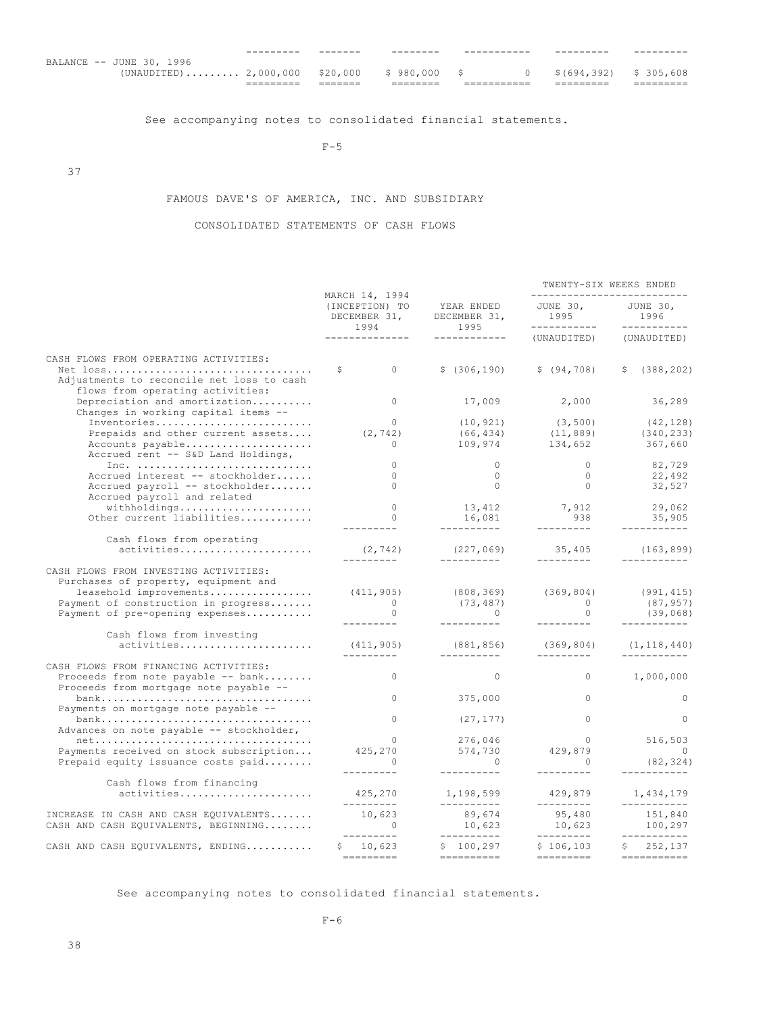|                                  | _________ | ------- |              | _________ |                           |
|----------------------------------|-----------|---------|--------------|-----------|---------------------------|
| BALANCE -- JUNE 30, 1996         |           |         |              |           |                           |
| $(UNAUDITED)$ 2,000,000 \$20,000 |           |         | \$980.000 \$ |           | $$(694, 392)$ $$305, 608$ |
|                                  |           |         |              |           |                           |

See accompanying notes to consolidated financial statements.

 $F-5$ 

37

# FAMOUS DAVE'S OF AMERICA, INC. AND SUBSIDIARY

# CONSOLIDATED STATEMENTS OF CASH FLOWS

|                                                                                                                                                                                   |                                                          |                                     | TWENTY-SIX WEEKS ENDED                     |                                     |  |  |
|-----------------------------------------------------------------------------------------------------------------------------------------------------------------------------------|----------------------------------------------------------|-------------------------------------|--------------------------------------------|-------------------------------------|--|--|
|                                                                                                                                                                                   | MARCH 14, 1994<br>(INCEPTION) TO<br>DECEMBER 31,<br>1994 | YEAR ENDED<br>DECEMBER 31,<br>1995  | JUNE 30,<br>1995 1996<br>___________       | JUNE 30,<br>1996<br>------------    |  |  |
|                                                                                                                                                                                   | . _ _ _ _ _ _ _ _ _ _ _ _ _                              | ------------                        | (UNAUDITED)                                | (UNAUDITED)                         |  |  |
| CASH FLOWS FROM OPERATING ACTIVITIES:                                                                                                                                             |                                                          |                                     |                                            |                                     |  |  |
| Adjustments to reconcile net loss to cash<br>flows from operating activities:                                                                                                     | \$<br>$\Omega$                                           | \$(306, 190)                        | \$ (94, 708)                               | \$ (388, 202)                       |  |  |
| Depreciation and amortization<br>Changes in working capital items --                                                                                                              | $\Omega$                                                 | 17,009                              | 2,000                                      | 36,289                              |  |  |
| Inventories                                                                                                                                                                       | $\Omega$                                                 | (10, 921)                           | (3, 500)                                   | (42, 128)                           |  |  |
| Prepaids and other current assets                                                                                                                                                 | (2, 742)                                                 | (66, 434)                           | (11, 889)<br>$109,974$ $134,652$ $367,660$ | (340, 233)                          |  |  |
| Accounts payable<br>Accrued rent -- S&D Land Holdings,                                                                                                                            | $\circ$                                                  |                                     |                                            |                                     |  |  |
| Inc. $\ldots \ldots \ldots \ldots \ldots \ldots \ldots \ldots \ldots$                                                                                                             | $\Omega$                                                 | $\Omega$                            | $\overline{0}$                             | 82,729                              |  |  |
| Accrued interest -- stockholder                                                                                                                                                   | $\Omega$                                                 | $\overline{0}$                      | $\overline{0}$                             | 22,492                              |  |  |
| Accrued payroll -- stockholder<br>Accrued payroll and related                                                                                                                     | $\Omega$                                                 | $\circ$                             | $\overline{0}$                             | 32,527                              |  |  |
| withholdings                                                                                                                                                                      | $\bigcap$                                                | 13, 412                             |                                            | 29,062                              |  |  |
| Other current liabilities                                                                                                                                                         | $\Omega$                                                 | 16,081                              | 7,912<br>938                               | 35,905                              |  |  |
| Cash flows from operating                                                                                                                                                         | ---------                                                | __________                          | _________                                  | -----------                         |  |  |
| activities                                                                                                                                                                        | (2, 742)<br>_________                                    | ___________                         | $(227, 069)$ 35,405 (163,899)<br>_________ |                                     |  |  |
| CASH FLOWS FROM INVESTING ACTIVITIES:<br>Purchases of property, equipment and<br>leasehold improvements<br>Payment of construction in progress<br>Payment of pre-opening expenses | (411, 905)<br>$\sim$ 0<br>$\overline{0}$                 | (808, 369)<br>(73, 487)<br>$\sim$ 0 | (369, 804)<br>$\sim$ 0<br>$\Omega$         | (991, 415)<br>(87, 957)<br>(39,068) |  |  |
| Cash flows from investing                                                                                                                                                         |                                                          |                                     |                                            |                                     |  |  |
| activities                                                                                                                                                                        | (411, 905)<br>----------                                 | (881, 856)<br>-----------           | (369, 804)<br>----------                   | (1, 118, 440)                       |  |  |
| CASH FLOWS FROM FINANCING ACTIVITIES:                                                                                                                                             |                                                          |                                     |                                            |                                     |  |  |
| Proceeds from note payable -- bank<br>Proceeds from mortgage note payable --                                                                                                      | $\mathbf{0}$                                             | $\Omega$                            | $\Omega$                                   | 1,000,000                           |  |  |
| Payments on mortgage note payable --                                                                                                                                              | $\circ$                                                  | 375,000                             | $\circ$                                    | $\mathbf{0}$                        |  |  |
| Advances on note payable -- stockholder,                                                                                                                                          | $\bigcap$                                                | (27, 177)                           | $\Omega$                                   | $\Omega$                            |  |  |
|                                                                                                                                                                                   | $\overline{0}$                                           | 276,046<br>574,730                  | $\overline{0}$                             | 516,503                             |  |  |
| Payments received on stock subscription<br>Prepaid equity issuance costs paid                                                                                                     | 425,270<br>$\sim$ 0                                      | $\overline{0}$                      | 429,879<br>$\sim$ 0                        | $\sim$ 0<br>(82, 324)               |  |  |
|                                                                                                                                                                                   |                                                          | __________                          | ----------                                 |                                     |  |  |
| Cash flows from financing<br>activities                                                                                                                                           | 425,270                                                  | 1,198,599                           | 429,879                                    | 1,434,179                           |  |  |
| INCREASE IN CASH AND CASH EQUIVALENTS<br>CASH AND CASH EQUIVALENTS, BEGINNING                                                                                                     | ---------<br>10,623<br>$\sim$ 0<br>---------             | -----------<br>89,674<br>10,623     | ---------<br>95,480<br>10,623              | -----------<br>151,840<br>100,297   |  |  |
| CASH AND CASH EQUIVALENTS, ENDING                                                                                                                                                 | \$10,623                                                 | ----------<br>\$100, 297            | ----------<br>\$106, 103                   | -----------<br>252,137<br>S.        |  |  |
|                                                                                                                                                                                   |                                                          |                                     |                                            | ===========                         |  |  |

See accompanying notes to consolidated financial statements.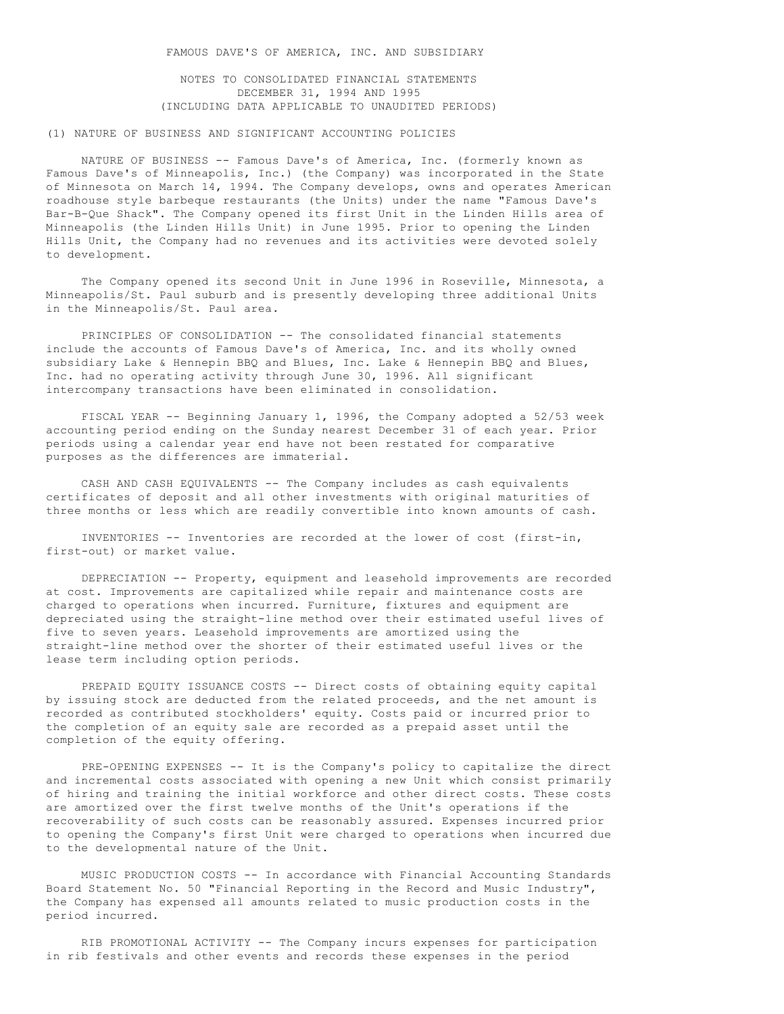NOTES TO CONSOLIDATED FINANCIAL STATEMENTS DECEMBER 31, 1994 AND 1995 (INCLUDING DATA APPLICABLE TO UNAUDITED PERIODS)

# (1) NATURE OF BUSINESS AND SIGNIFICANT ACCOUNTING POLICIES

 NATURE OF BUSINESS -- Famous Dave's of America, Inc. (formerly known as Famous Dave's of Minneapolis, Inc.) (the Company) was incorporated in the State of Minnesota on March 14, 1994. The Company develops, owns and operates American roadhouse style barbeque restaurants (the Units) under the name "Famous Dave's Bar-B-Que Shack". The Company opened its first Unit in the Linden Hills area of Minneapolis (the Linden Hills Unit) in June 1995. Prior to opening the Linden Hills Unit, the Company had no revenues and its activities were devoted solely to development.

 The Company opened its second Unit in June 1996 in Roseville, Minnesota, a Minneapolis/St. Paul suburb and is presently developing three additional Units in the Minneapolis/St. Paul area.

 PRINCIPLES OF CONSOLIDATION -- The consolidated financial statements include the accounts of Famous Dave's of America, Inc. and its wholly owned subsidiary Lake & Hennepin BBQ and Blues, Inc. Lake & Hennepin BBQ and Blues, Inc. had no operating activity through June 30, 1996. All significant intercompany transactions have been eliminated in consolidation.

 FISCAL YEAR -- Beginning January 1, 1996, the Company adopted a 52/53 week accounting period ending on the Sunday nearest December 31 of each year. Prior periods using a calendar year end have not been restated for comparative purposes as the differences are immaterial.

 CASH AND CASH EQUIVALENTS -- The Company includes as cash equivalents certificates of deposit and all other investments with original maturities of three months or less which are readily convertible into known amounts of cash.

 INVENTORIES -- Inventories are recorded at the lower of cost (first-in, first-out) or market value.

 DEPRECIATION -- Property, equipment and leasehold improvements are recorded at cost. Improvements are capitalized while repair and maintenance costs are charged to operations when incurred. Furniture, fixtures and equipment are depreciated using the straight-line method over their estimated useful lives of five to seven years. Leasehold improvements are amortized using the straight-line method over the shorter of their estimated useful lives or the lease term including option periods.

 PREPAID EQUITY ISSUANCE COSTS -- Direct costs of obtaining equity capital by issuing stock are deducted from the related proceeds, and the net amount is recorded as contributed stockholders' equity. Costs paid or incurred prior to the completion of an equity sale are recorded as a prepaid asset until the completion of the equity offering.

 PRE-OPENING EXPENSES -- It is the Company's policy to capitalize the direct and incremental costs associated with opening a new Unit which consist primarily of hiring and training the initial workforce and other direct costs. These costs are amortized over the first twelve months of the Unit's operations if the recoverability of such costs can be reasonably assured. Expenses incurred prior to opening the Company's first Unit were charged to operations when incurred due to the developmental nature of the Unit.

 MUSIC PRODUCTION COSTS -- In accordance with Financial Accounting Standards Board Statement No. 50 "Financial Reporting in the Record and Music Industry", the Company has expensed all amounts related to music production costs in the period incurred.

 RIB PROMOTIONAL ACTIVITY -- The Company incurs expenses for participation in rib festivals and other events and records these expenses in the period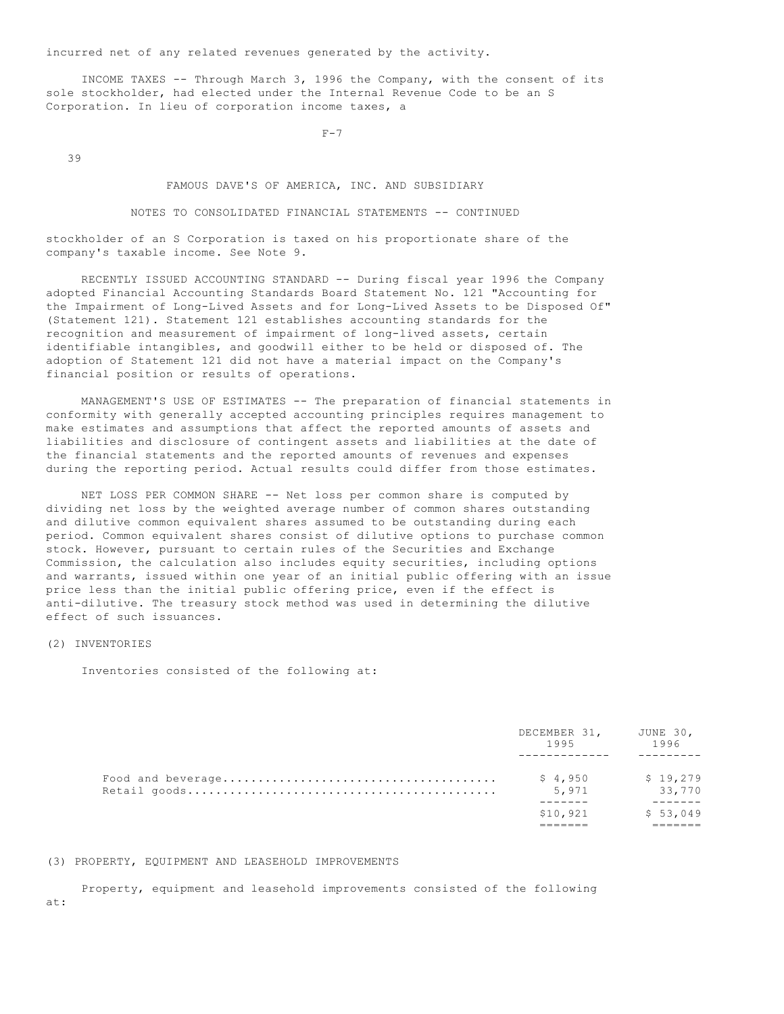incurred net of any related revenues generated by the activity.

 INCOME TAXES -- Through March 3, 1996 the Company, with the consent of its sole stockholder, had elected under the Internal Revenue Code to be an S Corporation. In lieu of corporation income taxes, a

 $F-7$ 

39

FAMOUS DAVE'S OF AMERICA, INC. AND SUBSIDIARY

NOTES TO CONSOLIDATED FINANCIAL STATEMENTS -- CONTINUED

stockholder of an S Corporation is taxed on his proportionate share of the company's taxable income. See Note 9.

 RECENTLY ISSUED ACCOUNTING STANDARD -- During fiscal year 1996 the Company adopted Financial Accounting Standards Board Statement No. 121 "Accounting for the Impairment of Long-Lived Assets and for Long-Lived Assets to be Disposed Of" (Statement 121). Statement 121 establishes accounting standards for the recognition and measurement of impairment of long-lived assets, certain identifiable intangibles, and goodwill either to be held or disposed of. The adoption of Statement 121 did not have a material impact on the Company's financial position or results of operations.

 MANAGEMENT'S USE OF ESTIMATES -- The preparation of financial statements in conformity with generally accepted accounting principles requires management to make estimates and assumptions that affect the reported amounts of assets and liabilities and disclosure of contingent assets and liabilities at the date of the financial statements and the reported amounts of revenues and expenses during the reporting period. Actual results could differ from those estimates.

 NET LOSS PER COMMON SHARE -- Net loss per common share is computed by dividing net loss by the weighted average number of common shares outstanding and dilutive common equivalent shares assumed to be outstanding during each period. Common equivalent shares consist of dilutive options to purchase common stock. However, pursuant to certain rules of the Securities and Exchange Commission, the calculation also includes equity securities, including options and warrants, issued within one year of an initial public offering with an issue price less than the initial public offering price, even if the effect is anti-dilutive. The treasury stock method was used in determining the dilutive effect of such issuances.

# (2) INVENTORIES

Inventories consisted of the following at:

| DECEMBER 31,<br>1995 | JUNE 30,<br>1996   |
|----------------------|--------------------|
| \$4,950<br>5,971     | \$19.279<br>33,770 |
| \$10.921             | \$53,049           |

#### (3) PROPERTY, EQUIPMENT AND LEASEHOLD IMPROVEMENTS

 Property, equipment and leasehold improvements consisted of the following at: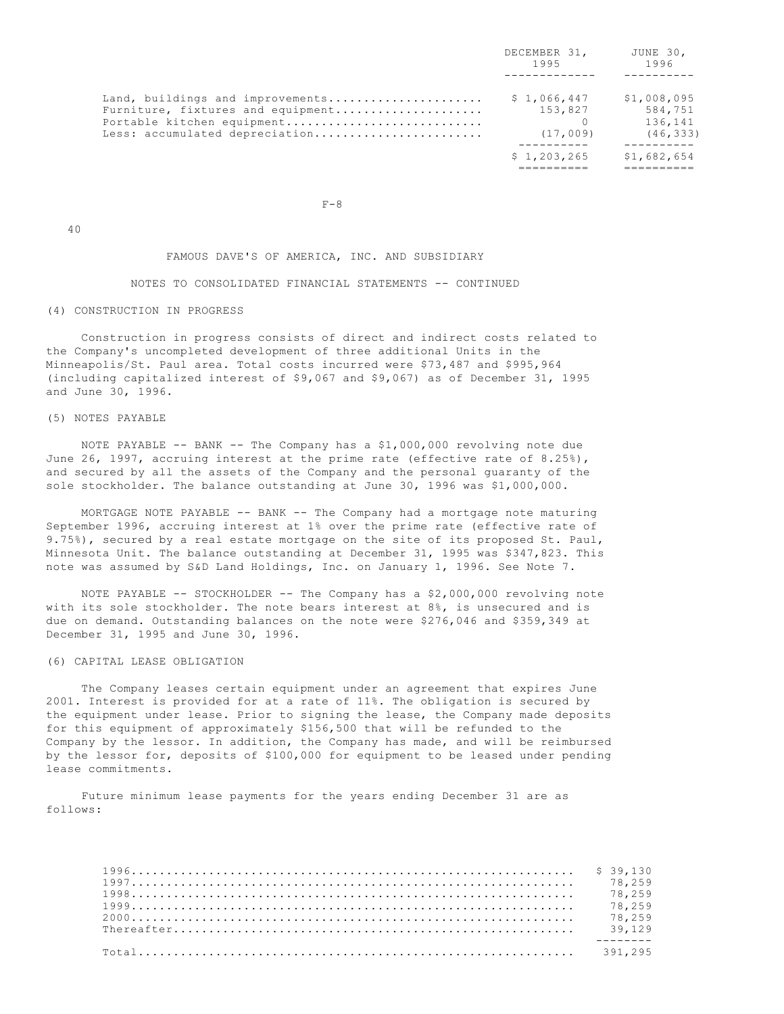|                                                                                                                                       | DECEMBER 31,<br>1995               | JUNE 30,<br>1996                               |
|---------------------------------------------------------------------------------------------------------------------------------------|------------------------------------|------------------------------------------------|
| Land, buildings and improvements<br>Furniture, fixtures and equipment<br>Portable kitchen equipment<br>Less: accumulated depreciation | \$1,066,447<br>153,827<br>(17,009) | \$1,008,095<br>584,751<br>136,141<br>(46, 333) |
|                                                                                                                                       | \$1,203,265                        | \$1,682,654                                    |

40

#### FAMOUS DAVE'S OF AMERICA, INC. AND SUBSIDIARY

#### NOTES TO CONSOLIDATED FINANCIAL STATEMENTS -- CONTINUED

#### (4) CONSTRUCTION IN PROGRESS

 $F-8$ 

 Construction in progress consists of direct and indirect costs related to the Company's uncompleted development of three additional Units in the Minneapolis/St. Paul area. Total costs incurred were \$73,487 and \$995,964 (including capitalized interest of \$9,067 and \$9,067) as of December 31, 1995 and June 30, 1996.

# (5) NOTES PAYABLE

 NOTE PAYABLE -- BANK -- The Company has a \$1,000,000 revolving note due June 26, 1997, accruing interest at the prime rate (effective rate of 8.25%), and secured by all the assets of the Company and the personal guaranty of the sole stockholder. The balance outstanding at June 30, 1996 was \$1,000,000.

 MORTGAGE NOTE PAYABLE -- BANK -- The Company had a mortgage note maturing September 1996, accruing interest at 1% over the prime rate (effective rate of 9.75%), secured by a real estate mortgage on the site of its proposed St. Paul, Minnesota Unit. The balance outstanding at December 31, 1995 was \$347,823. This note was assumed by S&D Land Holdings, Inc. on January 1, 1996. See Note 7.

 NOTE PAYABLE -- STOCKHOLDER -- The Company has a \$2,000,000 revolving note with its sole stockholder. The note bears interest at 8%, is unsecured and is due on demand. Outstanding balances on the note were \$276,046 and \$359,349 at December 31, 1995 and June 30, 1996.

# (6) CAPITAL LEASE OBLIGATION

 The Company leases certain equipment under an agreement that expires June 2001. Interest is provided for at a rate of 11%. The obligation is secured by the equipment under lease. Prior to signing the lease, the Company made deposits for this equipment of approximately \$156,500 that will be refunded to the Company by the lessor. In addition, the Company has made, and will be reimbursed by the lessor for, deposits of \$100,000 for equipment to be leased under pending lease commitments.

 Future minimum lease payments for the years ending December 31 are as follows:

| $1997$ 78.259 |  |
|---------------|--|
|               |  |
| 1999          |  |
|               |  |
|               |  |
|               |  |
|               |  |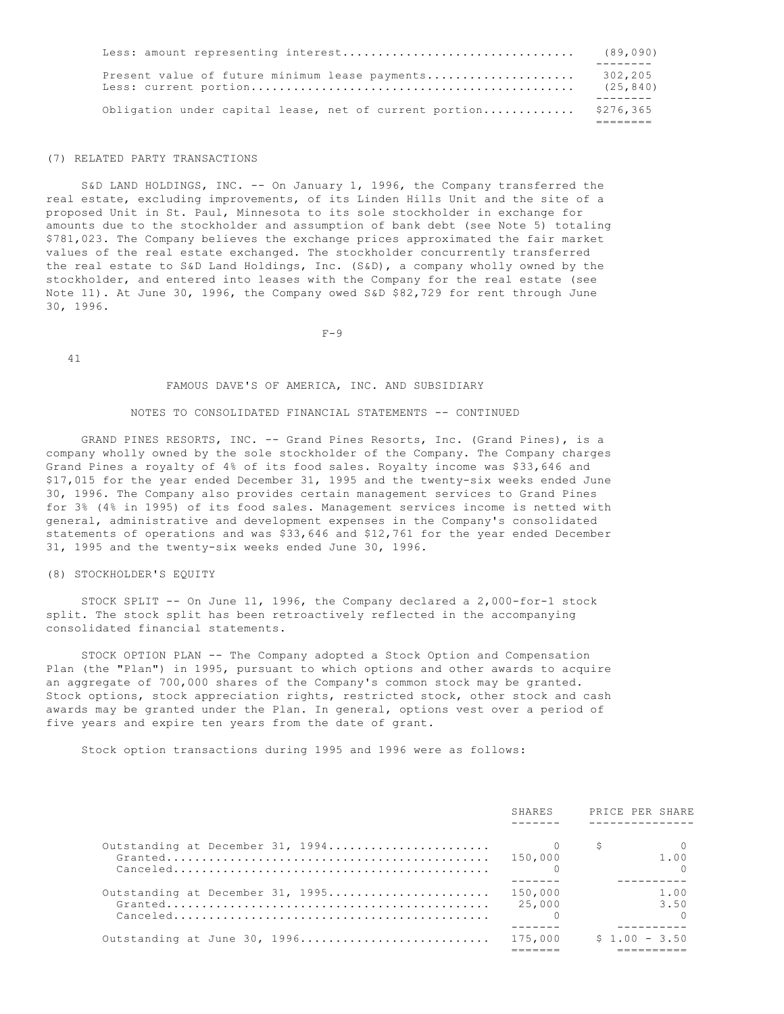| Obligation under capital lease, net of current portion | \$276,365            |
|--------------------------------------------------------|----------------------|
|                                                        |                      |
| Present value of future minimum lease payments         | 302,205<br>(25, 840) |
|                                                        | (89,090)             |

#### (7) RELATED PARTY TRANSACTIONS

 S&D LAND HOLDINGS, INC. -- On January 1, 1996, the Company transferred the real estate, excluding improvements, of its Linden Hills Unit and the site of a proposed Unit in St. Paul, Minnesota to its sole stockholder in exchange for amounts due to the stockholder and assumption of bank debt (see Note 5) totaling \$781,023. The Company believes the exchange prices approximated the fair market values of the real estate exchanged. The stockholder concurrently transferred the real estate to S&D Land Holdings, Inc. (S&D), a company wholly owned by the stockholder, and entered into leases with the Company for the real estate (see Note 11). At June 30, 1996, the Company owed S&D \$82,729 for rent through June 30, 1996.

 $F-9$ 

41

# FAMOUS DAVE'S OF AMERICA, INC. AND SUBSIDIARY

#### NOTES TO CONSOLIDATED FINANCIAL STATEMENTS -- CONTINUED

 GRAND PINES RESORTS, INC. -- Grand Pines Resorts, Inc. (Grand Pines), is a company wholly owned by the sole stockholder of the Company. The Company charges Grand Pines a royalty of 4% of its food sales. Royalty income was \$33,646 and \$17,015 for the year ended December 31, 1995 and the twenty-six weeks ended June 30, 1996. The Company also provides certain management services to Grand Pines for 3% (4% in 1995) of its food sales. Management services income is netted with general, administrative and development expenses in the Company's consolidated statements of operations and was \$33,646 and \$12,761 for the year ended December 31, 1995 and the twenty-six weeks ended June 30, 1996.

#### (8) STOCKHOLDER'S EQUITY

 STOCK SPLIT -- On June 11, 1996, the Company declared a 2,000-for-1 stock split. The stock split has been retroactively reflected in the accompanying consolidated financial statements.

 STOCK OPTION PLAN -- The Company adopted a Stock Option and Compensation Plan (the "Plan") in 1995, pursuant to which options and other awards to acquire an aggregate of 700,000 shares of the Company's common stock may be granted. Stock options, stock appreciation rights, restricted stock, other stock and cash awards may be granted under the Plan. In general, options vest over a period of five years and expire ten years from the date of grant.

Stock option transactions during 1995 and 1996 were as follows:

|                                                                                                                             | SHARES            | PRICE PER SHARE |
|-----------------------------------------------------------------------------------------------------------------------------|-------------------|-----------------|
|                                                                                                                             | 150,000           | 1.00            |
| Outstanding at December 31, 1995<br>$Canceled \ldots \ldots \ldots \ldots \ldots \ldots \ldots \ldots \ldots \ldots \ldots$ | 150,000<br>25,000 | 1.00<br>3.50    |
| Outstanding at June 30, 1996 175,000                                                                                        |                   | $$1.00 - 3.50$  |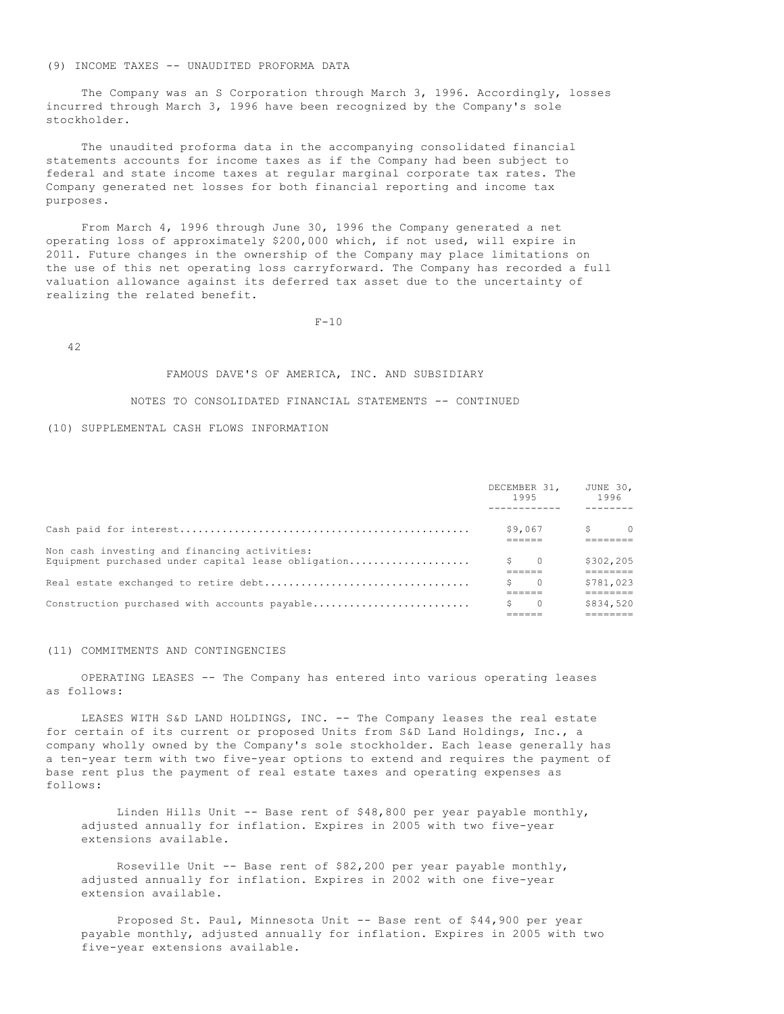# (9) INCOME TAXES -- UNAUDITED PROFORMA DATA

 The Company was an S Corporation through March 3, 1996. Accordingly, losses incurred through March 3, 1996 have been recognized by the Company's sole stockholder.

 The unaudited proforma data in the accompanying consolidated financial statements accounts for income taxes as if the Company had been subject to federal and state income taxes at regular marginal corporate tax rates. The Company generated net losses for both financial reporting and income tax purposes.

 From March 4, 1996 through June 30, 1996 the Company generated a net operating loss of approximately \$200,000 which, if not used, will expire in 2011. Future changes in the ownership of the Company may place limitations on the use of this net operating loss carryforward. The Company has recorded a full valuation allowance against its deferred tax asset due to the uncertainty of realizing the related benefit.

 $F-10$ 

42

# FAMOUS DAVE'S OF AMERICA, INC. AND SUBSIDIARY

# NOTES TO CONSOLIDATED FINANCIAL STATEMENTS -- CONTINUED

## (10) SUPPLEMENTAL CASH FLOWS INFORMATION

|                                                    |    | DECEMBER 31,<br>1995 | JUNE 30,<br>1996 |          |
|----------------------------------------------------|----|----------------------|------------------|----------|
|                                                    |    |                      |                  |          |
|                                                    |    | \$9,067              | S.               | $\Omega$ |
| Non cash investing and financing activities:       |    |                      |                  |          |
| Equipment purchased under capital lease obligation | S. | $\overline{0}$       | \$302,205        |          |
|                                                    |    |                      |                  |          |
|                                                    |    | $\bigcirc$           | \$781,023        |          |
|                                                    |    |                      |                  |          |
| Construction purchased with accounts payable       |    | $\Omega$             | \$834,520        |          |
|                                                    |    |                      |                  |          |
|                                                    |    |                      |                  |          |

#### (11) COMMITMENTS AND CONTINGENCIES

 OPERATING LEASES -- The Company has entered into various operating leases as follows:

 LEASES WITH S&D LAND HOLDINGS, INC. -- The Company leases the real estate for certain of its current or proposed Units from S&D Land Holdings, Inc., a company wholly owned by the Company's sole stockholder. Each lease generally has a ten-year term with two five-year options to extend and requires the payment of base rent plus the payment of real estate taxes and operating expenses as follows:

 Linden Hills Unit -- Base rent of \$48,800 per year payable monthly, adjusted annually for inflation. Expires in 2005 with two five-year extensions available.

 Roseville Unit -- Base rent of \$82,200 per year payable monthly, adjusted annually for inflation. Expires in 2002 with one five-year extension available.

 Proposed St. Paul, Minnesota Unit -- Base rent of \$44,900 per year payable monthly, adjusted annually for inflation. Expires in 2005 with two five-year extensions available.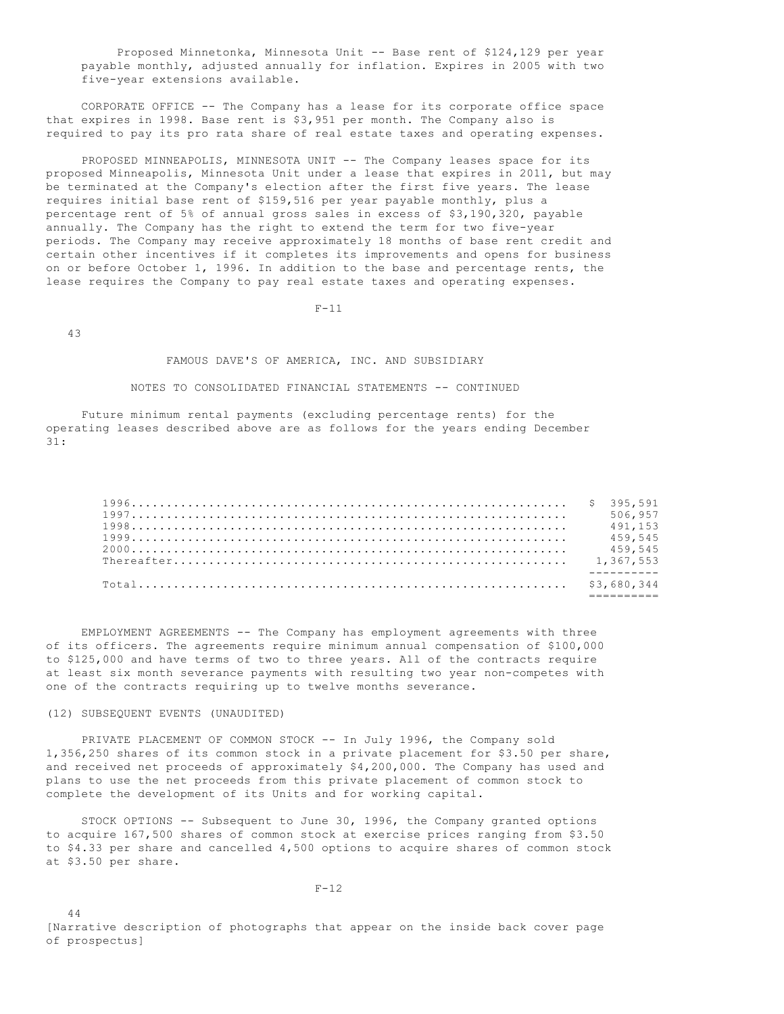Proposed Minnetonka, Minnesota Unit -- Base rent of \$124,129 per year payable monthly, adjusted annually for inflation. Expires in 2005 with two five-year extensions available.

 CORPORATE OFFICE -- The Company has a lease for its corporate office space that expires in 1998. Base rent is \$3,951 per month. The Company also is required to pay its pro rata share of real estate taxes and operating expenses.

PROPOSED MINNEAPOLIS, MINNESOTA UNIT -- The Company leases space for its proposed Minneapolis, Minnesota Unit under a lease that expires in 2011, but may be terminated at the Company's election after the first five years. The lease requires initial base rent of \$159,516 per year payable monthly, plus a percentage rent of 5% of annual gross sales in excess of \$3,190,320, payable annually. The Company has the right to extend the term for two five-year periods. The Company may receive approximately 18 months of base rent credit and certain other incentives if it completes its improvements and opens for business on or before October 1, 1996. In addition to the base and percentage rents, the lease requires the Company to pay real estate taxes and operating expenses.

 $F-11$ 

43

44

#### FAMOUS DAVE'S OF AMERICA, INC. AND SUBSIDIARY

# NOTES TO CONSOLIDATED FINANCIAL STATEMENTS -- CONTINUED

 Future minimum rental payments (excluding percentage rents) for the operating leases described above are as follows for the years ending December 31:

|  | 506.957 |
|--|---------|
|  | 491.153 |
|  | 459.545 |
|  | 459,545 |
|  |         |
|  |         |
|  |         |
|  |         |

 EMPLOYMENT AGREEMENTS -- The Company has employment agreements with three of its officers. The agreements require minimum annual compensation of \$100,000 to \$125,000 and have terms of two to three years. All of the contracts require at least six month severance payments with resulting two year non-competes with one of the contracts requiring up to twelve months severance.

#### (12) SUBSEQUENT EVENTS (UNAUDITED)

 PRIVATE PLACEMENT OF COMMON STOCK -- In July 1996, the Company sold 1,356,250 shares of its common stock in a private placement for \$3.50 per share, and received net proceeds of approximately \$4,200,000. The Company has used and plans to use the net proceeds from this private placement of common stock to complete the development of its Units and for working capital.

 STOCK OPTIONS -- Subsequent to June 30, 1996, the Company granted options to acquire 167,500 shares of common stock at exercise prices ranging from \$3.50 to \$4.33 per share and cancelled 4,500 options to acquire shares of common stock at \$3.50 per share.

 $F-12$ 

[Narrative description of photographs that appear on the inside back cover page of prospectus]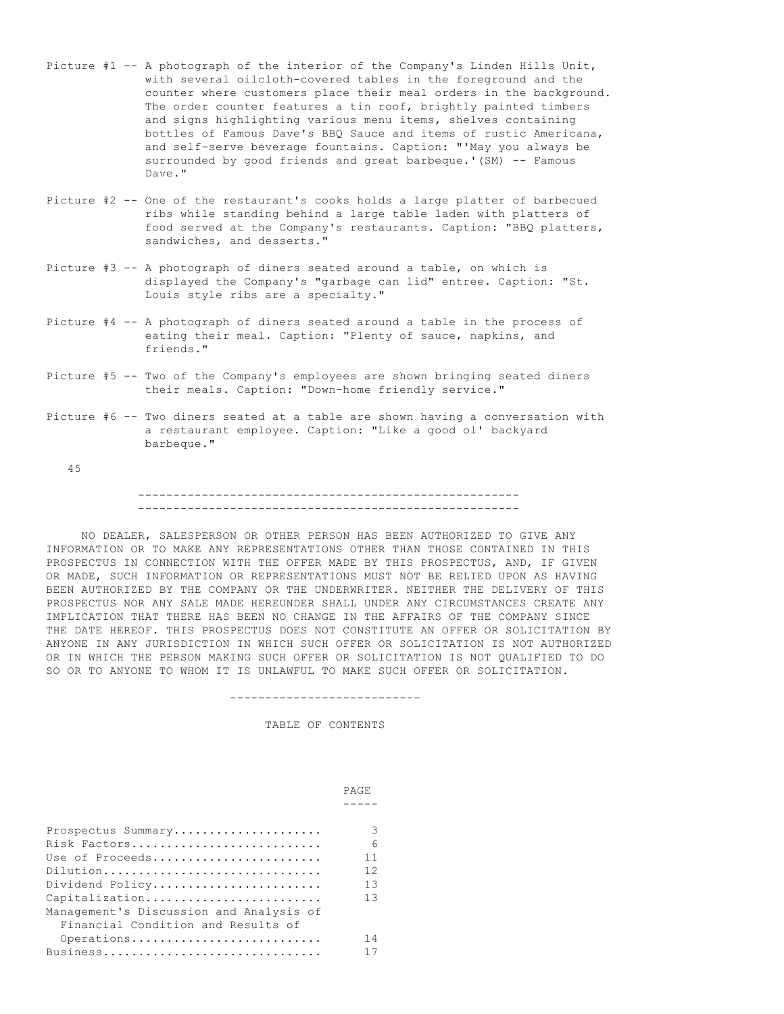- Picture #1 -- A photograph of the interior of the Company's Linden Hills Unit, with several oilcloth-covered tables in the foreground and the counter where customers place their meal orders in the background. The order counter features a tin roof, brightly painted timbers and signs highlighting various menu items, shelves containing bottles of Famous Dave's BBQ Sauce and items of rustic Americana, and self-serve beverage fountains. Caption: "'May you always be surrounded by good friends and great barbeque.'(SM) -- Famous Dave."
- Picture #2 -- One of the restaurant's cooks holds a large platter of barbecued ribs while standing behind a large table laden with platters of food served at the Company's restaurants. Caption: "BBQ platters, sandwiches, and desserts."
- Picture #3 -- A photograph of diners seated around a table, on which is displayed the Company's "garbage can lid" entree. Caption: "St. Louis style ribs are a specialty."
- Picture #4 -- A photograph of diners seated around a table in the process of eating their meal. Caption: "Plenty of sauce, napkins, and friends."
- Picture #5 -- Two of the Company's employees are shown bringing seated diners their meals. Caption: "Down-home friendly service."
- Picture #6 -- Two diners seated at a table are shown having a conversation with a restaurant employee. Caption: "Like a good ol' backyard barbeque."

45

# ------------------------------------------------------ ------------------------------------------------------

 NO DEALER, SALESPERSON OR OTHER PERSON HAS BEEN AUTHORIZED TO GIVE ANY INFORMATION OR TO MAKE ANY REPRESENTATIONS OTHER THAN THOSE CONTAINED IN THIS PROSPECTUS IN CONNECTION WITH THE OFFER MADE BY THIS PROSPECTUS, AND, IF GIVEN OR MADE, SUCH INFORMATION OR REPRESENTATIONS MUST NOT BE RELIED UPON AS HAVING BEEN AUTHORIZED BY THE COMPANY OR THE UNDERWRITER. NEITHER THE DELIVERY OF THIS PROSPECTUS NOR ANY SALE MADE HEREUNDER SHALL UNDER ANY CIRCUMSTANCES CREATE ANY IMPLICATION THAT THERE HAS BEEN NO CHANGE IN THE AFFAIRS OF THE COMPANY SINCE THE DATE HEREOF. THIS PROSPECTUS DOES NOT CONSTITUTE AN OFFER OR SOLICITATION BY ANYONE IN ANY JURISDICTION IN WHICH SUCH OFFER OR SOLICITATION IS NOT AUTHORIZED OR IN WHICH THE PERSON MAKING SUCH OFFER OR SOLICITATION IS NOT QUALIFIED TO DO SO OR TO ANYONE TO WHOM IT IS UNLAWFUL TO MAKE SUCH OFFER OR SOLICITATION.

---------------------------

# TABLE OF CONTENTS

|                                         | <b>PAGE</b> |
|-----------------------------------------|-------------|
|                                         |             |
|                                         |             |
| Prospectus Summary                      | 3           |
| Risk Factors                            | 6           |
| Use of Proceeds                         | 11          |
| Dilution                                | 12          |
| Dividend Policy                         | 13          |
| Capitalization                          | 13          |
| Management's Discussion and Analysis of |             |
| Financial Condition and Results of      |             |
| Operations                              | 14          |
| Business                                |             |